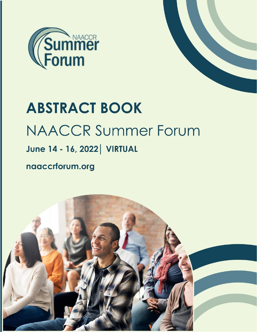



# **ABSTRACT BOOK NAACCR Summer Forum** June 14 - 16, 2022 | VIRTUAL naaccrforum.org

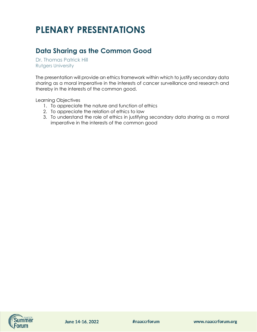# **PLENARY PRESENTATIONS**

### **Data Sharing as the Common Good**

Dr. Thomas Patrick Hill Rutgers University

The presentation will provide an ethics framework within which to justify secondary data sharing as a moral imperative in the interests of cancer surveillance and research and thereby in the interests of the common good.

Learning Objectives

- 1. To appreciate the nature and function of ethics
- 2. To appreciate the relation of ethics to law
- 3. To understand the role of ethics in justifying secondary data sharing as a moral imperative in the interests of the common good



www.naaccrforum.org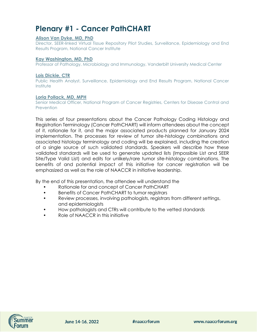### **Plenary #1 - Cancer PathCHART**

#### **Alison Van Dyke, MD, PhD**

Director, SEER-linked Virtual Tissue Repository Pilot Studies, Surveillance, Epidemiology and End Results Program, National Cancer Institute

#### **Kay Washington, MD, PhD**

Professor of Pathology, Microbiology and Immunology, Vanderbilt University Medical Center

#### **Lois Dickie, CTR**

Public Health Analyst, Surveillance, Epidemiology and End Results Program, National Cancer Institute

#### **Loria Pollack, MD, MPH**

Senior Medical Officer, National Program of Cancer Registries, Centers for Disease Control and Prevention

This series of four presentations about the Cancer Pathology Coding Histology and Registration Terminology (Cancer PathCHART) will inform attendees about the concept of it, rationale for it, and the major associated products planned for January 2024 implementation. The processes for review of tumor site-histology combinations and associated histology terminology and coding will be explained, including the creation of a single source of such validated standards. Speakers will describe how these validated standards will be used to generate updated lists (Impossible List and SEER Site/Type Valid List) and edits for unlikely/rare tumor site-histology combinations. The benefits of and potential impact of this initiative for cancer registration will be emphasized as well as the role of NAACCR in initiative leadership.

By the end of this presentation, the attendee will understand the

- Rationale for and concept of Cancer PathCHART
- Benefits of Cancer PathCHART to tumor registrars
- Review processes, involving pathologists, registrars from different settings, and epidemiologists
- How pathologists and CTRs will contribute to the vetted standards
- Role of NAACCR in this initiative

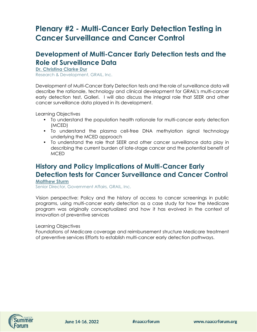### **Plenary #2 - Multi-Cancer Early Detection Testing in Cancer Surveillance and Cancer Control**

### **Development of Multi-Cancer Early Detection tests and the Role of Surveillance Data**

**Dr. Christina Clarke Dur**

Research & Development, GRAIL, Inc.

Development of Multi-Cancer Early Detection tests and the role of surveillance data will describe the rationale, technology and clinical development for GRAIL's multi-cancer early detection test, Galleri. I will also discuss the integral role that SEER and other cancer surveillance data played in its development.

Learning Objectives

- **•** To understand the population health rationale for multi-cancer early detection (MCED)
- **•** To understand the plasma cell-free DNA methylation signal technology underlying the MCED approach
- **•** To understand the role that SEER and other cancer surveillance data play in describing the current burden of late-stage cancer and the potential benefit of MCED

### **History and Policy Implications of Multi-Cancer Early Detection tests for Cancer Surveillance and Cancer Control**

**Matthew Sturm**

Senior Director, Government Affairs, GRAIL, Inc.

Vision perspective: Policy and the history of access to cancer screenings in public programs, using multi-cancer early detection as a case study for how the Medicare program was originally conceptualized and how it has evolved in the context of innovation of preventive services

Learning Objectives

Foundations of Medicare coverage and reimbursement structure Medicare treatment of preventive services Efforts to establish multi-cancer early detection pathways.

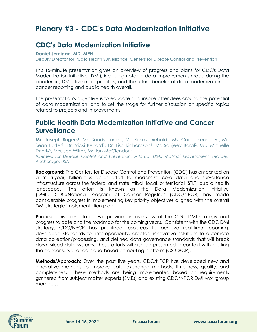### **Plenary #3 - CDC's Data Modernization Initiative**

#### **CDC's Data Modernization Initiative**

**Daniel Jernigan, MD, MPH**

Deputy Director for Public Health Surveillance, Centers for Disease Control and Prevention

This 15-minute presentation gives an overview of progress and plans for CDC's Data Modernization Initiative (DMI), including notable data improvements made during the pandemic, DMI's five main priorities, and the future benefits of data modernization for cancer reporting and public health overall.

The presentation's objective is to educate and inspire attendees around the potential of data modernization, and to set the stage for further discussion on specific topics related to projects and improvements.

### **Public Health Data Modernization Initiative and Cancer Surveillance**

Mr. Joseph Rogers<sup>1</sup>, Ms. Sandy Jones<sup>1</sup>, Ms. Kasey Diebold<sup>1</sup>, Ms. Caitlin Kennedy<sup>1</sup>, Mr. Sean Porter<sup>1</sup>, Dr. Vicki Benard<sup>1</sup>, Dr. Lisa Richardson<sup>1</sup>, Mr. Sanjeev Baral<sup>2</sup>, Mrs. Michelle Esterly<sup>2</sup>, Mrs. Jen Wike<sup>2</sup>, Mr. Ian McClendon<sup>2</sup>

*<sup>1</sup>Centers for Disease Control and Prevention, Atlanta, USA, 2Katmai Government Services, Anchorage, USA*

**Background:** The Centers for Disease Control and Prevention (CDC) has embarked on a multi-year, billion-plus dollar effort to modernize core data and surveillance infrastructure across the federal and state, tribal, local, or territorial (STLT) public health landscape. This effort is known as the Data Modernization Initiative (DMI). CDC/National Program of Cancer Registries (CDC/NPCR) has made considerable progress in implementing key priority objectives aligned with the overall DMI strategic implementation plan.

**Purpose:** This presentation will provide an overview of the CDC DMI strategy and progress to date and the roadmap for the coming years. Consistent with the CDC DMI strategy, CDC/NPCR has prioritized resources to achieve real-time reporting, developed standards for interoperability, created innovative solutions to automate data collection/processing, and defined data governance standards that will break down siloed data systems. These efforts will also be presented in context with piloting the cancer surveillance cloud-based computing platform (CS-CBCP).

**Methods/Approach:** Over the past five years, CDC/NPCR has developed new and innovative methods to improve data exchange methods, timeliness, quality, and completeness. These methods are being implemented based on requirements gathered from subject matter experts (SMEs) and existing CDC/NPCR DMI workgroup members.

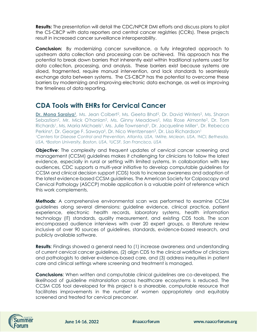**Results:** The presentation will detail the CDC/NPCR DMI efforts and discuss plans to pilot the CS-CBCP with data reporters and central cancer registries (CCRs). These projects result in increased cancer surveillance interoperability.

**Conclusion:** By modernizing cancer surveillance, a fully integrated approach to upstream data collection and processing can be achieved. This approach has the potential to break down barriers that inherently exist within traditional systems used for data collection, processing, and analysis. These barriers exist because systems are siloed, fragmented, require manual intervention, and lack standards to seamlessly exchange data between systems. The CS-CBCP has the potential to overcome these barriers by modernizing and improving electronic data exchange, as well as improving the timeliness of data reporting.

#### **CDA Tools with EHRs for Cervical Cancer**

Dr. Mona Saraiya<sup>1</sup>, Ms. Jean Colbert<sup>2</sup>, Ms. Geeta Bhat<sup>2</sup>, Dr. David Winters<sup>2</sup>, Ms. Sharon Sebastian<sup>2</sup>, Mr. Mick O'hanlan<sup>2</sup>, Ms. Ginny Meadows<sup>2</sup>, Miss Rose Almonte<sup>2</sup>, Dr. Tom Richards<sup>1</sup>, Ms. Maria Michaels<sup>1</sup>, Ms. Julie Townsend<sup>1</sup>, Dr. Jacqueline Miller<sup>1</sup>, Dr. Rebecca Perkins<sup>4</sup>, Dr. George F. Sawaya<sup>5</sup>, Dr. Nico Wentzensen<sup>3</sup>, Dr. Lisa Richardson<sup>1</sup> *<sup>1</sup>Centers for Disease Control and Prevention, Atlanta, USA, 2Mitre, Mclean, USA, 3NCI, Bethesda, USA, 4Boston University, Boston, USA, 5UCSF, San Francisco, USA*

**Objective**: The complexity and frequent updates of cervical cancer screening and management (CCSM) guidelines makes it challenging for clinicians to follow the latest evidence, especially in rural or setting with limited systems. In collaboration with key audiences, CDC supports a multi-year initiative to develop computable guidelines for CCSM and clinical decision support (CDS) tools to increase awareness and adoption of the latest evidence-based CCSM guidelines. The American Society for Colposcopy and Cervical Pathology (ASCCP) mobile application is a valuable point of reference which this work complements.

**Methods**: A comprehensive environmental scan was performed to examine CCSM guidelines along several dimensions: guideline evidence, clinical practice, patient experience, electronic health records, laboratory systems, health information technology (IT) standards, quality measurement, and existing CDS tools. The scan encompassed audience interviews with over 20 expert groups, a literature review inclusive of over 90 sources of guidelines, standards, evidence-based research, and publicly available software.

**Results**: Findings showed a general need to (1) increase awareness and understanding of current cervical cancer guidelines, (2) align CDS to the clinical workflow of clinicians and pathologists to deliver evidence-based care, and (3) address inequities in patient care and clinical settings where screening and treatment is managed.

**Conclusions**: When written and computable clinical guidelines are co-developed, the likelihood of guideline mistranslation across healthcare ecosystems is reduced. The CCSM CDS tool developed for this project is a shareable, computable resource that facilitates improvements in the number of women appropriately and equitably screened and treated for cervical precancer.

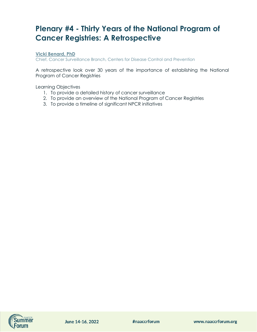### **Plenary #4 - Thirty Years of the National Program of Cancer Registries: A Retrospective**

**Vicki Benard, PhD**

Chief, Cancer Surveillance Branch, Centers for Disease Control and Prevention

A retrospective look over 30 years of the importance of establishing the National Program of Cancer Registries

Learning Objectives

- 1. To provide a detailed history of cancer surveillance
- 2. To provide an overview of the National Program of Cancer Registries
- 3. To provide a timeline of significant NPCR initiatives

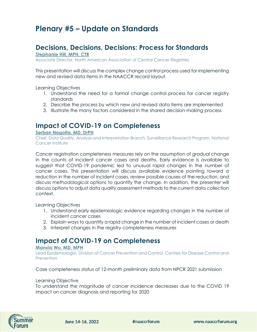### **Plenary #5 – Update on Standards**

### **Decisions, Decisions, Decisions: Process for Standards**

**Stephanie Hill, MPH, CTR**

Associate Director, North American Association of Central Cancer Registries

This presentation will discuss the complex change control process used for implementing new and revised data items in the NAACCR record layout.

Learning Objectives

- 1. Understand the need for a formal change control process for cancer registry standards
- 2. Describe the process by which new and revised data items are implemented
- 3. Illustrate the many factors considered in the shared decision-making process

#### **Impact of COVID-19 on Completeness**

#### **Serban Negoita, MD, DrPH**

Chief, Data Quality, Analysis and Interpretation Branch, Surveillance Research Program, National Cancer Institute

Cancer registration completeness measures rely on the assumption of gradual change in the counts of incident cancer cases and deaths. Early evidence is available to suggest that COVID-19 pandemic led to unusual rapid changes in the number of cancer cases. This presentation will discuss available evidence pointing toward a reduction in the number of incident cases, review possible causes of the reduction, and discuss methodological options to quantify the change. In addition, the presenter will discuss options to adjust data quality assessment methods to the current data collection context.

Learning Objectives

- 1. Understand early epidemiologic evidence regarding changes in the number of incident cancer cases
- 2. Explain ways to quantify a rapid change in the number of incident cases or death
- 3. Interpret changes in the registry completeness measures

### **Impact of COVID-19 on Completeness**

#### **Manxia Wu, MD, MPH**

Lead Epidemiologist, Division of Cancer Prevention and Control, Centers for Disease Control and **Prevention** 

Case completeness status of 12-month preliminary data from NPCR 2021 submission

#### Learning Objective

To understand the magnitude of cancer incidence decreases due to the COVID 19 impact on cancer diagnosis and reporting for 2020

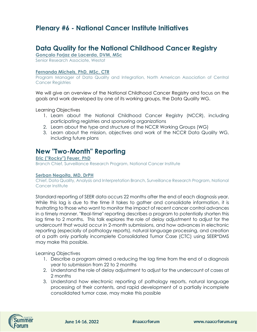### **Plenary #6 - National Cancer Institute Initiatives**

#### **Data Quality for the National Childhood Cancer Registry**

**Gonçalo Forjaz de Lacerda, DVM, MSc** 

Senior Research Associate, Westat

#### **Fernanda Michels, PhD, MSc, CTR**

Program Manager of Data Quality and Integration, North American Association of Central Cancer Registries

We will give an overview of the National Childhood Cancer Registry and focus on the goals and work developed by one of its working groups, the Data Quality WG.

Learning Objectives

- 1. Learn about the National Childhood Cancer Registry (NCCR), including participating registries and sponsoring organizations
- 2. Learn about the type and structure of the NCCR Working Groups (WG)
- 3. Learn about the mission, objectives and work of the NCCR Data Quality WG, including future plans

#### **New "Two-Month" Reporting**

**Eric ("Rocky") Feuer, PhD** Branch Chief, Surveillance Research Program, National Cancer Institute

#### **Serban Negoita, MD, DrPH**

Chief, Data Quality, Analysis and Interpretation Branch, Surveillance Research Program, National Cancer Institute

Standard reporting of SEER data occurs 22 months after the end of each diagnosis year. While this lag is due to the time it takes to gather and consolidate information, it is frustrating to those who want to monitor the impact of recent cancer control advances in a timely manner. "Real-time" reporting describes a program to potentially shorten this lag time to 2 months. This talk explores the role of delay adjustment to adjust for the undercount that would occur in 2-month submissions, and how advances in electronic reporting (especially of pathology reports), natural language processing, and creation of a path only partially incomplete Consolidated Tumor Case (CTC) using SEER\*DMS may make this possible.

Learning Objectives

- 1. Describe a program aimed a reducing the lag time from the end of a diagnosis year to submission from 22 to 2 months
- 2. Understand the role of delay adjustment to adjust for the undercount of cases at 2 months
- 3. Understand how electronic reporting of pathology reports, natural language processing of their contents, and rapid development of a partially incomplete consolidated tumor case, may make this possible

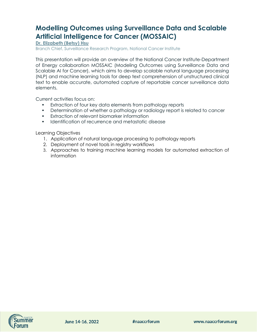### **Modelling Outcomes using Surveillance Data and Scalable Artificial Intelligence for Cancer (MOSSAIC)**

**Dr. Elizabeth (Betsy) Hsu**

Branch Chief, Surveillance Research Program, National Cancer Institute

This presentation will provide an overview of the National Cancer Institute-Department of Energy collaboration MOSSAIC (Modeling Outcomes using Surveillance Data and Scalable AI for Cancer), which aims to develop scalable natural language processing (NLP) and machine learning tools for deep text comprehension of unstructured clinical text to enable accurate, automated capture of reportable cancer surveillance data elements.

Current activities focus on:

- Extraction of four key data elements from pathology reports
- Determination of whether a pathology or radiology report is related to cancer
- Extraction of relevant biomarker information
- Identification of recurrence and metastatic disease

Learning Objectives

- 1. Application of natural language processing to pathology reports
- 2. Deployment of novel tools in registry workflows
- 3. Approaches to training machine learning models for automated extraction of information



www.naaccrforum.org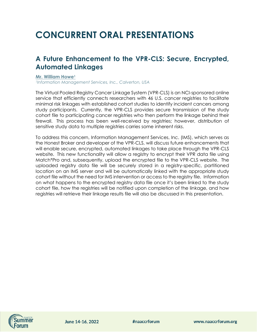# **CONCURRENT ORAL PRESENTATIONS**

### **A Future Enhancement to the VPR-CLS: Secure, Encrypted, Automated Linkages**

#### **Mr. William Howe<sup>1</sup>**

*<sup>1</sup>Information Management Services, Inc., Calverton, USA*

The Virtual Pooled Registry Cancer Linkage System (VPR-CLS) is an NCI-sponsored online service that efficiently connects researchers with 46 U.S. cancer registries to facilitate minimal risk linkages with established cohort studies to identify incident cancers among study participants. Currently, the VPR-CLS provides secure transmission of the study cohort file to participating cancer registries who then perform the linkage behind their firewall. This process has been well-received by registries; however, distribution of sensitive study data to multiple registries carries some inherent risks.

To address this concern, Information Management Services, Inc. (IMS), which serves as the Honest Broker and developer of the VPR-CLS, will discuss future enhancements that will enable secure, encrypted, automated linkages to take place through the VPR-CLS website. This new functionality will allow a registry to encrypt their VPR data file using Match\*Pro and, subsequently, upload the encrypted file to the VPR-CLS website. The uploaded registry data file will be securely stored in a registry-specific, partitioned location on an IMS server and will be automatically linked with the appropriate study cohort file without the need for IMS intervention or access to the registry file. Information on what happens to the encrypted registry data file once it's been linked to the study cohort file, how the registries will be notified upon completion of the linkage, and how registries will retrieve their linkage results file will also be discussed in this presentation.



www.naaccrforum.org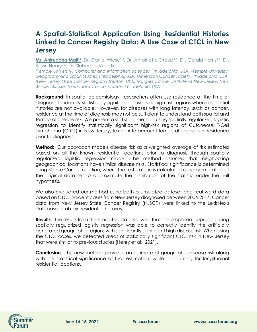### **A Spatial-Statistical Application Using Residential Histories Linked to Cancer Registry Data: A Use Case of CTCL in New Jersey**

**Mr. Aniruddha Maiti**<sup>1</sup>, Dr. Daniel Wiese<sup>2,3</sup>, Dr. Antoinette Stroup<sup>4,5</sup>, Dr. Gerald Harris<sup>4,5</sup>, Dr. Kevin Henry<sup>2,6</sup>, Dr. Slobodan Vucetic<sup>1</sup>

*17 <i>I* Temple University, Computer and Information Sciences, Philadelphia, USA, <sup>2</sup>*Temple University*, *Geography and Urban Studies, Philadelphia, USA, 3American Cancer Society, Philadelphia, USA, <sup>4</sup>New Jersey State Cancer Registry, Trenton, USA, 5Rutgers Cancer Institute of New Jersey, New Brunswick, USA, 6Fox Chase Cancer Center, Philadelphia, USA*

**Background:** In spatial epidemiology, researchers often use residence at the time of diagnosis to identify statistically significant clusters or high-risk regions when residential histories are not available. However, for diseases with long latency, such as cancer, residence at the time of diagnosis may not be sufficient to understand both spatial and temporal disease risk. We present a statistical method using spatially regularized logistic regression to identify statistically significant high-risk regions of Cutaneous T-Cell Lymphoma (CTCL) in New Jersey, taking into account temporal changes in residence prior to diagnosis.

**Method**: Our approach models disease risk as a weighted average of risk estimates based on all the known residential locations prior to diagnosis through spatially regularized logistic regression model. The method assumes that neighboring geographical locations have similar disease risks. Statistical significance is determined using Monte Carlo simulation, where the test statistic is calculated using permutation of the original data set to approximate the distribution of the statistic under the null hypothesis.

We also evaluated our method using both a simulated dataset and real-word data based on CTCL incident cases from New Jersey diagnosed between 2006-2014. Cancer data from New Jersey State Cancer Registry (NJSCR) were linked to the LexisNexis database to obtain residential histories.

**Results**: The results from the simulated data showed that the proposed approach using spatially regularized logistic regression was able to correctly identify the artificially generated geographic regions with significantly significant high disease risk. When using the CTCL cases, we detected areas of statistically significant CTCL risk in New Jersey that were similar to previous studies (Henry et al., 2021).

**Conclusion**: This new method provides an estimate of geographic disease risk along with the statistical significance of that estimation, while accounting for longitudinal residential locations.

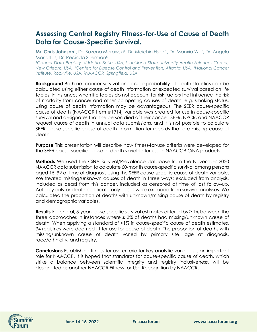#### **Assessing Central Registry Fitness-for-Use of Cause of Death Data for Cause-Specific Survival.**

**Mr. Chris Johnson<sup>1</sup>,** Dr. Bozena Morawski<sup>1</sup>, Dr. Meichin Hsieh<sup>2</sup>, Dr. Manxia Wu<sup>3</sup>, Dr. Angela Mariotto<sup>4</sup>, Dr. Recinda Sherman<sup>5</sup>

*<sup>1</sup>Cancer Data Registry of Idaho, Boise, USA, 2Louisiana State University Health Sciences Center, New Orleans, USA, 3Centers for Disease Control and Prevention, Atlanta, USA, 4National Cancer Institute, Rockville, USA, 5NAACCR, Springfield, USA*

**Background** Both net cancer survival and crude probability of death statistics can be calculated using either cause of death information or expected survival based on life tables. In instances when life tables do not account for risk factors that influence the risk of mortality from cancer and other competing causes of death, e.g. smoking status, using cause of death information may be advantageous. The SEER cause-specific cause of death (NAACCR Item #1914) variable was created for use in cause-specific survival and designates that the person died of their cancer. SEER, NPCR, and NAACCR request cause of death in annual data submissions, and it is not possible to calculate SEER cause-specific cause of death information for records that are missing cause of death.

**Purpose** This presentation will describe how fitness-for-use criteria were developed for the SEER cause-specific cause of death variable for use in NAACCR CiNA products.

**Methods** We used the CiNA Survival/Prevalence database from the November 2020 NAACCR data submission to calculate 60-month cause-specific survival among persons aged 15–99 at time of diagnosis using the SEER cause-specific cause of death variable. We treated missing/unknown causes of death in three ways: excluded from analysis, included as dead from this cancer, included as censored at time of last follow-up. Autopsy only or death certificate only cases were excluded from survival analyses. We calculated the proportion of deaths with unknown/missing cause of death by registry and demographic variables.

**Results** In general, 5-year cause-specific survival estimates differed by ≥ 1% between the three approaches in instances where ≥ 3% of deaths had missing/unknown cause of death. When applying a standard of <1% in cause-specific cause of death estimates, 34 registries were deemed fit-for-use for cause of death. The proportion of deaths with missing/unknown cause of death varied by primary site, age at diagnosis, race/ethnicity, and registry.

**Conclusions** Establishing fitness-for-use criteria for key analytic variables is an important role for NAACCR. It is hoped that standards for cause-specific cause of death, which strike a balance between scientific integrity and registry inclusiveness, will be designated as another NAACCR Fitness-for-Use Recognition by NAACCR.

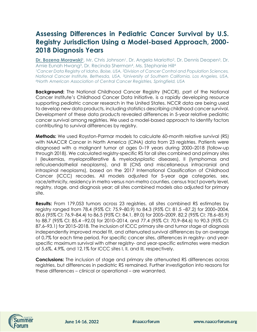### **Assessing Differences in Pediatric Cancer Survival by U.S. Registry Jurisdiction Using a Model-based Approach, 2000- 2018 Diagnosis Years**

**Dr. Bozena Morawski<sup>1</sup>**, Mr. Chris Johnson<sup>1</sup>, Dr. Angela Mariotto<sup>2</sup>, Dr. Dennis Deapen<sup>3</sup>, Dr. Amie Eunah Hwang<sup>3</sup>, Dr. Recinda Sherman<sup>4</sup>, Ms. Stephanie Hill<sup>4</sup>

*<sup>1</sup>Cancer Data Registry of Idaho, Boise, USA, 2Division of Cancer Control and Population Sciences, National Cancer Institute, Bethesda, USA, 3University of Southern California, Los Angeles, USA, <sup>4</sup>North American Association of Central Cancer Registries, Springfield, USA*

**Background:** The National Childhood Cancer Registry (NCCR), part of the National Cancer Institute's Childhood Cancer Data Initiative, is a rapidly developing resource supporting pediatric cancer research in the United States. NCCR data are being used to develop new data products, including statistics describing childhood cancer survival. Development of these data products revealed differences in 5-year relative pediatric cancer survival among registries. We used a model-based approach to identify factors contributing to survival differences by registry.

**Methods:** We used Royston-Parmar models to calculate 60-month relative survival (RS) with NAACCR Cancer in North America (CiNA) data from 23 registries. Patients were diagnosed with a malignant tumor at ages 0–19 years during 2000–2018 (follow-up through 2018). We calculated registry-specific RS for all sites combined and primary sites I (leukemias, myeloproliferative & myelodysplastic diseases), II (lymphomas and reticuloendothelial neoplasms), and III (CNS and miscellaneous intracranial and intraspinal neoplasms), based on the 2017 International Classification of Childhood Cancer (ICCC) recodes. All models adjusted for 5-year age categories, sex, race/ethnicity, residency in metro versus non-metro counties, census tract poverty level, registry, stage, and diagnosis year; all sites combined models also adjusted for primary site.

**Results:** From 179,053 tumors across 23 registries, all sites combined RS estimates by registry ranged from 78.4 (95% CI: 75.9–80.9) to 84.3 (95% CI: 81.5 –87.2) for 2000–2004, 80.6 (95% CI: 76.9–84.4) to 86.5 (95% CI: 84.1, 89.0) for 2005–2009, 82.2 (95% CI: 78.6–85.9) to 88.7 (95% CI: 85.4 –92.0) for 2010–2014, and 77.4 (95% CI: 70.9–84.6) to 90.3 (95% CI: 87.6–93.1) for 2015–2018. The inclusion of ICCC primary site and tumor stage at diagnosis independently improved model fit, and attenuated survival differences by an average of 0.7% for each time period. For specific cancer sites, differences in registry- and yearspecific maximum survival with other registry- and year-specific estimates were median of 5.6%, 4.9%, and 12.1% for ICCC sites I, II, and III, respectively.

**Conclusions:** The inclusion of stage and primary site attenuated RS differences across registries, but differences in pediatric RS remained. Further investigation into reasons for these differences – clinical or operational – are warranted.

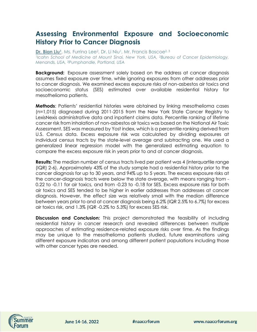#### **Assessing Environmental Exposure and Socioeconomic History Prior to Cancer Diagnosis**

Dr. Bian Liu<sup>1</sup>, Ms. Furrina Lee<sup>2</sup>, Dr. Li Niu<sup>1</sup>, Mr. Francis Boscoe<sup>2, 3</sup> *<sup>1</sup>Icahn School of Medicine at Mount Sinai, New York, USA, 2Bureau of Cancer Epidemiology, Menands, USA, 3Pumphandle, Portland, USA*

**Background:** Exposure assessment solely based on the address at cancer diagnosis assumes fixed exposure over time, while ignoring exposures from other addresses prior to cancer diagnosis. We examined excess exposure risks of non-asbestos air toxics and socioeconomic status (SES) estimated over available residential history for mesothelioma patients.

**Methods**: Patients' residential histories were obtained by linking mesothelioma cases (n=1,015) diagnosed during 2011-2015 from the New York State Cancer Registry to LexisNexis administrative data and inpatient claims data. Percentile ranking of lifetime cancer risk from inhalation of non-asbestos air toxics was based on the National Air Toxic Assessment. SES was measured by Yost index, which is a percentile ranking derived from U.S. Census data. Excess exposure risk was calculated by dividing exposures at individual census tracts by the state-level average and subtracting one. We used a generalized linear regression model with the generalized estimating equation to compare the excess exposure risk in years prior to and at cancer diagnosis.

**Results:** The median number of census tracts lived per patient was 4 (interquartile range (IQR) 2-6). Approximately 43% of the study sample had a residential history prior to the cancer diagnosis for up to 30 years, and 94% up to 5 years. The excess exposure risks at the cancer-diagnosis tracts were below the state average, with means ranging from - 0.22 to -0.11 for air toxics, and from -0.23 to -0.18 for SES. Excess exposure risks for both air toxics and SES tended to be higher in earlier addresses than addresses at cancer diagnosis. However, the effect size was relatively small with the median difference between years prior to and at cancer diagnosis being 6.2% (IQR 2.5% to 6.7%) for excess air toxics risk, and 1.3% (IQR -0.2% to 5.3%) for excess SES risk.

**Discussion and Conclusion:** This project demonstrated the feasibility of including residential history in cancer research and revealed differences between multiple approaches of estimating residence-related exposure risks over time. As the findings may be unique to the mesothelioma patients studied, future examinations using different exposure indicators and among different patient populations including those with other cancer types are needed.

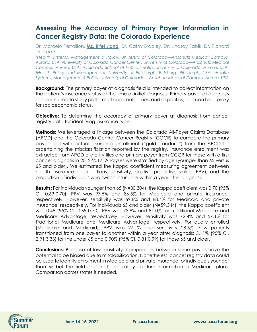### **Assessing the Accuracy of Primary Payer Information in Cancer Registry Data: the Colorado Experience**

Dr. Marcelo Perraillon, **Ms. Rifei Liang**, Dr. Cathy Bradley, Dr. Lindsay Sabik, Dr. Richard Lindrooth

*<sup>1</sup>Health Systems, Management & Policy, University of Colorado—Anschutz Medical Campus, Aurora, USA, 2University of Colorado Cancer Center, University of Colorado—Anschutz Medical Campus, Aurora, USA, 3Colorado School of Public Health, University of Colorado, Aurora, USA, <sup>4</sup>Health Policy and Management, University of Pittsburgh, Pittsburg, Pittsburgh, USA, 5Health Systems, Management & Policy, University of Colorado—Anschutz Medical Campus, Aurora, USA*

**Background:** The primary payer at diagnosis field is intended to collect information on the patient's insurance status at the time of initial diagnosis. Primary payer at diagnosis has been used to study patterns of care, outcomes, and disparities, as it can be a proxy for socioeconomic status.

**Objective:** To determine the accuracy of primary payer at diagnosis from cancer registry data for identifying insurance type.

**Methods:** We leveraged a linkage between the Colorado All-Payer Claims Database (APCD) and the Colorado Central Cancer Registry (CCCR) to compare the primary payer field with actual insurance enrollment ("gold standard") from the APCD for ascertaining the misclassification reported by the registry. Insurance enrollment was extracted from APCD eligibility files and primary payer from CCCR for those with a first cancer diagnosis in 2012-2017. Analyses were stratified by age (younger than 65 versus 65 and older). We estimated the Kappa coefficient measuring agreement between health insurance classifications, sensitivity, positive predictive value (PPV), and the proportion of individuals who switch insurance within a year after diagnosis.

**Results:** For individuals younger than 65 (N=30,304), the Kappa coefficient was 0.70 (95% CI, 0.69-0.70). PPV was 97.5% and 86.5% for Medicaid and private insurance, respectively. However, sensitivity was 69.8% and 88.4% for Medicaid and private insurance, respectively. For individuals 65 and older (N=59,344), the Kappa coefficient was 0.48 (95% CI, 0.69-0.70). PPV was 73.9% and 81.0% for Traditional Medicare and Medicare Advantage, respectively. However, sensitivity was 72.4% and 57.1% for Traditional Medicare and Medicare Advantage, respectively. For dually enrolled (Medicare and Medicaid), PPV was 27.1% and sensitivity 28.6%. Few patients transitioned from one payer to another within a year after diagnosis: 3.11% (95% CI, 2.91,3.33) for the under 65 and 0.90% (95% CI, 0.81,0.99) for those 65 and older.

**Conclusions:** Because of low sensitivity, comparisons between some payers have the potential to be biased due to misclassification. Nonetheless, cancer registry data could be used to identify enrollment in Medicaid and private insurance for individuals younger than 65 but the field does not accurately capture information in Medicare plans. Comparison across states is needed.

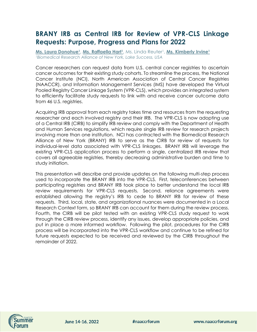#### **BRANY IRB as Central IRB for Review of VPR-CLS Linkage Requests: Purpose, Progress and Plans for 2022**

**Ms. Laura Donohue<sup>1</sup>** , **Ms. Raffaella Hart<sup>1</sup>** , Ms. Linda Reuter<sup>1</sup> , **Ms. Kimberly Irvine<sup>1</sup>** *<sup>1</sup>Biomedical Research Alliance of New York, Lake Success, USA*

Cancer researchers can request data from U.S. central cancer registries to ascertain cancer outcomes for their existing study cohorts. To streamline the process, the National Cancer Institute (NCI), North American Association of Central Cancer Registries (NAACCR), and Information Management Services (IMS) have developed the Virtual Pooled Registry Cancer Linkage System (VPR-CLS), which provides an integrated system to efficiently facilitate study requests to link with and receive cancer outcome data from 46 U.S. registries.

Acquiring IRB approval from each registry takes time and resources from the requesting researcher and each involved registry and their IRB. The VPR-CLS is now adopting use of a Central IRB (CIRB) to simplify IRB review and comply with the Department of Health and Human Services regulations, which require single IRB review for research projects involving more than one institution. NCI has contracted with the Biomedical Research Alliance of New York (BRANY) IRB to serve as the CIRB for review of requests for individual-level data associated with VPR-CLS linkages. BRANY IRB will leverage the existing VPR-CLS application process to perform a single, centralized IRB review that covers all agreeable registries, thereby decreasing administrative burden and time to study initiation.

This presentation will describe and provide updates on the following multi-step process used to incorporate the BRANY IRB into the VPR-CLS. First, teleconferences between participating registries and BRANY IRB took place to better understand the local IRB review requirements for VPR-CLS requests. Second, reliance agreements were established allowing the registry's IRB to cede to BRANY IRB for review of these requests. Third, local, state, and organizational nuances were documented in a Local Research Context form, so BRANY IRB can account for them during the review process. Fourth, the CIRB will be pilot tested with an existing VPR-CLS study request to work through the CIRB review process, identify any issues, develop appropriate policies, and put in place a more informed workflow. Following the pilot, procedures for the CIRB process will be incorporated into the VPR-CLS workflow and continue to be refined for future requests expected to be received and reviewed by the CIRB throughout the remainder of 2022.

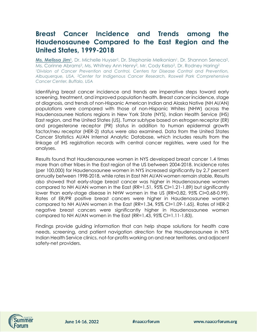#### **Breast Cancer Incidence and Trends among the Haudenosaunee Compared to the East Region and the United States, 1999-2018**

Ms. Melissa Jim<sup>1</sup>, Dr. Michelle Huyser<sup>2</sup>, Dr. Stephanie Melkonian<sup>1</sup>, Dr. Shannon Seneca<sup>2</sup>, Ms. Corinne Abrams<sup>2</sup>, Ms. Whitney Ann Henry<sup>2</sup>, Mr. Cody Kelso<sup>2</sup>, Dr. Rodney Haring<sup>2</sup> *<sup>1</sup>Division of Cancer Prevention and Control, Centers for Disease Control and Prevention, Albuquerque, USA, 2Center for Indigenous Cancer Research, Roswell Park Comprehensive Cancer Center, Buffalo, USA*

Identifying breast cancer incidence and trends are imperative steps toward early screening, treatment, and improved population health. Breast cancer incidence, stage at diagnosis, and trends of non-Hispanic American Indian and Alaska Native (NH AI/AN) populations were compared with those of non-Hispanic Whites (NHW) across the Haudenosaunee Nations regions in New York State (NYS), Indian Health Service (IHS) East region, and the United States (US). Tumor subtype based on estrogen receptor (ER) and progesterone receptor (PR) status in addition to human epidermal growth factor/neu receptor (HER-2) status were also examined. Data from the United States Cancer Statistics AI/AN Internal Analytic Database, which includes results from the linkage of IHS registration records with central cancer registries, were used for the analyses.

Results found that Haudenosaunee women in NYS developed breast cancer 1.4 times more than other tribes in the East region of the US between 2004-2018. Incidence rates (per 100,000) for Haudenosaunee women in NYS increased significantly by 2.7 percent annually between 1998-2018, while rates in East NH AI/AN women remain stable. Results also showed that early-stage breast cancer was higher in Haudenosaunee women compared to NH AI/AN women in the East (RR=1.51, 95% CI=1.21-1.89) but significantly lower than early-stage disease in NHW women in the US (RR=0.82, 95% CI=0.68-0.99). Rates of ER/PR positive breast cancers were higher in Haudenosaunee women compared to NH AI/AN women in the East (RR=1.34, 95% CI=1.09-1.65). Rates of HER-2 negative breast cancers were significantly higher in Haudenosaunee women compared to NH AI/AN women in the East (RR=1.43, 95% CI=1.11-1.83).

Findings provide guiding information that can help shape solutions for health care needs, screening, and patient navigation direction for the Haudenosaunee in NYS Indian Health Service clinics, not-for-profits working on and near territories, and adjacent safety-net providers.

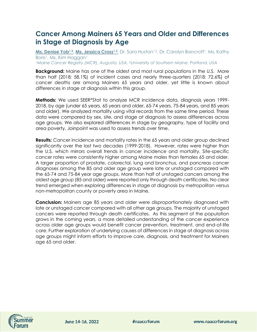#### **Cancer Among Mainers 65 Years and Older and Differences in Stage at Diagnosis by Age**

**Ms. Denise Yob1,2** , **Ms. Jessica Cross1,2**, Dr. Sara Huston1,2, Dr. Carolyn Bancroft<sup>1</sup> , Ms. Kathy Boris<sup>1</sup>, Ms. Kim Haggan<sup>1</sup> *<sup>1</sup>Maine Cancer Registry (MCR), Augusta, USA, 2University of Southern Maine, Portland, USA*

**Background:** Maine has one of the oldest and most rural populations in the U.S. More than half (2018: 58.1%) of incident cases and nearly three-quarters (2018: 72.6%) of cancer deaths are among Mainers 65 years and older, yet little is known about differences in stage at diagnosis within this group.

**Methods:** We used SEER\*Stat to analyze MCR incidence data, diagnosis years 1999- 2018, by age (under 65 years, 65 years and older, 65-74 years, 75-84 years, and 85 years and older). We analyzed mortality using vital records from the same time period. These data were compared by sex, site, and stage at diagnosis to assess differences across age groups. We also explored differences in stage by geography, type of facility and area poverty. Joinpoint was used to assess trends over time.

**Results:** Cancer incidence and mortality rates in the 65 years and older group declined significantly over the last two decades (1999-2018). However, rates were higher than the U.S. which mirrors overall trends in cancer incidence and mortality. Site-specific cancer rates were consistently higher among Maine males than females 65 and older. A larger proportion of prostate, colorectal, lung and bronchus, and pancreas cancer diagnoses among the 85 and older age group were late or unstaged compared with the 65-74 and 75-84 year age groups. More than half of unstaged cancers among the oldest age group (85 and older) were reported only through death certificates. No clear trend emerged when exploring differences in stage at diagnosis by metropolitan versus non-metropolitan county or poverty area in Maine.

**Conclusion:** Mainers age 85 years and older were disproportionately diagnosed with late or unstaged cancer compared with all other age groups. The majority of unstaged cancers were reported through death certificates. As this segment of the population grows in the coming years, a more detailed understanding of the cancer experience across older age groups would benefit cancer prevention, treatment, and end-of-life care. Further exploration of underlying causes of differences in stage at diagnosis across age groups might inform efforts to improve care, diagnosis, and treatment for Mainers age 65 and older.

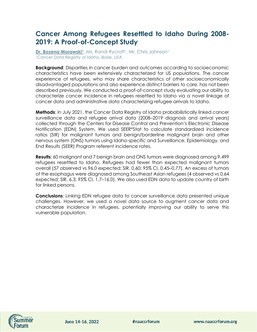#### **Cancer Among Refugees Resettled to Idaho During 2008- 2019: A Proof-of-Concept Study**

Dr. Bozena Morawski<sup>1</sup>, Ms. Randi Rycroft<sup>1</sup>, Mr. Chris Johnson<sup>1</sup> *<sup>1</sup>Cancer Data Registry of Idaho, Boise, USA*

**Background**: Disparities in cancer burden and outcomes according to socioeconomic characteristics have been extensively characterized for US populations. The cancer experience of refugees, who may share characteristics of other socioeconomically disadvantaged populations and also experience distinct barriers to care, has not been described previously. We conducted a proof-of-concept study evaluating our ability to characterize cancer incidence in refugees resettled to Idaho via a novel linkage of cancer data and administrative data characterizing refugee arrivals to Idaho.

**Methods**: In July 2021, the Cancer Data Registry of Idaho probabilistically linked cancer surveillance data and refugee arrival data (2008–2019 diagnosis and arrival years) collected through the Centers for Disease Control and Prevention's Electronic Disease Notification (EDN) System. We used SEER\*Stat to calculate standardized incidence ratios (SIR) for malignant tumors and benign/borderline malignant brain and other nervous system (ONS) tumors using Idaho-specific and Surveillance, Epidemiology, and End Results (SEER) Program referent incidence rates.

**Results**: 60 malignant and 7 benign brain and ONS tumors were diagnosed among 9,499 refugees resettled to Idaho. Refugees had fewer than expected malignant tumors overall (57 observed vs 96.0 expected; SIR, 0.60; 95% CI, 0.45–0.77). An excess of tumors of the esophagus were diagnosed among Southeast Asian refugees (4 observed vs 0.64 expected; SIR, 6.3; 95% CI, 1.7–16.0). We also used EDN data to update country of birth for linked persons.

**Conclusions**: Linking EDN refugee data to cancer surveillance data presented unique challenges. However, we used a novel data source to augment cancer data and characterize incidence in refugees, potentially improving our ability to serve this vulnerable population.

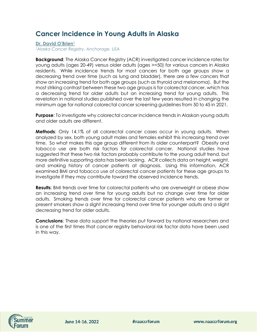### **Cancer Incidence in Young Adults in Alaska**

**Dr. David O'Brien<sup>1</sup>** *<sup>1</sup>Alaska Cancer Registry, Anchorage, USA*

**Background**: The Alaska Cancer Registry (ACR) investigated cancer incidence rates for young adults (ages 20-49) versus older adults (ages >=50) for various cancers in Alaska residents. While incidence trends for most cancers for both age groups show a decreasing trend over time (such as lung and bladder), there are a few cancers that show an increasing trend for both age groups (such as thyroid and melanoma). But the most striking contrast between these two age groups is for colorectal cancer, which has a decreasing trend for older adults but an increasing trend for young adults. This revelation in national studies published over the last few years resulted in changing the minimum age for national colorectal cancer screening guidelines from 50 to 45 in 2021.

**Purpose**: To investigate why colorectal cancer incidence trends in Alaskan young adults and older adults are different.

**Methods**: Only 14.1% of all colorectal cancer cases occur in young adults. When analyzed by sex, both young adult males and females exhibit this increasing trend over time. So what makes this age group different from its older counterpart? Obesity and tobacco use are both risk factors for colorectal cancer. National studies have suggested that these two risk factors probably contribute to the young adult trend, but more definitive supporting data has been lacking. ACR collects data on height, weight, and smoking history of cancer patients at diagnosis. Using this information, ACR examined BMI and tobacco use of colorectal cancer patients for these age groups to investigate if they may contribute toward the observed incidence trends.

**Results**: BMI trends over time for colorectal patients who are overweight or obese show an increasing trend over time for young adults but no change over time for older adults. Smoking trends over time for colorectal cancer patients who are former or present smokers show a slight increasing trend over time for younger adults and a slight decreasing trend for older adults.

**Conclusions**: These data support the theories put forward by national researchers and is one of the first times that cancer registry behavioral risk factor data have been used in this way.

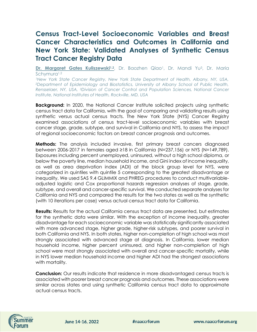### **Census Tract-Level Socioeconomic Variables and Breast Cancer Characteristics and Outcomes in California and New York State: Validated Analyses of Synthetic Census Tract Cancer Registry Data**

**Dr. Margaret Gates Kuliszewski<sup>1,2</sup>, Dr. Baozhen Qiao<sup>1</sup>, Dr. Mandi Yu<sup>3</sup>, Dr. Maria** Schymura<sup>1,2</sup>

*<sup>1</sup>New York State Cancer Registry, New York State Department of Health, Albany, NY, USA, <sup>2</sup>Department of Epidemiology and Biostatistics, University at Albany School of Public Health, Rensselaer, NY, USA, 3Division of Cancer Control and Population Sciences, National Cancer Institute, National Institutes of Health, Rockville, MD, USA*

**Background:** In 2020, the National Cancer Institute solicited projects using synthetic census tract data for California, with the goal of comparing and validating results using synthetic versus actual census tracts. The New York State (NYS) Cancer Registry examined associations of census tract-level socioeconomic variables with breast cancer stage, grade, subtype, and survival in California and NYS, to assess the impact of regional socioeconomic factors on breast cancer prognosis and outcomes.

**Methods:** The analysis included invasive, first primary breast cancers diagnosed between 2006-2017 in females aged ≥18 in California (N=237,156) or NYS (N=149,789). Exposures including percent unemployed, uninsured, without a high school diploma, or below the poverty line, median household income, and Gini index of income inequality, as well as area deprivation index (ADI) at the block group level for NYS, were categorized in quintiles with quintile 5 corresponding to the greatest disadvantage or inequality. We used SAS 9.4 GLIMMIX and PHREG procedures to conduct multivariableadjusted logistic and Cox proportional hazards regression analyses of stage, grade, subtype, and overall and cancer-specific survival. We conducted separate analyses for California and NYS and compared the results for the two states as well as the synthetic (with 10 iterations per case) versus actual census tract data for California.

**Results:** Results for the actual California census tract data are presented, but estimates for the synthetic data were similar. With the exception of income inequality, greater disadvantage for each socioeconomic variable was statistically significantly associated with more advanced stage, higher grade, higher-risk subtypes, and poorer survival in both California and NYS. In both states, higher non-completion of high school was most strongly associated with advanced stage at diagnosis. In California, lower median household income, higher percent uninsured, and higher non-completion of high school were most strongly associated with overall and cancer-specific mortality, while in NYS lower median household income and higher ADI had the strongest associations with mortality.

**Conclusion:** Our results indicate that residence in more disadvantaged census tracts is associated with poorer breast cancer prognosis and outcomes. These associations were similar across states and using synthetic California census tract data to approximate actual census tracts.

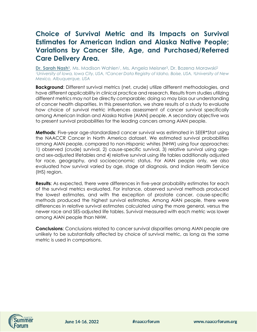### **Choice of Survival Metric and its Impacts on Survival Estimates for American Indian and Alaska Native People; Variations by Cancer Site, Age, and Purchased/Referred Care Delivery Area.**

**Dr. Sarah Nash<sup>1</sup>**, Ms. Madison Wahlen<sup>1</sup>, Ms. Angela Meisner<sup>3</sup>, Dr. Bozena Morawski<sup>2</sup> *<sup>1</sup>University of Iowa, Iowa City, USA, 2Cancer Data Registry of Idaho, Boise, USA, 3University of New Mexico, Albuquerque, USA*

**Background**: Different survival metrics (net, crude) utilize different methodologies, and have different applicability in clinical practice and research. Results from studies utilizing different metrics may not be directly comparable; doing so may bias our understanding of cancer health disparities. In this presentation, we share results of a study to evaluate how choice of survival metric influences assessment of cancer survival specifically among American Indian and Alaska Native (AIAN) people. A secondary objective was to present survival probabilities for the leading cancers among AIAN people.

**Methods**: Five-year age-standardized cancer survival was estimated in SEER\*Stat using the NAACCR Cancer in North America dataset. We estimated survival probabilities among AIAN people, compared to non-Hispanic whites (NHW) using four approaches: 1) observed (crude) survival, 2) cause-specific survival, 3) relative survival using ageand sex-adjusted lifetables and 4) relative survival using life tables additionally adjusted for race, geography, and socioeconomic status. For AIAN people only, we also evaluated how survival varied by age, stage at diagnosis, and Indian Health Service (IHS) region.

**Results**: As expected, there were differences in five-year probability estimates for each of the survival metrics evaluated. For instance, observed survival methods produced the lowest estimates, and with the exception of prostate cancer, cause-specific methods produced the highest survival estimates. Among AIAN people, there were differences in relative survival estimates calculated using the more general, versus the newer race and SES-adjusted life tables. Survival measured with each metric was lower among AIAN people than NHW.

**Conclusions**: Conclusions related to cancer survival disparities among AIAN people are unlikely to be substantially affected by choice of survival metric, as long as the same metric is used in comparisons.

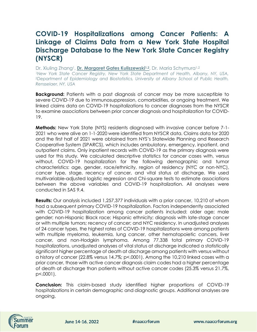### **COVID-19 Hospitalizations among Cancer Patients: A Linkage of Claims Data from a New York State Hospital Discharge Database to the New York State Cancer Registry (NYSCR)**

Dr. Xiuling Zhang<sup>1</sup> , **Dr. Margaret Gates Kuliszewski1,2**, Dr. Maria Schymura1,2 *<sup>1</sup>New York State Cancer Registry, New York State Department of Health, Albany, NY, USA, <sup>2</sup>Department of Epidemiology and Biostatistics, University at Albany School of Public Health, Rensselaer, NY, USA*

**Background:** Patients with a past diagnosis of cancer may be more susceptible to severe COVID-19 due to immunosuppression, comorbidities, or ongoing treatment. We linked claims data on COVID-19 hospitalizations to cancer diagnoses from the NYSCR to examine associations between prior cancer diagnosis and hospitalization for COVID-19.

**Methods:** New York State (NYS) residents diagnosed with invasive cancer before 7-1-2021 who were alive on 1-1-2020 were identified from NYSCR data. Claims data for 2020 and the first half of 2021 were obtained from NYS's Statewide Planning and Research Cooperative System (SPARCS), which includes ambulatory, emergency, inpatient, and outpatient claims. Only inpatient records with COVID-19 as the primary diagnosis were used for this study. We calculated descriptive statistics for cancer cases with, versus without, COVID-19 hospitalization for the following demographic and tumor characteristics: age, gender, race/ethnicity, region of residency (NYC or non-NYC), cancer type, stage, recency of cancer, and vital status at discharge. We used multivariable-adjusted logistic regression and Chi-square tests to estimate associations between the above variables and COVID-19 hospitalization. All analyses were conducted in SAS 9.4.

**Results:** Our analysis included 1,257,377 individuals with a prior cancer, 10,210 of whom had a subsequent primary COVID-19 hospitalization. Factors independently associated with COVID-19 hospitalization among cancer patients included: older age; male gender; non-Hispanic Black race; Hispanic ethnicity; diagnosis with late-stage cancer or with multiple tumors; recency of cancer; and NYC residency. In unadjusted analyses of 24 cancer types, the highest rates of COVID-19 hospitalizations were among patients with multiple myeloma, leukemia, lung cancer, other hematopoietic cancers, liver cancer, and non-Hodgkin lymphoma. Among 77,338 total primary COVID-19 hospitalizations, unadjusted analyses of vital status at discharge indicated a statistically significant higher percentage of death at discharge among patients with versus without a history of cancer (22.8% versus 14.7%; p<.0001). Among the 10,210 linked cases with a prior cancer, those with active cancer diagnosis claim codes had a higher percentage of death at discharge than patients without active cancer codes (25.3% versus 21.7%, p<.0001).

**Conclusion:** This claim-based study identified higher proportions of COVID-19 hospitalizations in certain demographic and diagnostic groups. Additional analyses are ongoing.

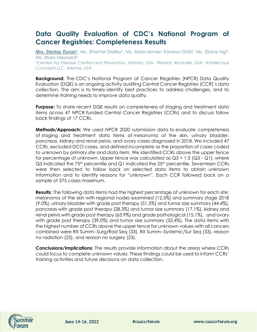#### **Data Quality Evaluation of CDC's National Program of Cancer Registries: Completeness Results**

**Mrs. Denise Duran**<sup>1</sup>, Ms. Shantel Dailey<sup>3</sup>, Ms. Maricarmen Traveso-Ortiz<sup>2</sup>, Ms. Diane Ng<sup>2</sup>, Ms. Mary Mesnard<sup>2</sup> *<sup>1</sup>Centers for Disease Control and Prevention, Atlanta, USA, 2Westat, Rockville, USA, 3Intellectual Concepts LLC, Atlanta, USA*

**Background:** The CDC's National Program of Cancer Registries (NPCR) Data Quality Evaluation (DQE) is an ongoing activity auditing Central Cancer Registries (CCR)'s data collection. The aim is to timely identify best practices to address challenges, and to determine training needs to improve data quality.

**Purpose:** To share recent DQE results on completeness of staging and treatment data items across 47 NPCR-funded Central Cancer Registries (CCRs) and to discuss follow back findings of 17 CCRs.

**Methods/Approach:** We used NPCR 2020 submission data to evaluate completeness of staging and treatment data items of melanoma of the skin, urinary bladder, pancreas, kidney and renal pelvis, and ovary cases diagnosed in 2018. We included 47 CCRs, excluded DCO cases, and defined incomplete as the proportion of cases coded to unknown by primary site and data item. We identified CCRs above the upper fence for percentage of unknown. Upper fence was calculated as Q3 + 1.5 (Q3 - Q1), where  $Q3$  indicated the 75<sup>th</sup> percentile and  $Q1$  indicated the 25<sup>th</sup> percentile. Seventeen CCRs were then selected to follow back on selected data items to obtain unknown information and to identify reasons for "unknown". Each CCR followed back on a sample of 375 cases maximum.

**Results:** The following data items had the highest percentage of unknown for each site: melanoma of the skin with regional nodes examined (12.5%) and summary stage 2018 (9.0%), urinary bladder with grade post therapy (51.5%) and tumor size summary (44.4%), pancreas with grade post therapy (28.3%) and tumor size summary (17.1%), kidney and renal pelvis with grade post therapy (63.9%) and grade pathological (15.1%), and ovary with grade post therapy (39.0%) and tumor size summary (32.4%). The data items with the highest number of CCRs above the upper fence for unknown values with all cancers combined were RX Summ--Surg/Rad Seq (33), RX Summ--Systemic/Sur Seq (33), reason no radiation (25), and reason no surgery (23).

**Conclusions/Implications:** The results provide information about the areas where CCRs could focus to complete unknown values. These findings could be used to inform CCRs' training activities and future decisions on data collection.

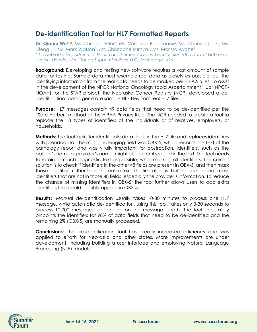### **De-identification Tool for HL7 Formatted Reports**

Dr. Qianru Wu<sup>1, 2</sup>, Ms. Christina Hiller<sup>3</sup>, Ms. Veronica Boudreaux<sup>3</sup>, Ms. Connie Ganz<sup>1</sup>, Ms. Lifeng Li<sup>1</sup>, Mr. Mark Watson<sup>1</sup>, Mr. Christophe Irumva<sup>1</sup>, Ms. Marissa Ayotte<sup>1</sup> *1The Nebraska Department of Health and Human Services, Lincoln, USA, 2University of Nebraska-Lincoln, Lincoln, USA, 3Tanaq Support Services, LLC, Anchorage, USA*

**Background:** Developing and testing new software requires a vast amount of sample data for testing. Sample data must resemble real data as closely as possible, but the identifying information from the real data needs to be masked per HIPAA rules. To assist in the development of the NPCR National Oncology rapid Ascertainment Hub (NPCR-NOAH) for the STAR project, the Nebraska Cancer Registry (NCR) developed a deidentification tool to generate sample HL7 files from real HL7 files.

**Purpose:** HL7 messages contain 49 data fields that need to be de-identified per the "Safe Harbor" method of the HIPAA Privacy Rule. The NCR needed to create a tool to replace the 18 types of identifiers of the individuals or of relatives, employers, or households.

**Methods:** The tool looks for identifiable data fields in the HL7 file and replaces identifiers with pseudodata. The most challenging field was OBX-5, which records the text of the pathology report and was vitally important for abstraction. Identifiers, such as the patient's name or provider's name, might also be embedded in the text. The tool needs to retain as much diagnostic text as possible, while masking all identifiers. The current solution is to check if identifiers in the other 48 fields are present in OBX-5, and then mask those identifiers rather than the entire text. The limitation is that the tool cannot mask identifiers that are not in those 48 fields, especially the provider's information. To reduce the chance of missing identifiers in OBX-5, the tool further allows users to add extra identifiers that could possibly appear in OBX-5.

**Results:** Manual de-identification usually takes 10-30 minutes to process one HL7 message, while automatic de-identification, using this tool, takes only 3-30 seconds to process 10,000 messages, depending on the message length. The tool accurately pinpoints the identifiers for 98% of data fields that need to be de-identified and the remaining 2% (OBX-5) are manually processed.

**Conclusions:** The de-identification tool has greatly increased efficiency and was applied to ePath for Nebraska and other states. More improvements are under development, including building a user interface and employing Natural Language Processing (NLP) models.

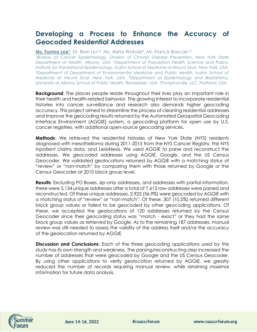#### **Developing a Process to Enhance the Accuracy of Geocoded Residential Addresses**

**Ms. Furrina Lee<sup>1</sup>** , Dr. Bian Liu2,3, Ms. Aisha Wahab<sup>4</sup> , Mr. Francis Boscoe1,5

*<sup>1</sup>Bureau of Cancer Epidemiology, Division of Chronic Disease Prevention, New York State Department of Health, Albany, USA, 2Department of Population Health Science and Policy, Institute for Translational Epidemiology, Icahn School of Medicine at Mount Sinai, New York, USA, <sup>3</sup>Department of Department of Environmental Medicine and Public Health, Icahn School of Medicine at Mount Sinai, New York, USA, 4Department of Epidemiology and Biostatistics, University at Albany School of Public Health, Rensselaer, USA, 5Pumphandle, LLC, Portland, USA*

**Background**: The places people reside throughout their lives play an important role in their health and health-related behavior. The growing interest to incorporate residential histories into cancer surveillance and research also demands higher geocoding accuracy. This project aimed to streamline the process of cleaning residential addresses and improve the geocoding results returned by the Automated Geospatial Geocoding Interface Environment (AGGIE) system, a geocoding platform for open use by U.S. cancer registries, with additional open-source geocoding services.

**Methods**: We retrieved the residential histories of New York State (NYS) residents diagnosed with mesothelioma during 2011-2015 from the NYS Cancer Registry, the NYS inpatient claims data, and LexisNexis. We used AGGIE to parse and reconstruct the addresses. We geocoded addresses using AGGIE, Google, and the US Census Geocoder. We validated geolocations returned by AGGIE with a matching status of "review" or "non-match" by comparing them with those returned by Google or the Census Geocoder at 2010 block group level.

**Results**: Excluding PO Boxes, zip-only addresses, and addresses with partial information, there were 5,134 unique addresses after a total of 7,612 raw addresses were parsed and reconstructed. Of these unique addresses, 2,922 (56.9%) were geocoded by AGGIE with a matching status of "review" or "non-match". Of these, 307 (10.5%) returned different block group values or failed to be geocoded by other geocoding applications. Of these, we accepted the geolocations of 120 addresses returned by the Census Geocoder since their geocoding status was "match - exact" or they had the same block group values as retrieved by Google. As to the remaining 187 addresses, manual review was still needed to assess the validity of the address itself and/or the accuracy of the geolocation returned by AGGIE.

**Discussion and Conclusions**: Each of the three geocoding applications used by this study has its own strength and weakness. The parsing/reconstructing step increased the number of addresses that were geocoded by Google and the US Census Geocoder. By using other applications to verify geolocation returned by AGGIE, we greatly reduced the number of records requiring manual review, while retaining maximal information for future data analysis.

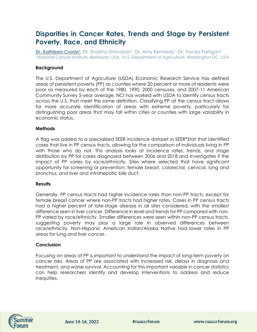#### **Disparities in Cancer Rates, Trends and Stage by Persistent Poverty, Race, and Ethnicity**

**Dr. Kathleen Cronin<sup>1</sup>, Dr. Shobha Srinivasan<sup>1</sup>, Dr. Amy Kennedy<sup>1</sup>, Dr. Tracey Farrigan<sup>2</sup>** *<sup>1</sup>National Cancer Institute, Bethesda, USA, 2U.S. Department of Agriculture, Washington DC, USA*

#### **Background**

The U.S. Department of Agriculture (USDA) Economic Research Service has defined areas of persistent poverty (PP) as counties where 20 percent or more of residents were poor as measured by each of the 1980, 1990, 2000 censuses, and 2007-11 American Community Survey 5-year average. NCI has worked with USDA to identify census tracts across the U.S. that meet this same definition. Classifying PP at the census tract allows for more accurate identification of areas with extreme poverty, particularly for distinguishing poor areas that may fall within cities or counties with large variability in economic status.

#### **Methods**

A flag was added to a specialized SEER incidence dataset in SEER\*Stat that identified cases that live in PP census tracts, allowing for the comparison of individuals living in PP with those who do not. This analysis looks at incidence rates, trends, and stage distribution by PP for cases diagnosed between 2006 and 2018 and investigates if the impact of PP varies by race/ethnicity. Sites where selected that have significant opportunity for screening or prevention: female breast, colorectal, cervical, lung and bronchus, and liver and intrahepatic bile duct.

#### **Results**

Generally, PP census tracts had higher incidence rates than non-PP tracts, except for female breast cancer where non-PP tracts had higher rates. Cases in PP census tracts had a higher percent of late-stage disease in all sites considered, with the smallest difference seen in liver cancer. Difference in level and trends for PP compared with non-PP varied by race/ethnicity. Smaller differences were seen within non-PP census tracts, suggesting poverty may play a large role in observed differences between race/ethnicity. Non-Hispanic American Indian/Alaska Native had lower rates in PP areas for lung and liver cancer.

#### **Conclusion**

Focusing on areas of PP is important to understand the impact of long-term poverty on cancer risks. Areas of PP are associated with increased risk, delays in diagnosis and treatment, and worse survival. Accounting for this important variable in cancer statistics can help researchers identify and develop interventions to address and reduce inequities.

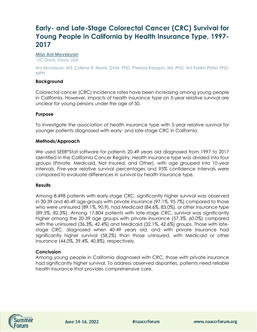### **Early- and Late-Stage Colorectal Cancer (CRC) Survival for Young People in California by Health Insurance Type, 1997- 2017**

#### **Miss Ani Movsisyan**

*<sup>1</sup>UC Davis, Davis, USA*

*Ani Movsisyan, MS, Cyllene R. Morris, DVM, PhD, Theresa Keegan, MS, PhD, Arti Parikh-Patel, PhD, MPH*

#### **Background**

Colorectal cancer (CRC) incidence rates have been increasing among young people in California. However, impacts of health insurance type on 5-year relative survival are unclear for young persons under the age of 50.

#### **Purpose**

To investigate the association of health insurance type with 5-year relative survival for younger patients diagnosed with early- and late-stage CRC in California.

#### **Methods/Approach**

We used SEER\*Stat software for patients 20-49 years old diagnosed from 1997 to 2017 identified in the California Cancer Registry. Health insurance type was divided into four groups (Private, Medicaid, Not Insured, and Other), with age grouped into 10-year intervals. Five-year relative survival percentages and 95% confidence intervals were compared to evaluate differences in survival by health insurance type.

#### **Results**

Among 8,498 patients with early-stage CRC, significantly higher survival was observed in 30-39 and 40-49 age groups with private insurance (97.1%, 95.7%) compared to those who were uninsured (89.1%, 90.9), had Medicaid (84.6%, 83.0%), or other insurance type (89.5%, 82.3%). Among 17,804 patients with late-stage CRC, survival was significantly higher among the 20-39 age groups with private insurance (57.3%, 60.0%) compared with the uninsured (36.3%, 42.4%) and Medicaid (32.1%, 42.6%) groups. Those with latestage CRC, diagnosed when 40-49 years old, and with private insurance had significantly higher survival (58.2%) than those uninsured, with Medicaid or other insurance (44.0%, 39.4%, 40.8%), respectively.

#### **Conclusion**

Among young people in California diagnosed with CRC, those with private insurance had significantly higher survival. To address observed disparities, patients need reliable health insurance that provides comprehensive care.

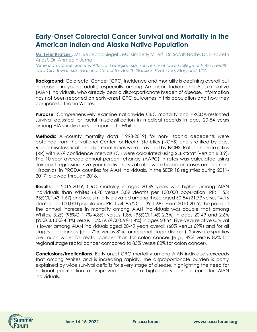### **Early-Onset Colorectal Cancer Survival and Mortality in the American Indian and Alaska Native Population**

Mr. Tyler Kratzer<sup>1</sup>, Ms. Rebecca Siegel<sup>1</sup>, Ms. Kimberly Miller<sup>1</sup>, Dr. Sarah Nash<sup>2</sup>, Dr. Elizabeth Arias<sup>3</sup>, Dr. Ahmedin Jemal<sup>1</sup> *<sup>1</sup>American Cancer Society, Atlanta, Georgia, USA, 2University of Iowa College of Public Health, Iowa City, Iowa, USA, 3National Center for Health Statistics, Hyattsville, Maryland, USA*

**Background:** Colorectal Cancer (CRC) incidence and mortality is declining overall but increasing in young adults, especially among American Indian and Alaska Native (AIAN) individuals, who already bear a disproportionate burden of disease. Information has not been reported on early-onset CRC outcomes in this population and how they compare to that in Whites.

**Purpose**: Comprehensively examine nationwide CRC mortality and PRCDA-restricted survival adjusted for racial misclassification in medical records in ages 20-54 years among AIAN individuals compared to Whites.

**Methods**: All-county mortality data (1998-2019) for non-Hispanic decedents were obtained from the National Center for Health Statistics (NCHS) and stratified by age. Racial misclassification adjustment ratios were provided by NCHS. Rates and rate ratios (RR) with 95% confidence intervals (CI) were calculated using SEER\*Stat (version 8.3.9). The 10-year average annual percent change (AAPC) in rates was calculated using Joinpoint regression. Five-year relative survival rates were based on cases among non-Hispanics, in PRCDA counties for AIAN individuals, in the SEER 18 registries during 2011- 2017 followed through 2018.

**Results**: In 2015-2019, CRC mortality in ages 20-49 years was higher among AIAN individuals than Whites (4.78 versus 3.09 deaths per 100,000 population, RR: 1.55; 95%CI,1.43-1.67) and was similarly elevated among those aged 50-54 (21.73 versus 14.16 deaths per 100,000 population, RR: 1.54; 95% CI,1.39-1.68). From 2010-2019, the pace of the annual increase in mortality among AIAN individuals was double that among Whites, 3.2% (95%CI,1.7%-4.8%) versus 1.8% (95%CI,1.4%-2.3%) in ages 20-49 and 2.6% (95%CI,1.0%-4.3%) versus 1.0% (95%CI,0.6%-1.4%) in ages 50-54. Five-year relative survival is lower among AIAN individuals aged 20-49 years overall (60% versus 69%) and for all stages of diagnosis (e.g. 72% versus 82% for regional stage disease). Survival disparities are much wider for rectal cancer than for colon cancer (e.g., 49% versus 82% for regional stage rectal cancer compared to 83% versus 82% for colon cancer).

**Conclusions/Implications**: Early-onset CRC mortality among AIAN individuals exceeds that among Whites and is increasing rapidly. The disproportionate burden is partly explained by wide survival deficits for every stage of disease, highlighting the need for national prioritization of improved access to high-quality cancer care for AIAN individuals.

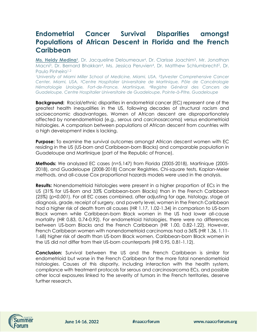### **Endometrial Cancer Survival Disparities amongst Populations of African Descent in Florida and the French Caribbean**

**Ms. Heidy Medina**<sup>1</sup>, Dr. Jacqueline Deloumeaux<sup>4</sup>, Dr. Clarisse Joachim<sup>3</sup>, Mr. Jonathan Macni<sup>3</sup>, Dr. Bernard Bhakkan<sup>4</sup>, Ms. Jessica Peruvien<sup>4</sup>, Dr. Matthew Schlumbrecht<sup>2</sup>, Dr. Paulo Pinheiro<sup>1,2</sup>

*<sup>1</sup>University of Miami Miller School of Medicine, Miami, USA, 2Sylvester Comprehensive Cancer Center, Miami, USA, 3Centre Hospitalier Universitaire de Martinique, Pôle de Cancérologie Hématologie Urologie, Fort-de-France, Martinique, 4Registre Général des Cancers de Guadeloupe, Centre Hospitalier Universitaire de Guadeloupe, Pointe-à-Pitre, Guadeloupe*

**Background:** Racial/ethnic disparities in endometrial cancer (EC) represent one of the greatest health inequalities in the US, following decades of structural racism and socioeconomic disadvantages. Women of African descent are disproportionately affected by nonendometrioid (e.g., serous and carcinosarcoma) versus endometrioid histologies. A comparison between populations of African descent from countries with a high development index is lacking.

**Purpose:** To examine the survival outcomes amongst African descent women with EC residing in the US (US-born and Caribbean-born Blacks) and comparable population in Guadeloupe and Martinique (part of the Republic of France).

**Methods:** We analyzed EC cases (n=5,147) from Florida (2005-2018), Martinique (2005- 2018), and Guadeloupe (2008-2018) Cancer Registries. Chi-square tests, Kaplan-Meier methods, and all-cause Cox proportional hazards models were used in the analysis.

**Results:** Nonendometrioid histologies were present in a higher proportion of ECs in the US (31% for US-Born and 33% Caribbean-born Blacks) than in the French Caribbean (25%) (*p<0.001*). For all EC cases combined, after adjusting for age, histology, stage at diagnosis, grade, receipt of surgery, and poverty level, women in the French Caribbean had a higher risk of death from all causes (HR 1.17, 1.02-1.34) in comparison to US-born Black women while Caribbean-born Black women in the US had lower all-cause mortality (HR 0.83, 0.74-0.92). For endometrioid histologies, there were no differences between US-born Blacks and the French Caribbean (HR 1.00, 0.82-1.22). However, French Caribbean women with nonendometrioid carcinomas had a 36% (HR 1.36, 1.11- 1.68) higher risk of death than US-born Black women. Caribbean-born Black women in the US did not differ from their US-born counterparts (HR 0.95, 0.81-1.12).

**Conclusion:** Survival between the US and the French Caribbean is similar for endometrioid but worse in the French Caribbean for the more fatal nonendometrioid histologies. Causes of this disparity, including interaction with the health system, compliance with treatment protocols for serous and carcinosarcoma ECs, and possible other local exposures linked to the severity of tumors in the French territories, deserve further research.

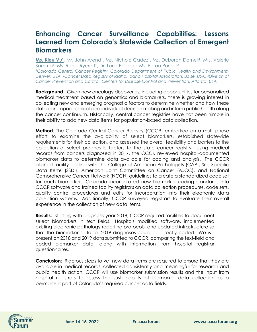### **Enhancing Cancer Surveillance Capabilities: Lessons Learned from Colorado's Statewide Collection of Emergent Biomarkers**

Ms. Kieu Vu<sup>1</sup>, Mr. John Arend<sup>1</sup>, Ms. Nichole Cadez<sup>1</sup>, Ms. Deborah Darnell<sup>1</sup>, Mrs. Valerie Somma<sup>1</sup>, Ms. Randi Rycroft<sup>2</sup>, Dr. Loria Pollack<sup>3</sup>, Ms. Paran Pordell<sup>3</sup> *<sup>1</sup>Colorado Central Cancer Registry, Colorado Department of Public Health and Environment, Denver, USA, 2Cancer Data Registry of Idaho, Idaho Hospital Association, Boise, USA, 3Division of Cancer Prevention and Control, Centers for Disease Control and Prevention, Atlanta, USA*

**Background:** Given new oncology discoveries, including opportunities for personalized medical treatment based on genomics and biomarkers, there is growing interest in collecting new and emerging prognostic factors to determine whether and how these data can impact clinical and individual decision making and inform public health along the cancer continuum. Historically, central cancer registries have not been nimble in their ability to add new data items for population-based data collection.

**Method**: The Colorado Central Cancer Registry (CCCR) embarked on a multi-phase effort to examine the availability of select biomarkers, established statewide requirements for their collection, and assessed the overall feasibility and barriers to the collection of select prognostic factors to the state cancer registry. Using medical records from cancers diagnosed in 2017, the CCCR reviewed hospital-documented biomarker data to determine data available for coding and analysis. The CCCR aligned facility coding with the College of American Pathologists (CAP), Site Specific Data Items (SSDI), American Joint Committee on Cancer (AJCC), and National Comprehensive Cancer Network (NCCN) guidelines to create a standardized code set for each biomarker. Colorado incorporated new biomarker coding standards into CCCR software and trained facility registrars on data collection procedures, code sets, quality control procedures and edits for incorporation into their electronic data collection systems. Additionally, CCCR surveyed registrars to evaluate their overall experience in the collection of new data items.

**Results:** Starting with diagnosis year 2018, CCCR required facilities to document select biomarkers in text fields. Hospitals modified software, implemented existing electronic pathology reporting protocols, and updated infrastructure so that the biomarker data for 2019 diagnoses could be directly coded. We will present on 2018 and 2019 data submitted to CCCR, comparing the text-field and coded biomarker data, along with information from hospital registrar questionnaires.

**Conclusion**: Rigorous steps to vet new data items are required to ensure that they are available in medical records, collected consistently and meaningful for research and public health action. CCCR will use biomarker submission results and the input from hospital registrars to assess the sustainability of biomarker data collection as a permanent part of Colorado's required cancer data fields.

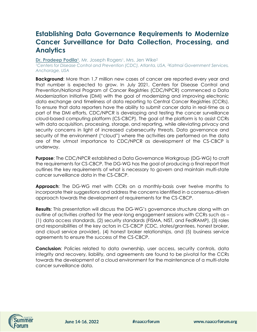### **Establishing Data Governance Requirements to Modernize Cancer Surveillance for Data Collection, Processing, and Analytics**

**Dr. Pradeep Podila<sup>1</sup>**, Mr. Joseph Rogers<sup>1</sup>, Mrs. Jen Wike<sup>2</sup> *<sup>1</sup>Centers for Disease Control and Prevention (CDC), Atlanta, USA, 2Katmai Government Services, Anchorage, USA*

**Background**: More than 1.7 million new cases of cancer are reported every year and that number is expected to grow. In July 2021, Centers for Disease Control and Prevention/National Program of Cancer Registries (CDC/NPCR) commenced a Data Modernization Initiative (DMI) with the goal of modernizing and improving electronic data exchange and timeliness of data reporting to Central Cancer Registries (CCRs). To ensure that data reporters have the ability to submit cancer data in real-time as a part of the DMI efforts, CDC/NPCR is developing and testing the cancer surveillance cloud-based computing platform (CS-CBCP). The goal of the platform is to assist CCRs with data acquisition, processing, storage, and reporting, while alleviating privacy and security concerns in light of increased cybersecurity threats. Data governance and security of the environment ("cloud") where the activities are performed on the data are of the utmost importance to CDC/NPCR as development of the CS-CBCP is underway.

**Purpose**: The CDC/NPCR established a Data Governance Workgroup (DG-WG) to craft the requirements for CS-CBCP. The DG-WG has the goal of producing a final report that outlines the key requirements of what is necessary to govern and maintain multi-state cancer surveillance data in the CS-CBCP.

**Approach**: The DG-WG met with CCRs on a monthly-basis over twelve months to incorporate their suggestions and address the concerns identified in a consensus-driven approach towards the development of requirements for the CS-CBCP.

**Results**: This presentation will discuss the DG-WG's governance structure along with an outline of activities crafted for the year-long engagement sessions with CCRs such as – (1) data access standards, (2) security standards (FISMA, NIST, and FedRAMP), (3) roles and responsibilities of the key actors in CS-CBCP (CDC, states/grantees, honest broker, and cloud service provider), (4) honest broker relationships, and (5) business service agreements to ensure the success of the CS-CBCP.

**Conclusion**: Policies related to data ownership, user access, security controls, data integrity and recovery, liability, and agreements are found to be pivotal for the CCRs towards the development of a cloud environment for the maintenance of a multi-state cancer surveillance data.

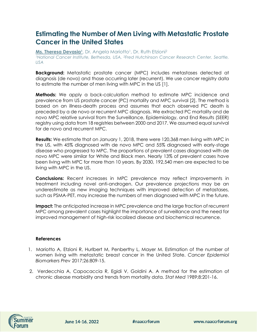#### **Estimating the Number of Men Living with Metastatic Prostate Cancer in the United States**

**Ms. Theresa Devasia<sup>1</sup>** , Dr. Angela Mariotto<sup>1</sup> , Dr. Ruth Etzioni<sup>2</sup> *<sup>1</sup>National Cancer Institute, Bethesda, USA, 2Fred Hutchinson Cancer Research Center, Seattle, USA*

**Background:** Metastatic prostate cancer (MPC) includes metastases detected at diagnosis (de novo) and those occurring later (recurrent). We use cancer registry data to estimate the number of men living with MPC in the US [1].

**Methods:** We apply a back-calculation method to estimate MPC incidence and prevalence from US prostate cancer (PC) mortality and MPC survival [2]. The method is based on an illness-death process and assumes that each observed PC death is preceded by a de novo or recurrent MPC diagnosis. We extracted PC mortality and de novo MPC relative survival from the Surveillance, Epidemiology, and End Results (SEER) registry using data from 18 registries between 2000 and 2017. We assumed equal survival for de novo and recurrent MPC.

**Results:** We estimate that on January 1, 2018, there were 120,368 men living with MPC in the US, with 45% diagnosed with de novo MPC and 55% diagnosed with early-stage disease who progressed to MPC. The proportions of prevalent cases diagnosed with de novo MPC were similar for White and Black men. Nearly 13% of prevalent cases have been living with MPC for more than 10 years. By 2030, 192,540 men are expected to be living with MPC in the US.

**Conclusions:** Recent increases in MPC prevalence may reflect improvements in treatment including novel anti-androgen. Our prevalence projections may be an underestimate as new imaging techniques with improved detection of metastases, such as PSMA-PET, may increase the numbers of men diagnosed with MPC in the future.

**Impact:** The anticipated increase in MPC prevalence and the large fraction of recurrent MPC among prevalent cases highlight the importance of surveillance and the need for improved management of high-risk localized disease and biochemical recurrence.

#### **References**

- 1. Mariotto A, Etzioni R, Hurlbert M, Penberthy L, Mayer M. Estimation of the number of women living with metastatic breast cancer in the United State. *Cancer Epidemiol Biomarkers Prev* 2017;26:809-15.
- 2. Verdecchia A, Capocaccia R, Egidi V, Goldini A. A method for the estimation of chronic disease morbidity and trends from mortality data. *Stat Med* 1989;8:201-16.

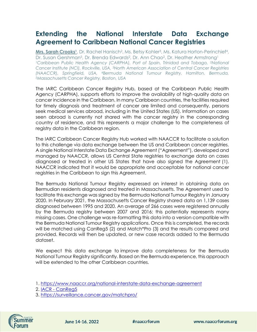### **Extending the National Interstate Data Exchange Agreement to Caribbean National Cancer Registries**

**Mrs. Sarah Crooks<sup>1</sup>,** Dr. Rachel Hanisch<sup>2</sup>, Ms. Betsy Kohler<sup>3</sup>, Ms. Katura Horton-Perinchief<sup>4</sup>, Dr. Susan Gershman<sup>5</sup>, Dr. Brenda Edwards<sup>2</sup>, Dr. Ann Chao<sup>2</sup>, Dr. Heather Armstrong<sup>1</sup> *<sup>1</sup>*Caribbean Public Health Agency (CARPHA), Port of Spain, Trinidad and Tobago, <sup>2</sup>National *Cancer Institute (NCI), Rockville, USA, 3North American Association of Central Cancer Registries (NAACCR), Springfield, USA, 4Bermuda National Tumour Registry, Hamilton, Bermuda, <sup>5</sup>Massachusetts Cancer Registry, Boston, USA*

The IARC Caribbean Cancer Registry Hub, based at the Caribbean Public Health Agency (CARPHA), supports efforts to improve the availability of high-quality data on cancer incidence in the Caribbean. In many Caribbean countries, the facilities required for timely diagnosis and treatment of cancer are limited and consequently, persons seek medical services abroad, including in the United States (US). Information on cases seen abroad is currently not shared with the cancer registry in the corresponding country of residence, and this represents a major challenge to the completeness of registry data in the Caribbean region.

The IARC Caribbean Cancer Registry Hub worked with NAACCR to facilitate a solution to this challenge via data exchange between the US and Caribbean cancer registries. A single National Interstate Data Exchange Agreement ("Agreement"), developed and managed by NAACCR, allows US Central State registries to exchange data on cases diagnosed or treated in other US States that have also signed the Agreement (1). NAACCR indicated that it would be appropriate and acceptable for national cancer registries in the Caribbean to sign this Agreement.

The Bermuda National Tumour Registry expressed an interest in obtaining data on Bermudian residents diagnosed and treated in Massachusetts. The Agreement used to facilitate this exchange was signed by the Bermuda National Tumour Registry in January 2020. In February 2021, the Massachusetts Cancer Registry shared data on 1,139 cases diagnosed between 1995 and 2020. An average of 266 cases were registered annually by the Bermuda registry between 2007 and 2016; this potentially represents many missing cases. One challenge was re-formatting this data into a version compatible with the Bermuda National Tumour Registry applications. Once this is completed, the records will be matched using CanReg5 (2) and Match\*Pro (3) and the results compared and provided. Records will then be updated, or new case records added to the Bermuda dataset.

We expect this data exchange to improve data completeness for the Bermuda National Tumour Registry significantly. Based on the Bermuda experience, this approach will be extended to the other Caribbean countries.

<sup>3.</sup><https://surveillance.cancer.gov/matchpro/>



<sup>1.</sup><https://www.naaccr.org/national-interstate-data-exchange-agreement>

<sup>2.</sup> IACR - [CanReg5](http://www.iacr.com.fr/index.php?option=com_content&view=article&id=9:canreg5&catid=68&Itemid=445)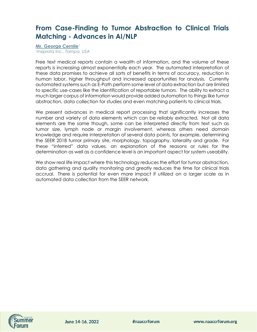### **From Case-Finding to Tumor Abstraction to Clinical Trials Matching - Advances in AI/NLP**

**Mr. George Cernile**<sup>1</sup> *<sup>1</sup>Insiprata Inc., Tampa, USA*

Free text medical reports contain a wealth of information, and the volume of these reports is increasing almost exponentially each year. The automated interpretation of these data promises to achieve all sorts of benefits in terms of accuracy, reduction in human labor, higher throughput and increased opportunities for analysis. Currently automated systems such as E-Path perform some level of data extraction but are limited to specific use-cases like the identification of reportable tumors. The ability to extract a much larger corpus of information would provide added automation to things like tumor abstraction, data collection for studies and even matching patients to clinical trials.

We present advances in medical report processing that significantly increases the number and variety of data elements which can be reliably extracted. Not all data elements are the same though, some can be interpreted directly from text such as tumor size, lymph node or margin involvement, whereas others need domain knowledge and require interpretation of several data points, for example, determining the SEER 2018 tumor primary site, morphology, topography, laterality and grade. For these "inferred" data values, an explanation of the reasons or rules for the determination as well as a confidence level is an important aspect for system useability.

We show real life impact where this technology reduces the effort for tumor abstraction, data gathering and quality monitoring and greatly reduces the time for clinical trials accrual. There is potential for even more impact if utilized on a larger scale as in automated data collection from the SEER network.

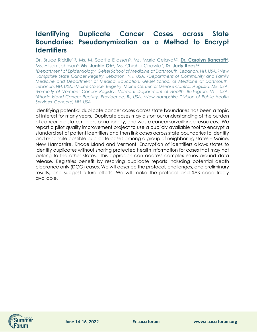# **Identifying Duplicate Cancer Cases across State Boundaries: Pseudonymization as a Method to Encrypt Identifiers**

Dr. Bruce Riddle<sup>1,2</sup>, Ms. M. Scottie Eliassen<sup>3</sup>, Ms. Maria Celaya<sup>1,2</sup>, Dr. Carolyn Bancroft<sup>4</sup>, Ms. Alison Johnson<sup>5</sup> , **Ms. Junhie Oh<sup>6</sup>** , Ms. Chiahui Chawla<sup>7</sup> , **Dr. Judy Rees1,2**

*<sup>1</sup>Department of Epidemiology, Geisel School of Medicine at Dartmouth, Lebanon, NH, USA, 2New Hampshire State Cancer Registry, Lebanon, NH, USA, 3Department of Community and Family Medicine and Department of Medical Education, Geisel School of Medicine at Dartmouth, Lebanon, NH, USA, 4Maine Cancer Registry, Maine Center for Disease Control, Augusta, ME, USA, <sup>5</sup>Formerly of Vermont Cancer Registry, Vermont Department of Health, Burlington, VT , USA, <sup>6</sup>Rhode Island Cancer Registry, Providence, RI, USA, 7New Hampshire Division of Public Health Services, Concord, NH, USA*

Identifying potential duplicate cancer cases across state boundaries has been a topic of interest for many years. Duplicate cases may distort our understanding of the burden of cancer in a state, region, or nationally, and waste cancer surveillance resources. We report a pilot quality improvement project to use a publicly available tool to encrypt a standard set of patient identifiers and then link cases across state boundaries to identify and reconcile possible duplicate cases among a group of neighboring states – Maine, New Hampshire, Rhode Island and Vermont. Encryption of identifiers allows states to identify duplicates without sharing protected health information for cases that may not belong to the other states. This approach can address complex issues around data release. Registries benefit by resolving duplicate reports including potential death clearance only (DCO) cases. We will describe the protocol, challenges, and preliminary results, and suggest future efforts. We will make the protocol and SAS code freely available.

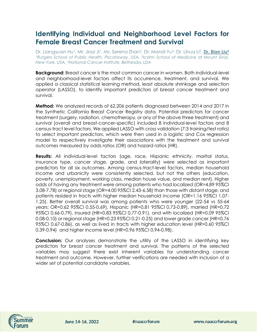### **Identifying Individual and Neighborhood Level Factors for Female Breast Cancer Treatment and Survival**

Dr. Liangyuan Hu<sup>1</sup>, Mr. Jiayi Ji<sup>1</sup>, Ms. Serena Zhan<sup>2</sup>, Dr. Mandi Yu<sup>3</sup>, Dr. Lihua Li<sup>2</sup>, <mark>Dr. Bian Liu<sup>2</sup></mark> *<sup>1</sup>Rutgers School of Public Health, Piscataway, USA, 2Icahn School of Medicine at Mount Sinai, New York, USA, 3National Cancer Institute, Bethesda, USA*

**Background:** Breast cancer is the most common cancer in women. Both individual-level and neighborhood-level factors affect its occurrence, treatment, and survival. We applied a classical statistical learning method, least absolute shrinkage and selection operator (LASSO), to identify important predictors of breast cancer treatment and survival.

**Method:** We analyzed records of 62,206 patients diagnosed between 2014 and 2017 in the Synthetic California Breast Cancer Registry data. Potential predictors for cancer treatment (surgery, radiation, chemotherapy, or any of the above three treatment) and survival (overall and breast-cancer-specific) included 8 individual-level factors and 8 census-tract level factors. We applied LASSO with cross validation (7:3 training/test ratio) to select important predictors, which were then used in a logistic and Cox regression model to respectively investigate their associations with the treatment and survival outcomes measured by odds ratios (OR) and hazard ratios (HR).

**Results:** All individual-level factors (age, race, Hispanic ethnicity, marital status, insurance type, cancer stage, grade, and laterality) were selected as important predictors for all six outcomes. Among census-tract-level factors, median household income and urbanicity were consistently selected, but not the others (education, poverty, unemployment, working class, median house value, and median rent). Higher odds of having any treatment were among patients who had localized (OR=4.89 95%CI 3.08-7.78) or regional stage (OR=4.00 95%CI 2.43-6.58) than those with distant stage, and patients resided in tracts with higher median household income (OR=1.16 95%CI 1.07- 1.25). Better overall survival was among patients who were younger (22-54 vs 55-64 years: OR=0.62 95%CI 0.55-0.69), Hispanic (HR=0.81 95%CI 0.73-0.89), married (HR=0.72 95%CI 0.66-0.79), insured (HR=0.83 95%CI 0.77-0.91), and with localized (HR=0.09 95%CI 0.08-0.10) or regional stage (HR=0.23 95%CI 0.21-0.25) and lower grade cancer (HR=0.76 95%CI 0.67-0.86), as well as lived in tracts with higher education level (HR=0.60 95%CI 0.39-0.94) and higher income level (HR=0.96 95%CI 0.94-0.98).

**Conclusion:** Our analyses demonstrate the utility of the LASSO in identifying key predictors for breast cancer treatment and survival. The patterns of the selected variables may suggest there exist inherent variables for understanding cancer treatment and outcome. However, further verifications are needed with inclusion of a wider set of potential candidate variables.

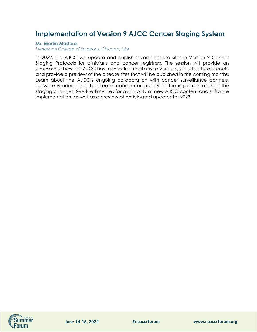# **Implementation of Version 9 AJCC Cancer Staging System**

**Mr. Martin Madera**<sup>1</sup>

*<sup>1</sup>American College of Surgeons, Chicago, USA*

In 2022, the AJCC will update and publish several disease sites in Version 9 Cancer Staging Protocols for clinicians and cancer registrars. The session will provide an overview of how the AJCC has moved from Editions to Versions, chapters to protocols, and provide a preview of the disease sites that will be published in the coming months. Learn about the AJCC's ongoing collaboration with cancer surveillance partners, software vendors, and the greater cancer community for the implementation of the staging changes. See the timelines for availability of new AJCC content and software implementation, as well as a preview of anticipated updates for 2023.

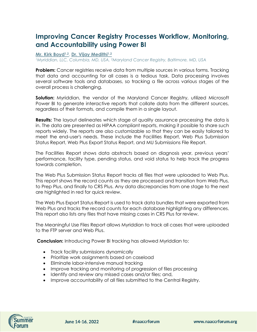# **Improving Cancer Registry Processes Workflow, Monitoring, and Accountability using Power BI**

**Mr. Kirk Boyd1,2** , **Dr. Vijay Medithi1,2** *<sup>1</sup>Myriddian, LLC, Columbia, MD, USA, 2Maryland Cancer Registry, Baltimore, MD, USA*

**Problem:** Cancer registries receive data from multiple sources in various forms. Tracking that data and accounting for all cases is a tedious task. Data processing involves several software tools and databases, so tracking a file across various stages of the overall process is challenging.

**Solution:** Myriddian, the vendor of the Maryland Cancer Registry, utilized Microsoft Power BI to generate interactive reports that collate data from the different sources, regardless of their formats, and compile them in a single layout.

**Results:** The layout delineates which stage of quality assurance processing the data is in. The data are presented as HIPAA compliant reports, making it possible to share such reports widely. The reports are also customizable so that they can be easily tailored to meet the end-user's needs. These include the Facilities Report, Web Plus Submission Status Report, Web Plus Export Status Report, and MU Submissions File Report.

The Facilities Report shows data abstracts based on diagnosis year, previous years' performance, facility type, pending status, and void status to help track the progress towards completion.

The Web Plus Submission Status Report tracks all files that were uploaded to Web Plus. This report shows the record counts as they are processed and transition from Web Plus, to Prep Plus, and finally to CRS Plus. Any data discrepancies from one stage to the next are highlighted in red for quick review.

The Web Plus Export Status Report is used to track data bundles that were exported from Web Plus and tracks the record counts for each database highlighting any differences. This report also lists any files that have missing cases in CRS Plus for review.

The Meaningful Use Files Report allows Myriddian to track all cases that were uploaded to the FTP server and Web Plus.

**Conclusion:** Introducing Power BI tracking has allowed Myriddian to:

- Track facility submissions dynamically
- Prioritize work assignments based on caseload
- Eliminate labor-intensive manual tracking
- Improve tracking and monitoring of progression of files processing
- Identify and review any missed cases and/or files; and,
- Improve accountability of all files submitted to the Central Registry.



www.naaccrforum.org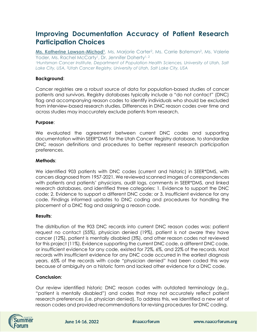# **Improving Documentation Accuracy of Patient Research Participation Choices**

**Ms. Katherine Lawson-Michod<sup>1</sup>, Ms. Marjorie Carter<sup>2</sup>, Ms. Carrie Bateman<sup>2</sup>, Ms. Valerie** Yoder, Ms. Rachel McCarty<sup>1</sup>, Dr. Jennifer Doherty<sup>1, 2</sup>

*<sup>1</sup>Huntsman Cancer Institute, Department of Population Health Sciences, University of Utah, Salt Lake City, USA, 2Utah Cancer Registry, University of Utah, Salt Lake City, USA*

#### **Background**:

Cancer registries are a robust source of data for population-based studies of cancer patients and survivors. Registry databases typically include a "do not contact" (DNC) flag and accompanying reason codes to identify individuals who should be excluded from interview-based research studies. Differences in DNC reason codes over time and across studies may inaccurately exclude patients from research.

#### **Purpose**:

We evaluated the agreement between current DNC codes and supporting documentation within SEER\*DMS for the Utah Cancer Registry database, to standardize DNC reason definitions and procedures to better represent research participation preferences.

#### **Methods**:

We identified 903 patients with DNC codes (current and historic) in SEER\*DMS, with cancers diagnosed from 1957-2021. We reviewed scanned images of correspondences with patients and patients' physicians, audit logs, comments in SEER\*DMS, and linked research databases, and identified three categories: 1. Evidence to support the DNC code; 2. Evidence to support a different DNC code; or 3. Insufficient evidence for any code. Findings informed updates to DNC coding and procedures for handling the placement of a DNC flag and assigning a reason code.

#### **Results**:

The distribution of the 903 DNC records into current DNC reason codes was: patient request no contact (55%), physician denied (19%), patient is not aware they have cancer (12%), patient is mentally disabled (3%), and other reason codes not reviewed for this project (11%). Evidence supporting the current DNC code, a different DNC code, or insufficient evidence for any code, existed for 72%, 6%, and 22% of the records. Most records with insufficient evidence for any DNC code occurred in the earliest diagnosis years. 65% of the records with code "physician denied" had been coded this way because of ambiguity on a historic form and lacked other evidence for a DNC code.

#### **Conclusion**:

Our review identified historic DNC reason codes with outdated terminology (e.g., "patient is mentally disabled") and codes that may not accurately reflect patient research preferences (i.e. physician denied). To address this, we identified a new set of reason codes and provided recommendations for revising procedures for DNC coding.

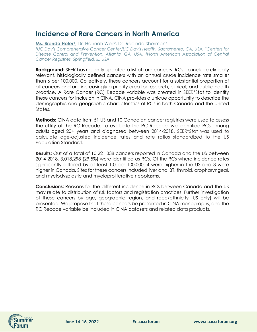### **Incidence of Rare Cancers in North America**

**Ms. Brenda Hofer<sup>1</sup>** , Dr. Hannah Weir<sup>2</sup> , Dr. Recinda Sherman<sup>3</sup> <sup>1</sup>**UC Davis Comprehensive Cancer Center/UC Davis Health, Sacramento, CA, USA, <sup>2</sup>Centers for** *Disease Control and Prevention, Atlanta, GA, USA, 3North American Association of Central Cancer Registries, Springfield, IL, USA*

**Background:** SEER has recently updated a list of rare cancers (RCs) to include clinically relevant, histologically defined cancers with an annual crude incidence rate smaller than 6 per 100,000. Collectively, these cancers account for a substantial proportion of all cancers and are increasingly a priority area for research, clinical, and public health practice. A Rare Cancer (RC) Recode variable was created in SEER\*Stat to identify these cancers for inclusion in CiNA. CiNA provides a unique opportunity to describe the demographic and geographic characteristics of RCs in both Canada and the United States.

**Methods:** CiNA data from 51 US and 10 Canadian cancer registries were used to assess the utility of the RC Recode. To evaluate the RC Recode, we identified RCs among adults aged 20+ years and diagnosed between 2014-2018. SEER\*Stat was used to calculate age-adjusted incidence rates and rate ratios standardized to the US Population Standard.

**Results:** Out of a total of 10,221,338 cancers reported in Canada and the US between 2014-2018, 3,018,298 (29.5%) were identified as RCs. Of the RCs where incidence rates significantly differed by at least 1.0 per 100,000: 4 were higher in the US and 3 were higher in Canada. Sites for these cancers included liver and IBT, thyroid, oropharyngeal, and myelodysplastic and myeloproliferative neoplasms.

**Conclusions:** Reasons for the different incidence in RCs between Canada and the US may relate to distribution of risk factors and registration practices. Further investigation of these cancers by age, geographic region, and race/ethnicity (US only) will be presented. We propose that these cancers be presented in CiNA monographs, and the RC Recode variable be included in CiNA datasets and related data products.

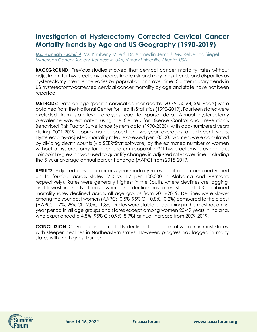# **Investigation of Hysterectomy-Corrected Cervical Cancer Mortality Trends by Age and US Geography (1990-2019)**

**Ms. Hannah Fuchs<sup>1, 2</sup>, Ms. Kimberly Miller<sup>1</sup>, Dr. Ahmedin Jemal<sup>1</sup>, Ms. Rebecca Siegel<sup>1</sup>** *<sup>1</sup>American Cancer Society, Kennesaw, USA, 2Emory University, Atlanta, USA*

**BACKGROUND:** Previous studies showed that cervical cancer mortality rates without adjustment for hysterectomy underestimate risk and may mask trends and disparities as hysterectomy prevalence varies by population and over time. Contemporary trends in US hysterectomy-corrected cervical cancer mortality by age and state have not been reported.

**METHODS**: Data on age-specific cervical cancer deaths (20-49, 50-64, ≥65 years) were obtained from the National Center for Health Statistics (1990-2019). Fourteen states were excluded from state-level analyses due to sparse data. Annual hysterectomy prevalence was estimated using the Centers for Disease Control and Prevention's Behavioral Risk Factor Surveillance System data (1990-2020), with odd-numbered years during 2001-2019 approximated based on two-year averages of adjacent years. Hysterectomy-adjusted mortality rates, expressed per 100,000 women, were calculated by dividing death counts (via SEER\*Stat software) by the estimated number of women without a hysterectomy for each stratum (population\*(1-hysterectomy prevalence)). Joinpoint regression was used to quantify changes in adjusted rates over time, including the 5-year average annual percent change (AAPC) from 2015-2019.

**RESULTS:** Adjusted cervical cancer 5-year mortality rates for all ages combined varied up to fourfold across states (7.0 vs 1.7 per 100,000 in Alabama and Vermont, respectively). Rates were generally highest in the South, where declines are lagging, and lowest in the Northeast, where the decline has been steepest. US-combined mortality rates declined across all age groups from 2015-2019. Declines were slower among the youngest women (AAPC: -0.5%, 95% CI: -0.8%, -0.2%) compared to the oldest (AAPC: -1.7%, 95% CI: -2.0%, -1.3%). Rates were stable or declining in the most recent 5 year period in all age groups and states except among women 20-49 years in Indiana, who experienced a 4.8% (95% CI: 0.9%, 8.9%) annual increase from 2009-2019.

**CONCLUSION**: Cervical cancer mortality declined for all ages of women in most states, with steeper declines in Northeastern states. However, progress has lagged in many states with the highest burden.

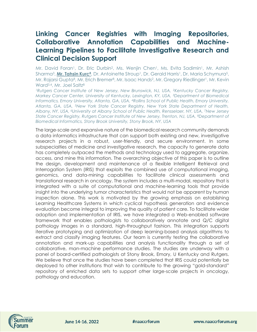# **Linking Cancer Registries with Imaging Repositories, Collaborative Annotation Capabilities and Machine-Learning Pipelines to Facilitate Investigative Research and Clinical Decision Support**

Mr. David Foran<sup>1</sup>, Dr. Eric Durbin<sup>2</sup>, Ms. Wenjin Chen<sup>1</sup>, Ms. Evita Sadimin<sup>1</sup>, Mr. Ashish Sharma<sup>3</sup>, <mark>Mr. Tahsin Kurc<sup>8</sup></mark>, Dr. Antoinette Stroup<sup>1</sup>, Dr. Gerald Harris<sup>1</sup>, Dr. Maria Schymura<sup>5</sup>, Mr. Rajarsi Gupta<sup>8</sup>, Mr. Erich Bremer<sup>8</sup>, Mr. Isaac Hands<sup>2</sup>, Mr. Gregory Riedlinger<sup>1</sup>, Mr. Kevin Ward3,4, Mr. Joel Saltz<sup>8</sup>

*<sup>1</sup>Rutgers Cancer Institute of New Jersey, New Brunswick, NJ, USA, 2Kentucky Cancer Registry, Markey Cancer Center, University of Kentucky, Lexington, KY, USA, 3Department of Biomedical Informatics, Emory University, Atlanta, GA, USA, 4Rollins School of Public Health, Emory University, Atlanta, GA, USA, 5New York State Cancer Registry, New York State Department of Health, Albany, NY, USA, 6University at Albany School of Public Health, Rensselaer, NY, USA, 7New Jersey State Cancer Registry, Rutgers Cancer Institute of New Jersey, Trenton, NJ, USA, 8Department of Biomedical Informatics, Stony Brook University, Stony Brook, NY, USA*

The large-scale and expansive nature of the biomedical research community demands a data informatics infrastructure that can support both existing and new, investigative research projects in a robust, user-friendly, and secure environment. In some subspecialties of medicine and investigative research, the capacity to generate data has completely outpaced the methods and technology used to aggregate, organize, access, and mine this information. The overarching objective of this paper is to outline the design, development and maintenance of a flexible Intelligent Retrieval and Interrogation System (IRIS) that exploits the combined use of computational imaging, genomics, and data-mining capabilities to facilitate clinical assessments and translational research in oncology. The system includes a multi-modal, repository that is integrated with a suite of computational and machine-learning tools that provide insight into the underlying tumor characteristics that would not be apparent by human inspection alone. This work is motivated by the growing emphasis on establishing Learning Healthcare Systems in which cyclical hypothesis generation and evidence evaluation become integral to improving the quality of patient care. To facilitate wider adoption and implementation of IRIS, we have integrated a Web-enabled software framework that enables pathologists to collaboratively annotate and Q/C digital pathology images in a standard, high-throughput fashion. This integration supports iterative prototyping and optimization of deep learning-based analysis algorithms to extract and classify imaging features. Our team is currently testing the collaborative annotation and mark-up capabilities and analysis functionality through a set of collaborative, man-machine performance studies. The studies are underway with a panel of board-certified pathologists at Stony Brook, Emory, U Kentucky and Rutgers. We believe that once the studies have been completed that IRIS could potentially be deployed to other institutions that wish to contribute to the growing "gold-standard" repository of enriched data sets to support other large-scale projects in oncology, pathology and education.

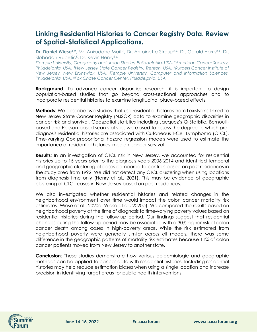# **Linking Residential Histories to Cancer Registry Data. Review of Spatial-Statistical Applications.**

**Dr. Daniel Wiese<sup>1,2</sup>,** Mr. Aniruddha Maiti<sup>5</sup>, Dr. Antoinette Stroup<sup>3,4</sup>, Dr. Gerald Harris<sup>3,4</sup>, Dr. Slobodan Vucetic<sup>5</sup>, Dr. Kevin Henry<sup>1,6</sup>

*<sup>1</sup>Temple University, Geography and Urban Studies, Philadelphia, USA, 2American Cancer Society, Philadelphia, USA, 3New Jersey State Cancer Registry, Trenton, USA, 4Rutgers Cancer Institute of New Jersey, New Brunswick, USA, 5Temple University, Computer and Information Sciences, Philadelphia, USA, 6Fox Chase Cancer Center, Philadelphia, USA*

**Background:** To advance cancer disparities research, it is important to design population-based studies that go beyond cross-sectional approaches and to incorporate residential histories to examine longitudinal place-based effects.

**Methods**: We describe two studies that use residential histories from LexisNexis linked to New Jersey State Cancer Registry (NJSCR) data to examine geographic disparities in cancer risk and survival. Geospatial statistics including Jacquez's Q-Statistic, Bernoullibased and Poisson-based scan statistics were used to assess the degree to which prediagnosis residential histories are associated with Cutaneous T-Cell Lymphoma (CTCL). Time-varying Cox proportional hazard regression models were used to estimate the importance of residential histories in colon cancer survival.

**Results**: In an investigation of CTCL risk in New Jersey, we accounted for residential histories up to 15 years prior to the diagnosis years 2006-2014 and identified temporal and geographic clustering of cases compared to controls based on past residences in the study area from 1992. We did not detect any CTCL clustering when using locations from diagnosis time only (Henry et al., 2021). This may be evidence of geographic clustering of CTCL cases in New Jersey based on past residences.

We also investigated whether residential histories and related changes in the neighborhood environment over time would impact the colon cancer mortality risk estimates (Wiese et al., 2020a; Wiese et al., 2020b). We compared the results based on neighborhood poverty at the time of diagnosis to time-varying poverty values based on residential histories during the follow-up period. Our findings suggest that residential changes during the follow-up period may be associated with a 30% higher risk of colon cancer death among cases in high-poverty areas. While the risk estimated from neighborhood poverty were generally similar across all models, there was some difference in the geographic patterns of mortality risk estimates because 11% of colon cancer patients moved from New Jersey to another state.

**Conclusion**: These studies demonstrate how various epidemiologic and geographic methods can be applied to cancer data with residential histories. Including residential histories may help reduce estimation biases when using a single location and increase precision in identifying target areas for public health interventions.

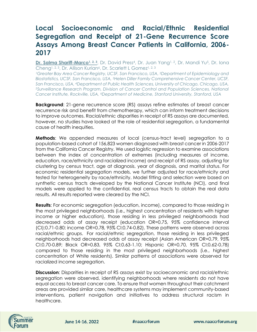# **Local Socioeconomic and Racial/Ethnic Residential Segregation and Receipt of 21-Gene Recurrence Score Assays Among Breast Cancer Patients in California, 2006- 2017**

Dr. Salma Shariff-Marco<sup>1, 2, 3</sup>, Dr. David Press<sup>4</sup>, Dr. Juan Yang<sup>1, 2</sup>, Dr. Mandi Yu<sup>5</sup>, Dr. Iona Cheng<sup>1, 2, 3</sup>, Dr. Allison Kurian<sup>6</sup>, Dr. Scarlett L Gomez<sup>1, 2, 3</sup>

*<sup>1</sup>Greater Bay Area Cancer Registry, UCSF, San Francisco, USA, 2Department of Epidemiology and Biostatistics, UCSF, San Francisco, USA, 3Helen Diller Family Comprehensive Cancer Center, UCSF, San Francisco, USA, 4Department of Public Health Sciences, University of Chicago, Chicago, USA, <sup>5</sup>Surveillance Research Program, Division of Cancer Control and Population Sciences, National Cancer Institute, Rockville, USA, 6Department of Medicine, Stanford University, Stanford, USA*

**Background:** 21-gene recurrence score (RS) assays refine estimates of breast cancer recurrence risk and benefit from chemotherapy, which can inform treatment decisions to improve outcomes. Racial/ethnic disparities in receipt of RS assays are documented, however, no studies have looked at the role of residential segregation, a fundamental cause of health inequities.

**Methods**: We appended measures of local (census-tract level) segregation to a population-based cohort of 156,823 women diagnosed with breast cancer in 2006-2017 from the California Cancer Registry. We used logistic regression to examine associations between the index of concentration of extremes (including measures of income, education, race/ethnicity and racialized income) and receipt of RS assay, adjusting for clustering by census tract, age at diagnosis, year of diagnosis, and marital status. For economic residential segregation models, we further adjusted for race/ethnicity and tested for heterogeneity by race/ethnicity. Model fitting and selection were based on synthetic census tracts developed by the National Cancer Institute (NCI), and final models were applied to the confidential, real census tracts to obtain the real data results. All results reported were cleared by the NCI.

**Results**: For economic segregation (education, income), compared to those residing in the most privileged neighborhoods (i.e., highest concentration of residents with higher income or higher education), those residing in less privileged neighborhoods had decreased odds of assay receipt (education OR=0.75, 95% confidence interval (CI):0.71-0.80; income OR=0.78, 95% CI:0.74-0.82). These patterns were observed across racial/ethnic groups. For racial/ethnic segregation, those residing in less privileged neighborhoods had decreased odds of assay receipt (Asian American OR=0.79, 95% CI:0.70-0.89; Black OR=0.83, 95% CI:0.63-1.10; Hispanic OR=0.70, 95% CI:0.62-0.78) compared to those residing in the most privileged neighborhoods (i.e., highest concentration of White residents). Similar patterns of associations were observed for racialized income segregation.

**Discussion**: Disparities in receipt of RS assays exist by socioeconomic and racial/ethnic segregation were observed, identifying neighborhoods where residents do not have equal access to breast cancer care. To ensure that women throughout their catchment areas are provided similar care, healthcare systems may implement community-based interventions, patient navigation and initiatives to address structural racism in healthcare.

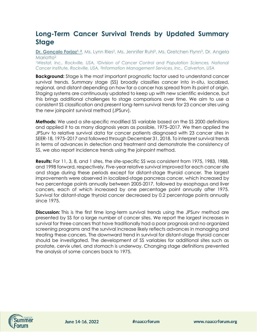# **Long-Term Cancer Survival Trends by Updated Summary Stage**

Dr. Gonçalo Forjaz<sup>1, 2</sup>, Ms. Lynn Ries<sup>2</sup>, Ms. Jennifer Ruhl<sup>2</sup>, Ms. Gretchen Flynn<sup>3</sup>, Dr. Angela Mariotto<sup>2</sup>

*<sup>1</sup>Westat, Inc., Rockville, USA, 2Division of Cancer Control and Population Sciences, National Cancer Institute, Rockville, USA, 3Information Management Services, Inc., Calverton, USA*

**Background:** Stage is the most important prognostic factor used to understand cancer survival trends. Summary stage (SS) broadly classifies cancer into in-situ, localized, regional, and distant depending on how far a cancer has spread from its point of origin. Staging systems are continuously updated to keep up with new scientific evidence, but this brings additional challenges to stage comparisons over time. We aim to use a consistent SS classification and present long-term survival trends for 23 cancer sites using the new joinpoint survival method (JPSurv).

**Methods:** We used a site-specific modified SS variable based on the SS 2000 definitions and applied it to as many diagnosis years as possible, 1975–2017. We then applied the JPSurv to relative survival data for cancer patients diagnosed with 23 cancer sites in SEER-18, 1975–2017 and followed through December 31, 2018. To interpret survival trends in terms of advances in detection and treatment and demonstrate the consistency of SS, we also report incidence trends using the joinpoint method.

**Results:** For 11, 3, 8, and 1 sites, the site-specific SS was consistent from 1975, 1983, 1988, and 1998 forward, respectively. Five-year relative survival improved for each cancer site and stage during these periods except for distant-stage thyroid cancer. The largest improvements were observed in localized-stage pancreas cancer, which increased by two percentage points annually between 2005-2017, followed by esophagus and liver cancers, each of which increased by one percentage point annually after 1975. Survival for distant-stage thyroid cancer decreased by 0.2 percentage points annually since 1975.

**Discussion:** This is the first time long-term survival trends using the JPSurv method are presented by SS for a large number of cancer sites. We report the largest increases in survival for three cancers that have traditionally had a poor prognosis and no organized screening programs and the survival increase likely reflects advances in managing and treating these cancers. The downward trend in survival for distant-stage thyroid cancer should be investigated. The development of SS variables for additional sites such as prostate, cervix uteri, and stomach is underway. Changing stage definitions prevented the analysis of some cancers back to 1975.

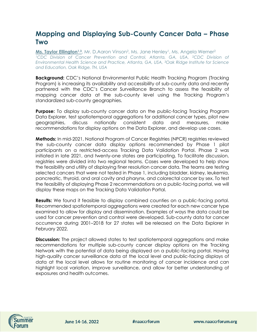# **Mapping and Displaying Sub-County Cancer Data – Phase Two**

**Ms. Taylor Ellington<sup>1,3</sup>, Mr. D.Aaron Vinson<sup>2</sup>, Ms. Jane Henley<sup>1</sup>, Ms. Angela Werner<sup>2</sup>** *<sup>1</sup>CDC Division of Cancer Prevention and Control, Atlanta, GA, USA, 2CDC Division of Environmental Health Science and Practice, Atlanta, GA, USA, 3Oak Ridge Institute for Science and Education, Oak Ridge, TN, USA*

**Background:** CDC's National Environmental Public Health Tracking Program (Tracking Program) is increasing its availability and accessibility of sub-county data and recently partnered with the CDC's Cancer Surveillance Branch to assess the feasibility of mapping cancer data at the sub-county level using the Tracking Program's standardized sub-county geographies.

**Purpose:** To display sub-county cancer data on the public-facing Tracking Program Data Explorer, test spatiotemporal aggregations for additional cancer types, pilot new geographies, discuss nationally consistent data and measures, make recommendations for display options on the Data Explorer, and develop use cases.

**Methods:** In mid-2021, National Program of Cancer Registries (NPCR) registries reviewed the sub-county cancer data display options recommended by Phase 1 pilot participants on a restricted-access Tracking Data Validation Portal. Phase 2 was initiated in late 2021, and twenty-one states are participating. To facilitate discussion, registries were divided into two regional teams. Cases were developed to help show the feasibility and utility of displaying finer resolution cancer data. The teams are testing selected cancers that were not tested in Phase 1, including bladder, kidney, leukemia, pancreatic, thyroid, and oral cavity and pharynx, and colorectal cancer by sex. To test the feasibility of displaying Phase 2 recommendations on a public-facing portal, we will display these maps on the Tracking Data Validation Portal.

**Results:** We found it feasible to display combined counties on a public-facing portal. Recommended spatiotemporal aggregations were created for each new cancer type examined to allow for display and dissemination. Examples of ways the data could be used for cancer prevention and control were developed. Sub-county data for cancer occurrence during 2001–2018 for 27 states will be released on the Data Explorer in February 2022.

**Discussion:** The project allowed states to test spatiotemporal aggregations and make recommendations for multiple sub-county cancer display options on the Tracking Network with the potential of data being displayed on a public-facing portal. Having high-quality cancer surveillance data at the local level and public-facing displays of data at the local level allows for routine monitoring of cancer incidence and can highlight local variation, improve surveillance, and allow for better understanding of exposures and health outcomes.

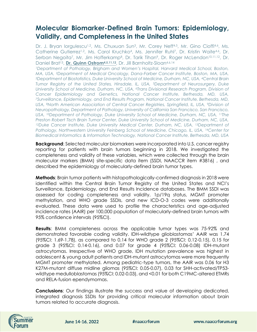# **Molecular Biomarker-Defined Brain Tumors: Epidemiology, Validity, and Completeness in the United States**

Dr. J. Bryan lorgulescu<sup>1,2</sup>, Ms. Chuxuan Sun<sup>3</sup>, Mr. Corey Neff<sup>4,5</sup>, Mr. Gino Cioffi<sup>4,6</sup>, Ms. Catherine Gutierrez<sup>1,2</sup>, Ms. Carol Kruchko<sup>4</sup>, Ms. Jennifer Ruhl<sup>7</sup>, Dr. Kristin Waite<sup>4,6</sup>, Dr. Serban Negoita<sup>7</sup>, Mr. Jim Hofferkamp<sup>8</sup>, Dr. Tarik Tihan<sup>9</sup>, Dr. Roger McLendon<sup>10,11,12</sup>, Dr. Daniel Brat<sup>13</sup> , **Dr. Quinn Ostrom4,5,11,12**, Dr. Jill Barnholtz-Sloan4,6,14

*<sup>1</sup>Department of Pathology, Brigham and Women's Hospital, Harvard Medical School, Boston, MA, USA, 2Department of Medical Oncology, Dana-Farber Cancer Institute, Boston, MA, USA, <sup>3</sup>Department of Biostatistics, Duke University School of Medicine, Durham, NC, USA, 4Central Brain Tumor Registry of the United States, Hinsdale, IL, USA, 5Department of Neurosurgery, Duke University School of Medicine, Durham, NC, USA, 6Trans Divisional Research Program, Division of Cancer Epidemiology and Genetics, National Cancer Institute, Bethesda, MD, USA, <sup>7</sup>Surveillance, Epidemiology, and End Results Program, National Cancer Institute, Bethesda, MD, USA, 8North American Association of Central Cancer Registries, Springfield, IL, USA, 9Division of Neuropathology, Department of Pathology, University of California San Francisco, San Francisco, USA, 10Department of Pathology, Duke University School of Medicine, Durham, NC, USA, 11The Preston Robert Tisch Brain Tumor Center, Duke University School of Medicine, Durham, NC, USA, <sup>12</sup>Duke Cancer Institute, Duke University Medical Center, Durham, NC, USA, 13Department of Pathology, Northwestern University Feinberg School of Medicine, Chicago, IL, USA, <sup>14</sup>Center for Biomedical Informatics & Information Technology, National Cancer Institute, Bethesda, MD, USA*

**Background**: Selected molecular biomarkers were incorporated into U.S. cancer registry reporting for patients with brain tumors beginning in 2018. We investigated the completeness and validity of these variables, which were collected through the brain molecular markers (BMM) site-specific data item (SSDI, NAACCR item #3816) , and described the epidemiology of molecularly-defined brain tumor types.

**Methods**: Brain tumor patients with histopathologically-confirmed diagnosis in 2018 were identified within the Central Brain Tumor Registry of the United States and NCI's Surveillance, Epidemiology, and End Results Incidence databases. The BMM SSDI was assessed for coding completeness and validity. 1p/19q status, MGMT promoter methylation, and WHO grade SSDIs, and new ICD-O-3 codes were additionally evaluated. These data were used to profile the characteristics and age-adjusted incidence rates (AAIR) per 100,000 population of molecularly-defined brain tumors with 95% confidence intervals (95%CI).

**Results**: BMM completeness across the applicable tumor types was 75-92% and demonstrated favorable coding validity. IDH-wildtype glioblastomas' AAIR was 1.74 (95%CI: 1.69-1.78), as compared to 0.14 for WHO grade 2 (95%CI: 0.12-0.15), 0.15 for grade 3 (95%CI: 0.14-0.16), and 0.07 for grade 4 (95%CI: 0.06-0.08) IDH-mutant astrocytomas. Irrespective of WHO grade, IDH mutation prevalence was highest in adolescent & young adult patients and IDH-mutant astrocytomas were more frequently MGMT promoter methylated. Among pediatric-type tumors, the AAIR was 0.06 for H3 K27M-mutant diffuse midline gliomas (95%CI: 0.05-0.07), 0.03 for SHH-activated/TP53 wildtype medulloblastomas (95%CI: 0.02-0.03), and <0.01 for both C19MC-altered ETMRs and RELA-fusion ependymomas.

**Conclusions**: Our findings illustrate the success and value of developing dedicated, integrated diagnosis SSDIs for providing critical molecular information about brain tumors related to accurate diagnosis.

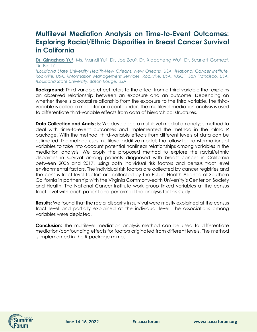# **Multilevel Mediation Analysis on Time-to-Event Outcomes: Exploring Racial/Ethnic Disparities in Breast Cancer Survival in California**

Dr. Qingzhao Yu<sup>1</sup>, Ms. Mandi Yu<sup>2</sup>, Dr. Joe Zou<sup>3</sup>, Dr. Xiaocheng Wu<sup>1</sup>, Dr. Scarlett Gomez<sup>4</sup>, Dr. Bin Li<sup>5</sup>

*<sup>1</sup>Louisiana State University Health-New Orleans, New Orleans, USA, 2National Cancer Institute, Rockville, USA, 3Information Management Services, Rockville, USA, 4USCF, San Francisco, USA, <sup>5</sup>Louisiana State University, Baton Rouge, USA*

**Background:** Third-variable effect refers to the effect from a third-variable that explains an observed relationship between an exposure and an outcome. Depending on whether there is a causal relationship from the exposure to the third variable, the thirdvariable is called a mediator or a confounder. The multilevel mediation analysis is used to differentiate third-variable effects from data of hierarchical structures.

**Data Collection and Analysis:** We developed a multilevel mediation analysis method to deal with time-to-event outcomes and implemented the method in the mlma R package. With the method, third-variable effects from different levels of data can be estimated. The method uses multilevel additive models that allow for transformations of variables to take into account potential nonlinear relationships among variables in the mediation analysis. We apply the proposed method to explore the racial/ethnic disparities in survival among patients diagnosed with breast cancer in California between 2006 and 2017, using both individual risk factors and census tract level environmental factors. The individual risk factors are collected by cancer registries and the census tract level factors are collected by the Public Health Alliance of Southern California in partnership with the Virginia Commonwealth University's Center on Society and Health. The National Cancer Institute work group linked variables at the census tract level with each patient and performed the analysis for this study.

**Results:** We found that the racial disparity in survival were mostly explained at the census tract level and partially explained at the individual level. The associations among variables were depicted.

**Conclusion:** The multilevel mediation analysis method can be used to differentiate mediation/confounding effects for factors originated from different levels. The method is implemented in the R package mlma.

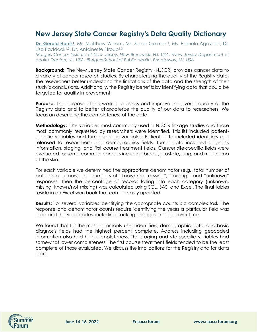#### **New Jersey State Cancer Registry's Data Quality Dictionary**

Dr. Gerald Harris<sup>1</sup>, Mr. Matthew Wilson<sup>1</sup>, Ms. Susan German<sup>1</sup>, Ms. Pamela Agovino<sup>2</sup>, Dr. Lisa Paddock<sup>1,3</sup>, Dr. Antoinette Stroup<sup>1,3</sup> *<sup>1</sup>Rutgers Cancer Institute of New Jersey, New Brunswick, NJ, USA, 2New Jersey Department of Health, Trenton, NJ, USA, 3Rutgers School of Public Health, Piscataway, NJ, USA*

**Background:** The New Jersey State Cancer Registry (NJSCR) provides cancer data to a variety of cancer research studies. By characterizing the quality of the Registry data, the researchers better understand the limitations of the data and the strength of their study's conclusions. Additionally, the Registry benefits by identifying data that could be targeted for quality improvement.

**Purpose:** The purpose of this work is to assess and improve the overall quality of the Registry data and to better characterize the quality of our data to researchers. We focus on describing the completeness of the data.

**Methodology:** The variables most commonly used in NJSCR linkage studies and those most commonly requested by researchers were identified. This list included patientspecific variables and tumor-specific variables. Patient data included identifiers (not released to researchers) and demographics fields. Tumor data included diagnosis information, staging, and first course treatment fields. Cancer site-specific fields were evaluated for some common cancers including breast, prostate, lung, and melanoma of the skin.

For each variable we determined the appropriate denominator (e.g., total number of patients or tumors), the numbers of "known/not missing", "missing", and "unknown" responses. Then the percentage of records falling into each category (unknown, missing, known/not missing) was calculated using SQL, SAS, and Excel. The final tables reside in an Excel workbook that can be easily updated.

**Results:** For several variables identifying the appropriate counts is a complex task. The response and denominator counts require identifying the years a particular field was used and the valid codes, including tracking changes in codes over time.

We found that for the most commonly used identifiers, demographic data, and basic diagnosis fields had the highest percent complete. Address including geocoded information also had high completeness. The staging and site-specific variables had somewhat lower completeness. The first course treatment fields tended to be the least complete of those evaluated. We discuss the implications for the Registry and for data users.

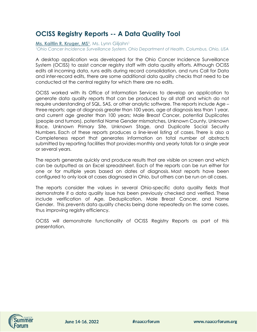# **OCISS Registry Reports -- A Data Quality Tool**

**Ms. Kaitlin R. Kruger, MS<sup>1</sup>** , Ms. Lynn Giljahn<sup>1</sup> *<sup>1</sup>Ohio Cancer Incidence Surveillance System, Ohio Department of Health, Columbus, Ohio, USA*

A desktop application was developed for the Ohio Cancer Incidence Surveillance System (OCISS) to assist cancer registry staff with data quality efforts. Although OCISS edits all incoming data, runs edits during record consolidation, and runs Call for Data and inter-record edits, there are some additional data quality checks that need to be conducted at the central registry for which there are no edits.

OCISS worked with its Office of Information Services to develop an application to generate data quality reports that can be produced by all staff and which do not require understanding of SQL, SAS, or other analytic software. The reports include Age – three reports: age at diagnosis greater than 100 years, age at diagnosis less than 1 year, and current age greater than 100 years; Male Breast Cancer, potential Duplicates (people and tumors), potential Name Gender mismatches, Unknown County, Unknown Race, Unknown Primary Site, Unknown Stage, and Duplicate Social Security Numbers. Each of these reports produces a line-level listing of cases. There is also a Completeness report that generates information on total number of abstracts submitted by reporting facilities that provides monthly and yearly totals for a single year or several years.

The reports generate quickly and produce results that are visible on screen and which can be outputted as an Excel spreadsheet. Each of the reports can be run either for one or for multiple years based on dates of diagnosis. Most reports have been configured to only look at cases diagnosed in Ohio, but others can be run on all cases.

The reports consider the values in several Ohio-specific data quality fields that demonstrate if a data quality issue has been previously checked and verified. These include verification of Age, Deduplication, Male Breast Cancer, and Name Gender. This prevents data quality checks being done repeatedly on the same cases, thus improving registry efficiency.

OCISS will demonstrate functionality of OCISS Registry Reports as part of this presentation.

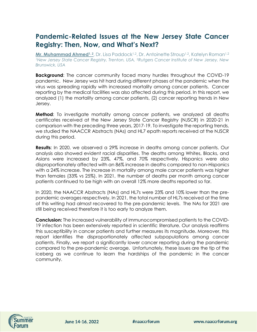# **Pandemic-Related Issues at the New Jersey State Cancer Registry: Then, Now, and What's Next?**

**Mr. Muhammad Ahmed<sup>1, 2</sup>, Dr. Lisa Paddock<sup>1, 2</sup>, Dr. Antoinette Stroup<sup>1, 2</sup>, Katelyn Roman<sup>1, 2</sup>** *<sup>1</sup>New Jersey State Cancer Registry, Trenton, USA, 2Rutgers Cancer Institute of New Jersey, New Brunswick, USA*

**Background**: The cancer community faced many hurdles throughout the COVID-19 pandemic. New Jersey was hit hard during different phases of the pandemic when the virus was spreading rapidly with increased mortality among cancer patients. Cancer reporting by the medical facilities was also affected during this period. In this report, we analyzed (1) the mortality among cancer patients, (2) cancer reporting trends in New Jersey.

**Method**: To investigate mortality among cancer patients, we analyzed all deaths certificates received at the New Jersey State Cancer Registry (NJSCR) in 2020-21 in comparison with the preceding three years, 2017-19. To investigate the reporting trends, we studied the NAACCR Abstracts (NAs) and HL7 epath reports received at the NJSCR during this period.

**Results**: In 2020, we observed a 29% increase in deaths among cancer patients. Our analysis also showed evident racial disparities. The deaths among Whites, Blacks, and Asians were increased by 23%, 47%, and 70% respectively. Hispanics were also disproportionately affected with an 86% increase in deaths compared to non-Hispanics with a 24% increase. The increase in mortality among male cancer patients was higher than females (33% vs 25%). In 2021, the number of deaths per month among cancer patients continued to be high with an overall 12% more deaths reported so far.

In 2020, the NAACCR Abstracts (NAs) and HL7s were 23% and 10% lower than the prepandemic averages respectively. In 2021, the total number of HL7s received at the time of this writing had almost recovered to the pre-pandemic levels. The NAs for 2021 are still being received therefore it is too early to analyze them.

**Conclusion:** The increased vulnerability of immunocompromised patients to the COVID-19 infection has been extensively reported in scientific literature. Our analysis reaffirms this susceptibility in cancer patients and further measures its magnitude. Moreover, this report identifies the disproportionately affected subpopulations among cancer patients. Finally, we report a significantly lower cancer reporting during the pandemic compared to the pre-pandemic average. Unfortunately, these issues are the tip of the iceberg as we continue to learn the hardships of the pandemic in the cancer community.

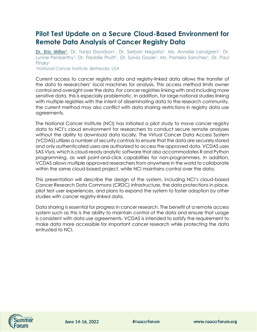# **Pilot Test Update on a Secure Cloud-Based Environment for Remote Data Analysis of Cancer Registry Data**

**Dr. Eric Miller<sup>1</sup>**, Dr. Tanja Davidson<sup>1</sup>, Dr. Serban Negoita<sup>1</sup>, Ms. Annelie Landgren<sup>1</sup>, Dr. Lynne Penberthy<sup>1</sup>, Dr. Freddie Pruitt<sup>1</sup>, Dr. Sylvia Gayle<sup>1</sup>, Ms. Pamela Sanchez<sup>1</sup>, Dr. Paul Pinsky<sup>1</sup>

*<sup>1</sup>National Cancer Institute, Bethesda, USA*

Current access to cancer registry data and registry-linked data allows the transfer of the data to researchers' local machines for analysis. This access method limits owner control and oversight over the data. For cancer registries linking with and including more sensitive data, this is especially problematic. In addition, for large national studies linking with multiple registries with the intent of disseminating data to the research community, the current method may also conflict with data sharing restrictions in registry data use agreements.

The National Cancer Institute (NCI) has initiated a pilot study to move cancer registry data to NCI's cloud environment for researchers to conduct secure remote analyses without the ability to download data locally. The Virtual Cancer Data Access System (VCDAS) utilizes a number of security controls to ensure that the data are securely stored and only authenticated users are authorized to access the approved data. VCDAS uses SAS Viya, which is cloud-ready analytic software that also accommodates R and Python programming, as well point-and-click capabilities for non-programmers. In addition, VCDAS allows multiple approved researchers from anywhere in the world to collaborate within the same cloud-based project, while NCI maintains control over the data.

This presentation will describe the design of the system, including NCI's cloud-based Cancer Research Data Commons (CRDC) infrastructure, the data protections in place, pilot test user experiences, and plans to expand the system to foster adoption by other studies with cancer registry-linked data.

Data sharing is essential for progress in cancer research. The benefit of a remote access system such as this is the ability to maintain control of the data and ensure that usage is consistent with data use agreements. VCDAS is intended to satisfy the requirement to make data more accessible for important cancer research while protecting the data entrusted to NCI.

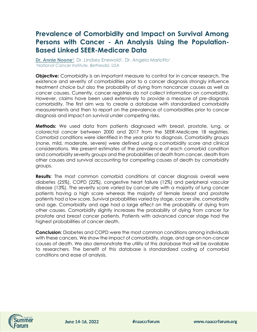# **Prevalence of Comorbidity and Impact on Survival Among Persons with Cancer - An Analysis Using the Population-Based Linked SEER-Medicare Data**

**Dr. Annie Noone<sup>1</sup>**, Dr. Lindsey Enewold<sup>1</sup>, Dr. Angela Mariotto<sup>1</sup> *<sup>1</sup>National Cancer Institute, Bethesda, USA*

**Objective:** Comorbidity is an important measure to control for in cancer research. The existence and severity of comorbidities prior to a cancer diagnosis strongly influence treatment choice but also the probability of dying from noncancer causes as well as cancer causes. Currently, cancer registries do not collect information on comorbidity. However, claims have been used extensively to provide a measure of pre-diagnosis comorbidity. The first aim was to create a database with standardized comorbidity measurements and then to report on the prevalence of comorbidities prior to cancer diagnosis and impact on survival under competing risks.

**Methods:** We used data from patients diagnosed with breast, prostate, lung, or colorectal cancer between 2000 and 2017 from the SEER-Medicare 18 registries. Comorbid conditions were identified in the year prior to diagnosis. Comorbidity groups (none, mild, moderate, severe) were defined using a comorbidity score and clinical considerations. We present estimates of the prevalence of each comorbid condition and comorbidity severity groups and the probabilities of death from cancer, death from other causes and survival accounting for competing causes of death by comorbidity groups.

**Results**: The most common comorbid conditions at cancer diagnosis overall were diabetes (25%), COPD (22%), congestive heart failure (12%) and peripheral vascular disease (13%). The severity score varied by cancer site with a majority of lung cancer patients having a high score whereas the majority of female breast and prostate patients had a low score. Survival probabilities varied by stage, cancer site, comorbidity and age. Comorbidity and age had a large effect on the probability of dying from other causes. Comorbidity slightly increases the probability of dying from cancer for prostate and breast cancer patients. Patients with advanced cancer stage had the highest probabilities of cancer death.

**Conclusion**: Diabetes and COPD were the most common conditions among individuals with these cancers. We show the impact of comorbidity, stage, and age on non-cancer causes of death. We also demonstrate the utility of this database that will be available to researchers. The benefit of this database is standardized coding of comorbid conditions and ease of analysis.

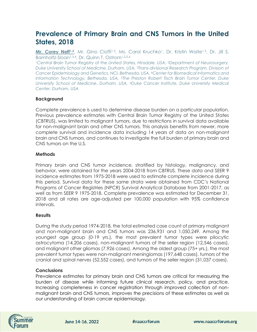# **Prevalence of Primary Brain and CNS Tumors in the United States, 2018**

**Mr. Corey Neff<sup>1,2</sup>,** Mr. Gino Cioffi<sup>1,3</sup>, Ms. Carol Kruchko<sup>1</sup>, Dr. Kristin Waite<sup>1,3</sup>, Dr. Jill S. Barnholtz-Sloan<sup>1,3,4</sup>, Dr. Quinn T. Ostrom<sup>1,2,5,6</sup>

*<sup>1</sup>Central Brain Tumor Registry of the United States, Hinsdale, USA, 2Department of Neurosurgery, Duke University School of Medicine, Durham, USA, 3Trans-divisional Research Program, Division of Cancer Epidemiology and Genetics, NCI, Bethesda, USA, 4Center for Biomedical Informatics and Information Technology, Bethesda, USA, 5The Preston Robert Tisch Brain Tumor Center, Duke University School of Medicine, Durham, USA, 6Duke Cancer Institute, Duke University Medical Center, Durham, USA*

#### **Background**

Complete prevalence is used to determine disease burden on a particular population. Previous prevalence estimates with Central Brain Tumor Registry of the United States (CBTRUS), was limited to malignant tumors, due to restrictions in survival data available for non-malignant brain and other CNS tumors. This analysis benefits from newer, more complete survival and incidence data including 14 years of data on non-malignant brain and CNS tumors, and continues to investigate the full burden of primary brain and CNS tumors on the U.S.

#### **Methods**

Primary brain and CNS tumor incidence, stratified by histology, malignancy, and behavior, were obtained for the years 2004-2018 from CBTRUS. These data and SEER 9 incidence estimates from 1975-2018 were used to estimate complete incidence during this period. Survival data for these same strata were obtained from CDC's National Programs of Cancer Registries (NPCR) Survival Analytical Database from 2001-2017, as well as from SEER 9 1975-2018. Complete prevalence was estimated for December 31, 2018 and all rates are age-adjusted per 100,000 population with 95% confidence intervals.

#### **Results**

During the study period 1974-2018, the total estimated case count of primary malignant and non-malignant brain and CNS tumors was 236,931 and 1,050,249. Among the youngest age group (0-19 yrs.), the most prevalent tumor types were pilocytic astrocytoma (14,206 cases), non-malignant tumors of the seller region (12,546 cases), and malignant other gliomas (7,926 cases). Among the oldest group (75+ yrs.), the most prevalent tumor types were non-malignant meningiomas (197,648 cases), tumors of the cranial and spinal nerves (52,552 cases), and tumors of the seller region (31,037 cases).

#### **Conclusions**

Prevalence estimates for primary brain and CNS tumors are critical for measuring the burden of disease while informing future clinical research, policy, and practice. Increasing completeness in cancer registration through improved collection of nonmalignant brain and CNS tumors, improves the precisions of these estimates as well as our understanding of brain cancer epidemiology.

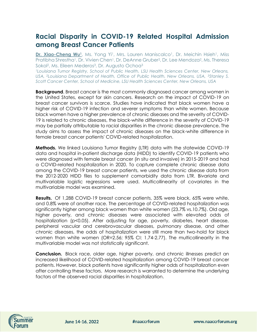# **Racial Disparity in COVID-19 Related Hospital Admission among Breast Cancer Patients**

Dr. Xiao-Cheng Wu<sup>1</sup>, Ms. Yong Yi<sup>1</sup>, Mrs. Lauren Maniscalco<sup>1</sup>, Dr. Meichin Hsieh<sup>1</sup>, Miss Pratibha Shrestha<sup>1</sup>, Dr. Vivien Chen<sup>1</sup>, Dr. DeAnne Gruber<sup>2</sup>, Dr. Lee Mendoza<sup>2</sup>, Ms. Theresa Sokol<sup>2</sup>, Ms. Eileen Mederos<sup>3</sup>, Dr. Augusto Ochoa<sup>3</sup>

*<sup>1</sup>Louisiana Tumor Registry, School of Public Health, LSU Health Sciences Center, New Orleans, USA, 2Louisiana Department of Health, Office of Public Health, New Orleans, USA, 3Stanley S. Scott Cancer Center, School of Medicine, LSU Health Sciences Center, New Orleans, USA*

**Background**. Breast cancer is the most commonly diagnosed cancer among women in the United States, except for skin cancers. Research on the impact of COVID-19 on breast cancer survivors is scarce. Studies have indicated that black women have a higher risk of COVID-19 infection and severer symptoms than white women. Because black women have a higher prevalence of chronic diseases and the severity of COVID-19 is related to chronic diseases, the black-white difference in the severity of COVID-19 may be partially attributable to racial disparities in the chronic disease prevalence. The study aims to assess the impact of chronic diseases on the black-white difference in female breast cancer patients' COVID-related hospitalization.

**Methods.** We linked Louisiana Tumor Registry (LTR) data with the statewide COVID-19 data and hospital in-patient discharge data (HIDD) to identify COVID-19 patients who were diagnosed with female breast cancer (in situ and invasive) in 2015-2019 and had a COVID-related hospitalization in 2020. To capture complete chronic disease data among the COVID-19 breast cancer patients, we used the chronic disease data from the 2012-2020 HIDD files to supplement comorbidity data from LTR. Bivariate and multivariable logistic regressions were used. Multicollinearity of covariates in the multivariable model was examined.

**Results.** Of 1,288 COVID-19 breast cancer patients, 35% were black, 65% were white, and 0.8% were of another race. The percentage of COVID-related hospitalization was significantly higher among black women than white women (23.7% vs.10.7%). Old age, higher poverty, and chronic diseases were associated with elevated odds of hospitalization (p<0.05). After adjusting for age, poverty, diabetes, heart disease, peripheral vascular and cerebrovascular diseases, pulmonary disease, and other chronic diseases, the odds of hospitalization were still more than two-hold for black women than white women (OR=2.56; 95% CI: 1.74-2.77). The multicollinearity in the multivariable model was not statistically significant.

**Conclusion.** Black race, older age, higher poverty, and chronic illnesses predict an increased likelihood of COVID-related hospitalization among COVID-19 breast cancer patients. However, black patients have significantly higher odds of hospitalization even after controlling these factors. More research is warranted to determine the underlying factors of the observed racial disparities in hospitalization.

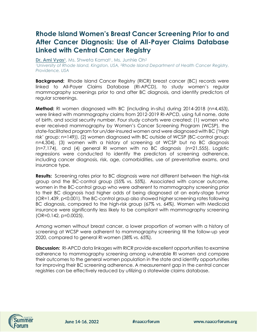# **Rhode Island Women's Breast Cancer Screening Prior to and After Cancer Diagnosis: Use of All-Payer Claims Database Linked with Central Cancer Registry**

**Dr. Ami Vyas<sup>1</sup>**, Ms. Shweta Kamat<sup>1</sup>, Ms. Junhie Oh<sup>2</sup> *<sup>1</sup>University of Rhode Island, Kingston, USA, 2Rhode Island Department of Health Cancer Registry, Providence, USA*

**Background:** Rhode Island Cancer Registry (RICR) breast cancer (BC) records were linked to All-Payer Claims Database (RI-APCD), to study women's regular mammography screenings prior to and after BC diagnosis, and identify predictors of regular screenings.

**Method:** RI women diagnosed with BC (including in-situ) during 2014-2018 (n=4,453), were linked with mammography claims from 2012-2019 RI-APCD, using full name, date of birth, and social security number. Four study cohorts were created: (1) women who ever received mammography by Women's Cancer Screening Program (WCSP), the state-facilitated program for un/der-insured women and were diagnosed with BC ('high risk' group: n=149)), (2) women diagnosed with BC outside of WCSP (BC-control group: n=4,304), (3) women with a history of screening at WCSP but no BC diagnosis (n=7,174), and (4) general RI women with no BC diagnosis (n=21,555). Logistic regressions were conducted to identify the predictors of screening adherence, including cancer diagnosis, risk, age, comorbidities, use of preventative exams, and insurance type.

**Results:** Screening rates prior to BC diagnosis were not different between the high-risk group and the BC-control group (55% vs. 55%). Associated with cancer outcome, women in the BC-control group who were adherent to mammography screening prior to their BC diagnosis had higher odds of being diagnosed at an early-stage tumor (OR=1.439, p<0.001). The BC-control group also showed higher screening rates following BC diagnosis, compared to the high-risk group (67% vs. 64%). Women with Medicaid insurance were significantly less likely to be compliant with mammography screening (OR=0.142, p=0.0025).

Among women without breast cancer, a lower proportion of women with a history of screening at WCSP were adherent to mammography screening till the follow-up year 2020, compared to general RI women (38% vs. 65%).

**Discussion:** RI-APCD data linkages with RICR provide excellent opportunities to examine adherence to mammography screening among vulnerable RI women and compare their outcomes to the general women population in the state and identify opportunities for improving their BC screening adherence. A measurement gap in the central cancer registries can be effectively reduced by utilizing a statewide claims database.

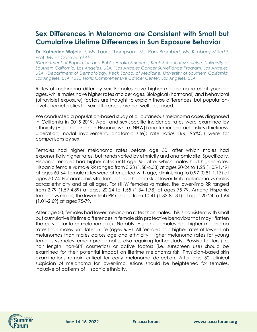# **Sex Differences in Melanoma are Consistent with Small but Cumulative Lifetime Differences in Sun Exposure Behavior**

Dr. Katherine Wojcik<sup>1, 2</sup>, Ms. Laura Thompson<sup>1</sup>, Ms. Paris Bromber<sup>1</sup>, Ms. Kimberly Miller<sup>1,3</sup>, Prof. Myles Cockburn<sup>1,2,3,4</sup>

*<sup>1</sup>Department of Population and Public Health Sciences, Keck School of Medicine, University of Southern California, Los Angeles, USA, 2Los Angeles Cancer Surveillance Program, Los Angeles, USA, 3Department of Dermatology, Keck School of Medicine, University of Southern California, Los Angeles, USA, 4USC Norris Comprehensive Cancer Center, Los Angeles, USA*

Rates of melanoma differ by sex. Females have higher melanoma rates at younger ages, while males have higher rates at older ages. Biological (hormonal) and behavioral (ultraviolet exposure) factors are thought to explain these differences, but populationlevel characteristics for sex differences are not well-described.

We conducted a population-based study of all cutaneous melanoma cases diagnosed in California in 2015-2019. Age- and sex-specific incidence rates were examined by ethnicity (Hispanic and non-Hispanic white (NHW)) and tumor characteristics (thickness, ulceration, nodal involvement, anatomic site); rate ratios (RR; 95%CI) were for comparisons by sex.

Females had higher melanoma rates before age 50, after which males had exponentially higher rates, but trends varied by ethnicity and anatomic site. Specifically, Hispanic females had higher rates until age 65, after which males had higher rates. Hispanic female vs male RR ranged from 3.23 (1.58-6.58) at ages 20-24 to 1.25 (1.05-1.49) at ages 60-64; female rates were attenuated with age, diminishing to 0.97 (0.81-1.17) at ages 70-74. For anatomic site, females had higher risk of lower-limb melanoma vs males across ethnicity and at all ages. For NHW females vs males, the lower-limb RR ranged from 2.79 (1.59-4.89) at ages 20-24 to 1.55 (1.34-1.78) at ages 75-79. Among Hispanic females vs males, the lower-limb RR ranged from 10.41 (1.33-81.31) at ages 20-24 to 1.64 (1.01-2.69) at ages 75-79.

After age 50, females had lower melanoma rates than males. This is consistent with small but cumulative lifetime differences in female skin protective behaviors that may "flatten the curve" for later melanoma risk. Notably, Hispanic females had higher melanoma rates than males until later in life (ages 65+). All females had higher rates of lower-limb melanomas than males across age and ethnicity. Higher melanoma rates for young females vs males remain problematic, also requiring further study. Passive factors (i.e. hair length, non-SPF cosmetics) or active factors (i.e. sunscreen use) should be examined for their potential impact on lifetime melanoma risk. Physician-based skin examinations remain critical for early melanoma detection. After age 50, clinical suspicion of melanoma for lower-limb lesions should be heightened for females, inclusive of patients of Hispanic ethnicity.

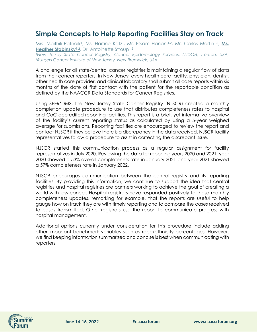# **Simple Concepts to Help Reporting Facilities Stay on Track**

Mrs. Maithili Patnaik<sup>1</sup>, Ms. Harrine Katz<sup>1</sup>, Mr. Essam Hanani<sup>1,2</sup>, Mr. Carlos Martin<sup>1,2</sup>, <mark>Ms.</mark> Heather Stabinsky<sup>1,2</sup>, Dr. Antoinette Stroup<sup>1,2</sup> *<sup>1</sup>New Jersey State Cancer Registry, Cancer Epidemiology Services, NJDOH, Trenton, USA, <sup>2</sup>Rutgers Cancer Institute of New Jersey, New Brunswick, USA*

A challenge for all state/central cancer registries is maintaining a regular flow of data from their cancer reporters. In New Jersey, every health care facility, physician, dentist, other health care provider, and clinical laboratory shall submit all case reports within six months of the date of first contact with the patient for the reportable condition as defined by the NAACCR Data Standards for Cancer Registries.

Using SEER\*DMS, the New Jersey State Cancer Registry (NJSCR) created a monthly completion update procedure to use that distributes completeness rates to hospital and CoC accredited reporting facilities. This report is a brief, yet informative overview of the facility's current reporting status as calculated by using a 5-year weighed average for submissions. Reporting facilities are encouraged to review the report and contact NJSCR if they believe there is a discrepancy in the data received. NJSCR facility representatives follow a procedure to assist in correcting the discrepant issue.

NJSCR started this communication process as a regular assignment for facility representatives in July 2020. Reviewing the data for reporting years 2020 and 2021, year 2020 showed a 53% overall completeness rate in January 2021 and year 2021 showed a 57% completeness rate in January 2022.

NJSCR encourages communication between the central registry and its reporting facilities. By providing this information, we continue to support the idea that central registries and hospital registries are partners working to achieve the goal of creating a world with less cancer. Hospital registrars have responded positively to these monthly completeness updates, remarking for example, that the reports are useful to help gauge how on track they are with timely reporting and to compare the cases received to cases transmitted. Other registrars use the report to communicate progress with hospital management.

Additional options currently under consideration for this procedure include adding other important benchmark variables such as race/ethnicity percentages. However, we find keeping information summarized and concise is best when communicating with reporters.

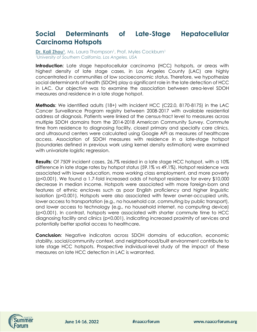# **Social Determinants of Late-Stage Hepatocellular Carcinoma Hotspots**

Dr. Kali Zhou<sup>1</sup>, Ms. Laura Thompson<sup>1</sup>, Prof. Myles Cockburn<sup>1</sup> *<sup>1</sup>University of Southern California, Los Angeles, USA*

**Introduction**: Late stage hepatocellular carcinoma (HCC) hotspots, or areas with highest density of late stage cases, in Los Angeles County (LAC) are highly concentrated in communities of low socioeconomic status. Therefore, we hypothesize social determinants of health (SDOH) play a significant role in the late detection of HCC in LAC. Our objective was to examine the association between area-level SDOH measures and residence in a late stage hotspot.

**Methods**: We identified adults (18+) with incident HCC (C22.0, 8170-8175) in the LAC Cancer Surveillance Program registry between 2008-2017 with available residential address at diagnosis. Patients were linked at the census-tract level to measures across multiple SDOH domains from the 2014-2018 American Community Survey. Commute time from residence to diagnosing facility, closest primary and specialty care clinics, and ultrasound centers were calculated using Google API as measures of healthcare access. Association of SDOH measures with residence in a late-stage hotspot (boundaries defined in previous work using kernel density estimation) were examined with univariate logistic regression.

**Results**: Of 7509 incident cases, 26.7% resided in a late stage HCC hotspot, with a 10% difference in late stage rates by hotspot status (59.1% vs 49.1%). Hotspot residence was associated with lower education, more working class employment, and more poverty (p<0.001). We found a 1.7-fold increased odds of hotspot residence for every \$10,000 decrease in median income. Hotspots were associated with more foreign-born and features of ethnic enclaves such as poor English proficiency and higher linguistic isolation (p<0.001). Hotspots were also associated with fewer owner-occupied units, lower access to transportation (e.g., no household car, commuting by public transport), and lower access to technology (e.g., no household internet, no computing device) (p<0.001). In contrast, hotspots were associated with shorter commute time to HCC diagnosing facility and clinics (p<0.001), indicating increased proximity of services and potentially better spatial access to healthcare.

**Conclusion**: Negative indicators across SDOH domains of education, economic stability, social/community context, and neighborhood/built environment contribute to late stage HCC hotspots. Prospective individual-level study of the impact of these measures on late HCC detection in LAC is warranted.

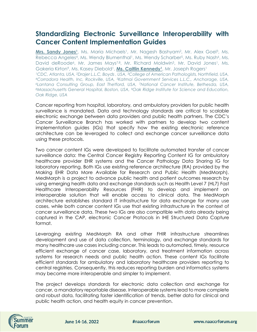# **Standardizing Electronic Surveillance Interoperability with Cancer Content Implementation Guides**

**Mrs. Sandy Jones<sup>1</sup>, Ms. Maria Michaels<sup>1</sup>, Mr. Nagesh Bashyam<sup>2</sup>, Mr. Alex Goel<sup>3</sup>, Ms.** Rebecca Angeles<sup>4</sup>, Ms. Wendy Blumenthal<sup>1</sup>, Ms. Wendy Scharber<sup>5</sup>, Ms. Ruby Nash<sup>6</sup>, Ms. David deRoode<sup>6</sup>, Mr. James Mays<sup>7,8</sup>, Mr. Richard Moldwin<sup>3</sup>, Mr. David Jones<sup>1</sup>, Ms. Gakeria Kirton<sup>9</sup>, Ms. Kasey Diebold<sup>1</sup>, **Ms. Caitlin Kennedy<sup>1</sup>**, Mr. Joseph Rogers<sup>1</sup> *<sup>1</sup>CDC, Atlanta, USA, 2Drajer L.L.C, Boyds , USA, 3College of American Pathologists, Northfield, USA, <sup>4</sup>Corradora Health, Inc, Rockville, USA, 5Katmai Government Services L.L.C., Anchorage, USA, <sup>6</sup>Lantana Consulting Group, East Thetford, USA, 7National Cancer Institute, Bethesda, USA, <sup>8</sup>Massachusetts General Hospital, Boston, USA, 9Oak Ridge Institute for Science and Education, Oak Ridge, USA*

Cancer reporting from hospital, laboratory, and ambulatory providers for public health surveillance is mandated. Data and technology standards are critical to scalable electronic exchange between data providers and public health partners. The CDC's Cancer Surveillance Branch has worked with partners to develop two content implementation guides (IGs) that specify how the existing electronic reference architecture can be leveraged to collect and exchange cancer surveillance data using these protocols.

Two cancer content IGs were developed to facilitate automated transfer of cancer surveillance data: the Central Cancer Registry Reporting Content IG for ambulatory healthcare provider EHR systems and the Cancer Pathology Data Sharing IG for laboratory reporting. Both IGs use existing reference architecture (RA) provided by the Making EHR Data More Available for Research and Public Health (MedMorph). MedMorph is a project to advance public health and patient outcomes research by using emerging health data and exchange standards such as Health Level 7 (HL7) Fast Healthcare Interoperability Resources (FHIR) to develop and implement an interoperable solution that will enable access to clinical data. The MedMorph architecture establishes standard IT infrastructure for data exchange for many use cases, while both cancer content IGs use that existing infrastructure in the context of cancer surveillance data. These two IGs are also compatible with data already being captured in the CAP, electronic Cancer Protocols in IHE Structured Data Capture format.

Leveraging existing MedMorph RA and other FHIR infrastructure streamlines development and use of data collection, terminology, and exchange standards for many healthcare use cases including cancer. This leads to automated, timely, resource efficient exchange of cancer case, laboratory, and treatment information across systems for research needs and public health action. These content IGs facilitate efficient standards for ambulatory and laboratory healthcare providers reporting to central registries. Consequently, this reduces reporting burden and informatics systems may become more interoperable and simpler to implement.

The project develops standards for electronic data collection and exchange for cancer, a mandatory reportable disease. Interoperable systems lead to more complete and robust data, facilitating faster identification of trends, better data for clinical and public health action, and health equity in cancer prevention.

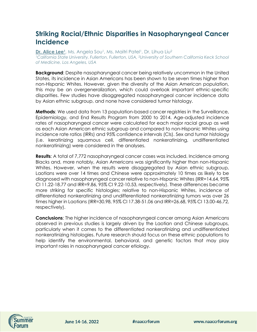# **Striking Racial/Ethnic Disparities in Nasopharyngeal Cancer Incidence**

**<u>Dr. Alice Lee<sup>1</sup></u>**, Ms. Angela Sou<sup>1</sup>, Ms. Maitri Patel<sup>1</sup>, Dr. Lihua Liu<sup>2</sup> *<sup>1</sup>California State University, Fullerton, Fullerton, USA, 2University of Southern California Keck School of Medicine, Los Angeles, USA*

**Background**: Despite nasopharyngeal cancer being relatively uncommon in the United States, its incidence in Asian Americans has been shown to be seven times higher than non-Hispanic Whites. However, given the diversity of the Asian American population, this may be an overgeneralization, which could overlook important ethnic-specific disparities. Few studies have disaggregated nasopharyngeal cancer incidence data by Asian ethnic subgroup, and none have considered tumor histology.

**Methods**: We used data from 13 population-based cancer registries in the Surveillance, Epidemiology, and End Results Program from 2000 to 2014. Age-adjusted incidence rates of nasopharyngeal cancer were calculated for each major racial group as well as each Asian American ethnic subgroup and compared to non-Hispanic Whites using incidence rate ratios (IRRs) and 95% confidence intervals (CIs). Sex and tumor histology (i.e. keratinizing squamous cell, differentiated nonkeratinizing, undifferentiated nonkeratinizing) were considered in the analyses.

**Results**: A total of 7,772 nasopharyngeal cancer cases was included. Incidence among Blacks and, more notably, Asian Americans was significantly higher than non-Hispanic Whites. However, when the results were disaggregated by Asian ethnic subgroup, Laotians were over 14 times and Chinese were approximately 10 times as likely to be diagnosed with nasopharyngeal cancer relative to non-Hispanic Whites (IRR=14.64, 95% CI 11.22-18.77 and IRR=9.86, 95% CI 9.22-10.53, respectively). These differences became more striking for specific histologies; relative to non-Hispanic Whites, incidence of differentiated nonkeratinizing and undifferentiated nonkeratinizing tumors was over 26 times higher in Laotians (IRR=30.98, 95% CI 17.38-51.06 and IRR=26.68, 95% CI 13.00-46.72, respectively).

**Conclusions**: The higher incidence of nasopharyngeal cancer among Asian Americans observed in previous studies is largely driven by the Laotian and Chinese subgroups, particularly when it comes to the differentiated nonkeratinizing and undifferentiated nonkeratinizing histologies. Future research should focus on these ethnic populations to help identify the environmental, behavioral, and genetic factors that may play important roles in nasopharyngeal cancer etiology.

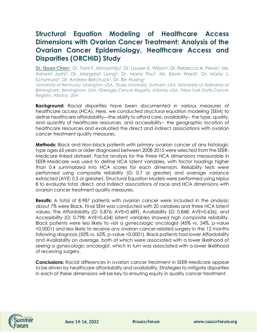# **Structural Equation Modeling of Healthcare Access Dimensions with Ovarian Cancer Treatment: Analysis of the Ovarian Cancer Epidemiology, Healthcare Access and Disparities (ORCHiD) Study**

**Dr. Quan Chen<sup>1</sup>, Dr. Tomi F. Akinyemiju<sup>2</sup>, Dr. Lauren E. Wilson<sup>2</sup>, Dr. Rebecca A. Previs<sup>2</sup>, Ms.** Ashwini Joshi<sup>2</sup>, Dr. Margaret Liang<sup>3</sup>, Dr. Maria Pisu<sup>3</sup>, Mr. Kevin Ward<sup>4</sup>, Dr. Maria J. Schymura<sup>5</sup>, Dr. Andrew Berchuck<sup>2</sup>, Dr. Bin Huang<sup>1</sup>

*<sup>1</sup>University of Kentucky, Lexington, USA, 2Duke University, Durham, USA, 3University of Alabama at Birmingham, Birmingham, USA, 4Georgia Cancer Registry, Atlanta, USA, 5New York State Cancer Registry, Albany, USA*

**Background:** Racial disparities have been documented in various measures of healthcare access (HCA). Here, we conducted structural equation modeling (SEM) to define healthcare affordability—the ability to afford care, availability-- the type, quality, and quantity of healthcare resources, and accessibility-- the geographic location of healthcare resources and evaluated the direct and indirect associations with ovarian cancer treatment quality measures.

**Methods:** Black and Non-black patients with primary ovarian cancer of any histologic type ages 65 years or older diagnosed between 2008-2015 were selected from the SEER-Medicare linked dataset. Factor analysis for the three HCA dimensions measurable in SEER-Medicare was used to define HCA latent variables, with factor loadings higher than 0.4 summarized into HCA scores for each dimension. Reliability tests were performed using composite reliability ( $\Omega$ ; 0.7 or greater) and average variance extracted (AVE; 0.5 or greater). Structural Equation Models were performed using Mplus 8 to evaluate total, direct, and indirect associations of race and HCA dimensions with ovarian cancer treatment quality measures.

**Results:** A total of 8,987 patients with ovarian cancer were included in the analysis; about 7% were Black. Final SEM was conducted with 20 variables and three HCA latent values. The Affordability (Ω: 0.876; AVE=0.689), Availability (Ω: 0.848; AVE=0.636), and Accessibility (Ω: 0.798; AVE=0.634) latent variables showed high composite reliability. Black patients were less likely to visit a gynecologic oncologist (45% vs. 54%, p-value <0.0001) and less likely to receive any ovarian cancer-related surgery in the 12 months following diagnosis (50% vs. 62%, p-value <0.0001). Black patients had lower Affordability and Availability on average, both of which were associated with a lower likelihood of seeing a gynecologic oncologist, which in turn was associated with a lower likelihood of receiving surgery.

**Conclusions:** Racial differences in ovarian cancer treatment in SEER-Medicare appear to be driven by healthcare affordability and availability. Strategies to mitigate disparities in each of these dimensions will be key to ensuring equity in quality cancer treatment.

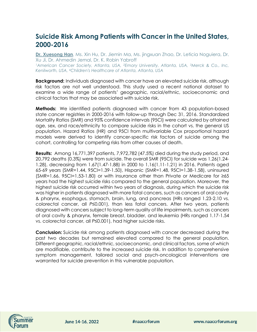# **Suicide Risk Among Patients with Cancer in the United States, 2000-2016**

**Dr. Xuesong Han**, Ms. Xin Hu, Dr. Jiemin Ma, Ms. jingxuan Zhao, Dr. Leticia Noguiera, Dr. Xu Ji, Dr. Ahmedin Jemal, Dr. K. Robin Yabroff *<sup>1</sup>American Cancer Society, Atlanta, USA, 2Emory University, Atlanta, USA, 3Merck & Co., Inc, Kenilworth, USA, 4Children's Healthcare of Atlanta, Atlanta, USA*

**Background:** Individuals diagnosed with cancer have an elevated suicide risk, although risk factors are not well understood. This study used a recent national dataset to examine a wide range of patients' geographic, racial/ethnic, socioeconomic and clinical factors that may be associated with suicide risk.

**Methods:** We identified patients diagnosed with cancer from 43 population-based state cancer registries in 2000-2016 with follow-up through Dec 31, 2016. Standardized Mortality Ratios (SMR) and 95% confidence intervals (95CI) were calculated by attained age, sex, and race/ethnicity to compare suicide risks in the cohort vs. the general US population. Hazard Ratios (HR) and 95CI from multivariable Cox proportional hazard models were derived to identify cancer-specific risk factors of suicide among the cohort, controlling for competing risks from other causes of death.

**Results:** Among 16,771,397 patients, 7,972,782 (47.5%) died during the study period, and 20,792 deaths (0.3%) were from suicide. The overall SMR (95CI) for suicide was 1.26(1.24- 1.28), decreasing from 1.67(1.47-1.88) in 2000 to 1.16(1.11-1.21) in 2016. Patients aged 65-69 years (SMR=1.44, 95CI=1.39-1.50), Hispanic (SMR=1.48, 95CI=1.38-1.58), uninsured (SMR=1.66, 95CI=1.53-1.80) or with insurance other than Private or Medicare for ≥65 years had the highest suicide risks compared to the general population. Moreover, the highest suicide risk occurred within two years of diagnosis, during which the suicide risk was higher in patients diagnosed with more fatal cancers, such as cancers of oral cavity & pharynx, esophagus, stomach, brain, lung, and pancreas (HRs ranged 1.23-2.10 vs. colorectal cancer, all *P*≤0.001), than less fatal cancers. After two years, patients diagnosed with cancers subject to long-term quality of life impairments, such as cancers of oral cavity & pharynx, female breast, bladder, and leukemia (HRs ranged 1.17-1.54 vs. colorectal cancer, all *P*≤0.001), had higher suicide risks.

**Conclusion:** Suicide risk among patients diagnosed with cancer decreased during the past two decades but remained elevated compared to the general population. Different geographic, racial/ethnic, socioeconomic, and clinical factors, some of which are modifiable, contribute to the increased suicide risk. In addition to comprehensive symptom management, tailored social and psych-oncological interventions are warranted for suicide prevention in this vulnerable population.

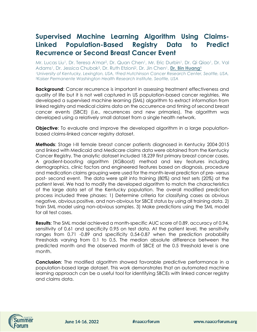# **Supervised Machine Learning Algorithm Using Claims-Linked Population-Based Registry Data to Predict Recurrence or Second Breast Cancer Event**

Mr. Lucas Liu<sup>1</sup>, Dr. Teresa A'mar<sup>2</sup>, Dr. Quan Chen<sup>1</sup>, Mr. Eric Durbin<sup>1</sup>, Dr. Qi Qiao<sup>1</sup>, Dr. Val Adams<sup>1</sup>, Dr. Jessica Chubak<sup>3</sup>, Dr. Ruth Etzioni<sup>2</sup>, Dr. Jin Chen<sup>1</sup>, <mark>Dr. Bin Huang<sup>1</sup></mark> *<sup>1</sup>University of Kentucky, Lexington, USA, 2Fred Hutchinson Cancer Research Center, Seattle, USA, <sup>3</sup>Kaiser Permanente Washington Health Research Institute, Seattle, USA*

**Background:** Cancer recurrence is important in assessing treatment effectiveness and quality of life but it is not well captured in US population-based cancer registries. We developed a supervised machine learning (SML) algorithm to extract information from linked registry and medical claims data on the occurrence and timing of second breast cancer events (SBCE) (i.e., recurrences and new primaries). The algorithm was developed using a relatively small dataset from a single health network.

**Objective**: To evaluate and improve the developed algorithm in a large populationbased claims-linked cancer registry dataset.

**Methods**: Stage I-III female breast cancer patients diagnosed in Kentucky 2004-2015 and linked with Medicaid and Medicare claims data were obtained from the Kentucky Cancer Registry. The analytic dataset included 18,239 first primary breast cancer cases. A gradient-boosting algorithm (XGBoost) method and key features including demographics, clinic factors and engineered features based on diagnosis, procedure and medication claims grouping were used for the month-level prediction of pre- versus post- second event. The data were split into training (80%) and test sets (20%) at the patient level. We had to modify the developed algorithm to match the characteristics of the large data set of the Kentucky population. The overall modified prediction process included three phases: 1) Determine criteria for classifying cases as obvious negative, obvious positive, and non-obvious for SBCE status by using all training data. 2) Train SML model using non-obvious samples. 3) Make predictions using the SML model for all test cases.

**Results**: The SML model achieved a month-specific AUC score of 0.89, accuracy of 0.94, sensitivity of 0.61 and specificity 0.95 on test data. At the patient level, the sensitivity ranges from 0.71 -0.89 and specificity 0.54-0.87 when the prediction probability thresholds varying from 0.1 to 0.5. The median absolute difference between the predicted month and the observed month of SBCE at the 0.5 threshold level is one month.

**Conclusion**: The modified algorithm showed favorable predictive performance in a population-based large dataset. This work demonstrates that an automated machine learning approach can be a useful tool for identifying SBCEs with linked cancer registry and claims data.

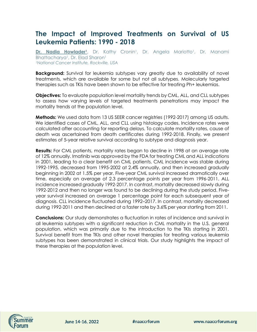### **The Impact of Improved Treatments on Survival of US Leukemia Patients: 1990 - 2018**

**Dr. Nadia Howlader<sup>1</sup>**, Dr. Kathy Cronin<sup>1</sup>, Dr. Angela Mariotto<sup>1</sup>, Dr. Manami Bhattacharya<sup>1</sup>, Dr. Elad Sharon<sup>1</sup> *<sup>1</sup>National Cancer Institute, Rockville, USA*

**Background:** Survival for leukemia subtypes vary greatly due to availability of novel treatments, which are available for some but not all subtypes. Molecularly targeted therapies such as TKIs have been shown to be effective for treating Ph+ leukemias.

**Objectives:** To evaluate population level mortality trends by CML, ALL, and CLL subtypes to assess how varying levels of targeted treatments penetrations may impact the mortality trends at the population level.

**Methods:** We used data from 13 US SEER cancer registries (1992-2017) among US adults. We identified cases of CML, ALL, and CLL using histology codes. Incidence rates were calculated after accounting for reporting delays. To calculate mortality rates, cause of death was ascertained from death certificates during 1992-2018. Finally, we present estimates of 5-year relative survival according to subtype and diagnosis year.

**Results:** For CML patients, mortality rates began to decline in 1998 at an average rate of 12% annually. Imatinib was approved by the FDA for treating CML and ALL indications in 2001, leading to a clear benefit on CML patients. CML incidence was stable during 1992-1995, decreased from 1995-2002 at 2.4% annually, and then increased gradually beginning in 2002 at 1.5% per year. Five-year CML survival increased dramatically over time, especially on average of 2.3 percentage points per year from 1996-2011. ALL incidence increased gradually 1992-2017. In contrast, mortality decreased slowly during 1992-2012 and then no longer was found to be declining during the study period. Fiveyear survival increased on average 1 percentage point for each subsequent year of diagnosis. CLL incidence fluctuated during 1992–2017. In contrast, mortality decreased during 1992-2011 and then declined at a faster rate by 3.6% per year starting from 2011.

**Conclusions:** Our study demonstrates a fluctuation in rates of incidence and survival in all leukemia subtypes with a significant reduction in CML mortality in the U.S. general population, which was primarily due to the introduction to the TKIs starting in 2001. Survival benefit from the TKIs and other novel therapies for treating various leukemia subtypes has been demonstrated in clinical trials. Our study highlights the impact of these therapies at the population level.

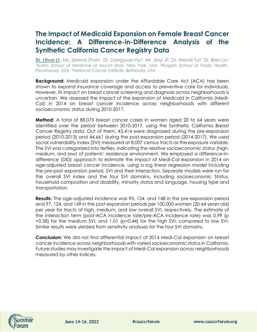# **The Impact of Medicaid Expansion on Female Breast Cancer Incidence: A Difference-in-Difference Analysis of the Synthetic California Cancer Registry Data**

**Dr. Lihua Li**<sup>1</sup>, Ms. Serena Zhan<sup>1</sup>, Dr. Liangyuan Hu<sup>2</sup>, Mr. Jiayi Ji<sup>2</sup>, Dr. Mandi Yu<sup>3</sup>, Dr. Bian Liu<sup>1</sup> *<sup>1</sup>Icahn School of Medicine at Mount Sinai, New York, USA, 2Rutgers School of Public Health, Piscataway, USA, 3National Cancer Institute, Bethesda, USA*

**Background:** Medicaid expansion under the Affordable Care Act (ACA) has been shown to expand insurance coverage and access to preventive care for individuals. However, its impact on breast cancer screening and diagnosis across neighborhoods is uncertain. We assessed the impact of the expansion of Medicaid in California (Medi-Cal) in 2014 on breast cancer incidence across neighborhoods with different socioeconomic status during 2010-2017.

**Method:** A total of 88,075 breast cancer cases in women aged 20 to 64 years were identified over the period between 2010-2017, using the Synthetic California Breast Cancer Registry data. Out of them, 43,414 were diagnosed during the pre-expansion period (2010-2013) and 44,661 during the post-expansion period (2014-2017). We used social vulnerability index (SVI) measured at 8,007 census tracts as the exposure variable. The SVI was categorized into tertiles, indicating the relative socioeconomic status (high, medium, and low) of patients' residence environment. We employed a difference-indifference (DID) approach to estimate the impact of Medi-Cal expansion in 2014 on age-adjusted breast cancer incidence, using a log linear regression model including the pre-post expansion period, SVI and their interaction. Separate models were run for the overall SVI index and the four SVI domains, including socioeconomic Status, household composition and disability, minority status and language, housing type and transportation.

**Results:** The age-adjusted incidence was 95, 124, and 148 in the pre-expansion period and 97, 124, and 149 in the post-expansion periods per 100,000 women (20-64 years old) per year for tracts of high, medium, and low overall SVI, respectively. The estimate of the interaction term (post-ACA incidence rate/pre-ACA incidence rate) was 0.99 (p =0.58) for the medium SVI, and 1.01 (p=0.44) for the high SVI, compared to low SVI. Similar results were yielded from sensitivity analyses for the four SVI domains.

**Conclusion:** We did not find differential impact of 2014 Medi-Cal expansion on breast cancer incidence across neighborhoods with varied socioeconomic status in California. Future studies may investigate the impact of Medi-Cal expansion across neighborhoods measured by other indices.

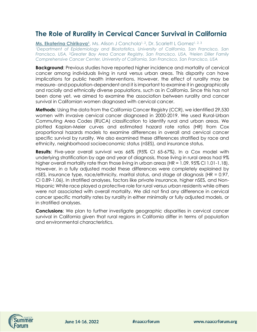# **The Role of Rurality in Cervical Cancer Survival in California**

**Ms. Ekaterina Chirikova**1, Ms. Alison J Canchola<sup>1, 2</sup>, Dr. Scarlett L Gomez<sup>1, 2, 3</sup> *<sup>1</sup>Department of Epidemiology and Biostatistics, University of California, San Francisco, San Francisco, USA, 2Greater Bay Area Cancer Registry, San Francisco, USA, 3Helen Diller Family Comprehensive Cancer Center, University of California, San Francisco, San Francisco, USA*

**Background**: Previous studies have reported higher incidence and mortality of cervical cancer among individuals living in rural versus urban areas. This disparity can have implications for public health interventions. However, the effect of rurality may be measure- and population-dependent and it is important to examine it in geographically and racially and ethnically diverse populations, such as in California. Since this has not been done yet, we aimed to examine the association between rurality and cancer survival in Californian women diagnosed with cervical cancer.

**Methods**: Using the data from the California Cancer Registry (CCR), we identified 29,530 women with invasive cervical cancer diagnosed in 2000-2019. We used Rural-Urban Commuting Area Codes (RUCA) classification to identify rural and urban areas. We plotted Kaplan-Meier curves and estimated hazard rate ratios (HR) from Cox proportional hazards models to examine differences in overall and cervical cancer specific survival by rurality. We also examined these differences stratified by race and ethnicity, neighborhood socioeconomic status (nSES), and insurance status.

**Results**: Five-year overall survival was 66% (95% CI 65-67%). In a Cox model with underlying stratification by age and year of diagnosis, those living in rural areas had 9% higher overall mortality rate than those living in urban areas (HR = 1.09, 95% CI 1.01-1.18). However, in a fully adjusted model these differences were completely explained by nSES, insurance type, race/ethnicity, marital status, and stage at diagnosis (HR = 0.97, CI 0.89-1.06). In stratified analyses, factors like private insurance, higher nSES, and Non-Hispanic White race played a protective role for rural versus urban residents while others were not associated with overall mortality. We did not find any difference in cervical cancer specific mortality rates by rurality in either minimally or fully adjusted models, or in stratified analyses.

**Conclusions**: We plan to further investigate geographic disparities in cervical cancer survival in California given that rural regions in California differ in terms of population and environmental characteristics.

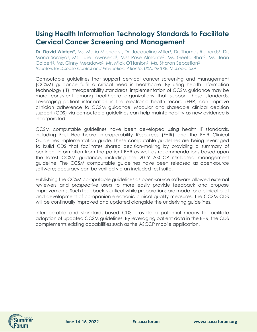# **Using Health Information Technology Standards to Facilitate Cervical Cancer Screening and Management**

**Dr. David Winters**<sup>2</sup>, Ms. Maria Michaels<sup>1</sup>, Dr. Jacqueline Miller<sup>1</sup>, Dr. Thomas Richards<sup>1</sup>, Dr. Mona Saraiya<sup>1</sup>, Ms. Julie Townsend<sup>1</sup>, Miss Rose Almonte<sup>2</sup>, Ms. Geeta Bhat<sup>2</sup>, Ms. Jean Colbert<sup>2</sup>, Ms. Ginny Meadows<sup>2</sup>, Mr. Mick O'Hanlon<sup>2</sup>, Ms. Sharon Sebastian<sup>2</sup> *<sup>1</sup>Centers for Disease Control and Prevention, Atlanta, USA, 2MITRE, McLean, USA*

Computable guidelines that support cervical cancer screening and management (CCSM) guidance fulfill a critical need in healthcare. By using health information technology (IT) interoperability standards, implementation of CCSM guidance may be more consistent among healthcare organizations that support these standards. Leveraging patient information in the electronic health record (EHR) can improve clinician adherence to CCSM guidance. Modular and shareable clinical decision support (CDS) via computable guidelines can help maintainability as new evidence is incorporated.

CCSM computable guidelines have been developed using health IT standards, including Fast Healthcare Interoperability Resources (FHIR) and the FHIR Clinical Guidelines implementation guide. These computable guidelines are being leveraged to build CDS that facilitates shared decision-making by providing a summary of pertinent information from the patient EHR as well as recommendations based upon the latest CCSM guidance, including the 2019 ASCCP risk-based management guideline. The CCSM computable guidelines have been released as open-source software; accuracy can be verified via an included test suite.

Publishing the CCSM computable guidelines as open-source software allowed external reviewers and prospective users to more easily provide feedback and propose improvements. Such feedback is critical while preparations are made for a clinical pilot and development of companion electronic clinical quality measures. The CCSM CDS will be continually improved and updated alongside the underlying guidelines.

Interoperable and standards-based CDS provide a potential means to facilitate adoption of updated CCSM guidelines. By leveraging patient data in the EHR, the CDS complements existing capabilities such as the ASCCP mobile application.

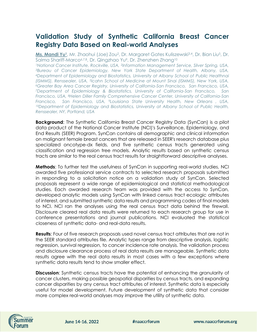# **Validation Study of Synthetic California Breast Cancer Registry Data Based on Real-world Analyses**

**Ms. Mandi Yu1**, Mr. Zhaohui (Joe) Zou<sup>2</sup>, Dr. Margaret Gates Kuliszewski<sup>3,4</sup>, Dr. Bian Liu<sup>5</sup>, Dr. Salma Shariff-Marco<sup>6,7,8</sup>, Dr. Qingzhao Yu<sup>9</sup>, Dr. Zhenzhen Zhang<sup>10</sup>

*<sup>1</sup>National Cancer Institute, Rockville, USA, 2Information Management Service, Silver Spring, USA, <sup>3</sup>Bureau of Cancer Epidemiology, New York State Department of Health, Albany, USA, <sup>4</sup>Department of Epidemiology and Biostatistics, University at Albany School of Public Healthnai (ISMMS), Renssealer, USA, 5Icahn School of Medicine at Mount Sinai (ISMMS), New York, USA, <sup>6</sup>Greater Bay Area Cancer Registry, University of California-San Francisco, San Francisco, USA, <sup>7</sup>Department of Epidemiology & Biostatistics, University of California-San Francisco, San Francisco, USA, 8Helen Diller Family Comprehensive Cancer Center, University of California-San Francisco, San Francisco, USA, 9Louisiana State University Health, New Orleans , USA, <sup>10</sup>Department of Epidemiology and Biostatistics, University at Albany School of Public Health, Renssealer, NY, Portland, USA*

**Background:** The Synthetic California Breast Cancer Registry Data (SynCan) is a pilot data product of the National Cancer Institute (NCI)'s Surveillance, Epidemiology, and End Results (SEER) Program. SynCan contains all demographic and clinical information on malignant female breast cancers that are released in SEER's research database plus specialized oncotype-dx fields, and five synthetic census tracts generated using classification and regression tree models. Analytic results based on synthetic census tracts are similar to the real census tract results for straightforward descriptive analyses.

**Methods**: To further test the usefulness of SynCan in supporting real-world studies, NCI awarded five professional service contracts to selected research proposals submitted in responding to a solicitation notice on a validation study of SynCan. Selected proposals represent a wide range of epidemiological and statistical methodological studies. Each awarded research team was provided with the access to SynCan, developed analytic models using SynCan with linked census tract ecologic attributes of interest, and submitted synthetic data results and programming codes of final models to NCI. NCI ran the analyses using the real census tract data behind the firewall. Disclosure cleared real data results were returned to each research group for use in conference presentations and journal publications. NCI evaluated the statistical closeness of synthetic data- and real-data results.

**Results**: Four of five research proposals used novel census tract attributes that are not in the SEER standard attributes file. Analytic types range from descriptive analysis, logistic regression, survival regression, to cancer incidence rate analysis. The validation process and disclosure clearance process of real data results are manageable. Synthetic data results agree with the real data results in most cases with a few exceptions where synthetic data results tend to show smaller effect.

**Discussion**: Synthetic census tracts have the potential of enhancing the granularity of cancer clusters, making possible geospatial disparities by census tracts, and expanding cancer disparities by any census tract attributes of interest. Synthetic data is especially useful for model development. Future development of synthetic data that consider more complex real-world analyses may improve the utility of synthetic data.

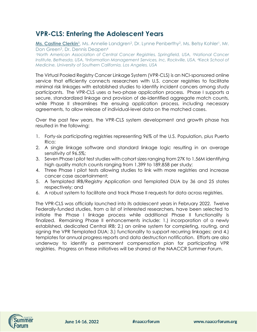# **VPR-CLS: Entering the Adolescent Years**

**Ms. Castine Clerkin<sup>1</sup>**, Ms. Annelie Landgren<sup>2</sup>, Dr. Lynne Penberthy<sup>2</sup>, Ms. Betsy Kohler<sup>1</sup>, Mr. Don Green<sup>3</sup>, Dr. Dennis Deapen<sup>4</sup>

*<sup>1</sup>North American Association of Central Cancer Registries, Springfield, USA, 2National Cancer Institute, Bethesda, USA, 3Information Management Services, Inc, Rockville, USA, 4Keck School of Medicine, University of Southern California, Los Angeles, USA*

The Virtual Pooled Registry Cancer Linkage System (VPR-CLS) is an NCI-sponsored online service that efficiently connects researchers with U.S. cancer registries to facilitate minimal risk linkages with established studies to identify incident cancers among study participants. The VPR-CLS uses a two-phase application process. Phase I supports a secure, standardized linkage and provision of de-identified aggregate match counts, while Phase II streamlines the ensuing application process, including necessary agreements, to allow release of individual-level data on the matched cases.

Over the past few years, the VPR-CLS system development and growth phase has resulted in the following:

- 1. Forty-six participating registries representing 96% of the U.S. Population, plus Puerto Rico;
- 2. A single linkage software and standard linkage logic resulting in an average sensitivity of 96.5%;
- 3. Seven Phase I pilot test studies with cohort sizes ranging from 27K to 1.56M identifying high quality match counts ranging from 1,399 to 189,858 per study;
- 4. Three Phase I pilot tests allowing studies to link with more registries and increase cancer case ascertainment;
- 5. A Templated IRB/Registry Application and Templated DUA by 36 and 25 states respectively; and
- 6. A robust system to facilitate and track Phase II requests for data across registries.

The VPR-CLS was officially launched into its adolescent years in February 2022. Twelve Federally-funded studies, from a list of interested researchers, have been selected to initiate the Phase I linkage process while additional Phase II functionality is finalized. Remaining Phase II enhancements include: 1.) incorporation of a newly established, dedicated Central IRB; 2.) an online system for completing, routing, and signing the VPR Templated DUA; 3.) functionality to support recurring linkages; and 4.) templates for annual progress reports and data destruction notification. Efforts are also underway to identify a permanent compensation plan for participating VPR registries. Progress on these initiatives will be shared at the NAACCR Summer Forum.

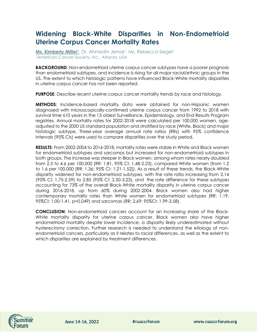# **Widening Black-White Disparities in Non-Endometrioid Uterine Corpus Cancer Mortality Rates**

Ms. Kimberly Miller<sup>1</sup>, Dr. Ahmedin Jemal<sup>1</sup>, Ms. Rebecca Siegel<sup>1</sup> *<sup>1</sup>American Cancer Society, Inc., Atlanta, USA*

**BACKGROUND**: Non-endometrioid uterine corpus cancer subtypes have a poorer prognosis than endometrioid subtypes, and incidence is rising for all major racial/ethnic groups in the US. The extent to which histologic patterns have influenced Black-White mortality disparities in uterine corpus cancer has not been reported.

**PURPOSE:** Describe recent uterine corpus cancer mortality trends by race and histology.

**METHODS**: Incidence-based mortality data were obtained for non-Hispanic women diagnosed with microscopically-confirmed uterine corpus cancer from 1992 to 2018 with survival time ≤10 years in the 13 oldest Surveillance, Epidemiology, and End Results Program registries. Annual mortality rates for 2002-2018 were calculated per 100,000 women, ageadjusted to the 2000 US standard population and stratified by race (White, Black) and major histologic subtype. Three-year average annual rate ratios (RRs) with 95% confidence intervals (95% CIs) were used to compare disparities over the study period.

**RESULTS**: From 2002-2004 to 2016-2018, mortality rates were stable in White and Black women for endometrioid subtypes and sarcomas but increased for non-endometrioid subtypes in both groups. The increase was steeper in Black women, among whom rates nearly doubled from 2.5 to 4.6 per 100,000 (RR: 1:81, 95% CI: 1.48-2.23), compared White women (from 1.2 to 1.6 per 100,000 [RR: 1.36; 95% CI: 1.21-1.52]). As a result of these trends, the Black-White disparity widened for non-endometrioid subtypes, with the rate ratio increasing from 2.14 (95% CI: 1.75-2.59) to 2.85 (95% CI: 2.50-3.23), and the rate difference for these subtypes accounting for 73% of the overall Black-White mortality disparity in uterine corpus cancer during 2016-2018, up from 60% during 2002-2004. Black women also had higher contemporary mortality rates than White women for endometrioid subtypes (RR: 1.19, 95%CI: 1:00-1.41, p=0.049) and sarcomas (RR: 2.69; 95%CI: 1.99-3.58).

**CONCLUSION**: Non-endometrioid cancers account for an increasing share of the Black-White mortality disparity for uterine corpus cancer. Black women also have higher endometrioid mortality despite lower incidence, a disparity likely underestimated without hysterectomy correction. Further research is needed to understand the etiology of nonendometrioid cancers, particularly as it relates to racial differences, as well as the extent to which disparities are explained by treatment differences.

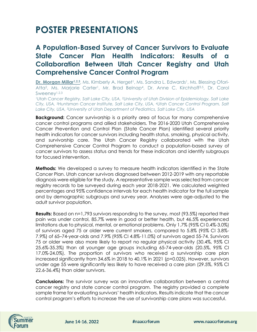# **POSTER PRESENTATIONS**

# **A Population-Based Survey of Cancer Survivors to Evaluate State Cancer Plan Health Indicators: Results of a Collaboration Between Utah Cancer Registry and Utah Comprehensive Cancer Control Program**

Dr. Morgan Millar<sup>1,2,3</sup>, Ms. Kimberly A. Herget<sup>1</sup>, Ms. Sandra L. Edwards<sup>1</sup>, Ms. Blessing Ofori-Atta<sup>2</sup>, Ms. Marjorie Carter<sup>1</sup>, Mr. Brad Belnap<sup>4</sup>, Dr. Anne C. Kirchhoff<sup>3,5</sup>, Dr. Carol Sweeney<sup>1,2,3</sup>

*<sup>1</sup>Utah Cancer Registry, Salt Lake City, USA, 2University of Utah Division of Epidemiology, Salt Lake City, USA, 3Huntsman Cancer Institute, Salt Lake City, USA, 4Utah Cancer Control Program, Salt Lake City, USA, 5University of Utah Department of Pediatrics, Salt Lake City, USA*

**Background:** Cancer survivorship is a priority area of focus for many comprehensive cancer control programs and allied stakeholders. The 2016-2020 Utah Comprehensive Cancer Prevention and Control Plan (State Cancer Plan) identified several priority health indicators for cancer survivors including health status, smoking, physical activity, and survivorship care. The Utah Cancer Registry collaborated with the Utah Comprehensive Cancer Control Program to conduct a population-based survey of cancer survivors to assess status and trends for these indicators and identify subgroups for focused intervention.

**Methods:** We developed a survey to measure health indicators identified in the State Cancer Plan. Utah cancer survivors diagnosed between 2012-2019 with any reportable diagnosis were eligible for the study. A representative sample was selected from cancer registry records to be surveyed during each year 2018-2021. We calculated weighted percentages and 95% confidence intervals for each health indicator for the full sample and by demographic subgroups and survey year. Analyses were age-adjusted to the adult survivor population.

**Results:** Based on n=1,793 survivors responding to the survey, most (93.5%) reported their pain was under control, 85.7% were in good or better health, but 46.5% experienced limitations due to physical, mental, or emotional problems. Only 1.7% (95% CI 0.4%-3.0%) of survivors aged 75 or older were current smokers, compared to 5.8% (95% CI 3.8%- 7.9%) of 65–74-year-olds and 7.9% (95% CI 4.8%-11.0%) of survivors aged 55-74. Survivors 75 or older were also more likely to report no regular physical activity (30.4%, 95% CI 25.6%-35.3%) than all younger age groups including 65-74-year-olds (20.5%, 95% CI 17.0%-24.0%). The proportion of survivors who received a survivorship care plan increased significantly from 34.6% in 2018 to 40.1% in 2021 (*p*=0.025). However, survivors under age 55 were significantly less likely to have received a care plan (29.5%, 95% CI 22.6-36.4%) than older survivors.

**Conclusions:** The survivor survey was an innovative collaboration between a central cancer registry and state cancer control program. The registry provided a complete sample frame for evaluating survivors' health indicators. Results indicate that the cancer control program's efforts to increase the use of survivorship care plans was successful.

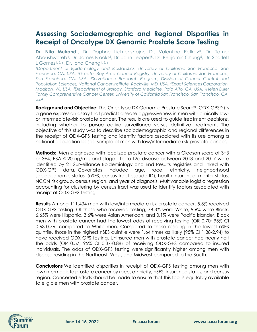#### **Assessing Sociodemographic and Regional Disparities in Receipt of Oncotype DX Genomic Prostate Score Testing**

Dr. Nita Mukand<sup>1</sup>, Dr. Daphne Lichtensztajn<sup>2</sup>, Dr. Valentina Petkov<sup>3</sup>, Dr. Tamer Aboushwareb<sup>4</sup>, Dr. James Brooks<sup>5</sup>, Dr. John Leppert<sup>5</sup>, Dr. Benjamin Chung<sup>5</sup>, Dr. Scarlett L Gomez<sup>1, 2, 6</sup>, Dr. Iona Cheng<sup>1, 2, 6</sup>

*<sup>1</sup>Department of Epidemiology and Biostatistics, University of California San Francisco, San Francisco, CA, USA, 2Greater Bay Area Cancer Registry, University of California San Francisco, San Francisco, CA, USA, 3Surveillance Research Program, Division of Cancer Control and Population Sciences, National Cancer Institute, Rockville, MD, USA, 4Exact Sciences Corporation, Madison, WI, USA, 5Department of Urology, Stanford Medicine, Palo Alto, CA, USA, 6Helen Diller Family Comprehensive Cancer Center, University of California San Francisco, San Francisco, CA, USA*

**Background and Objective:** The Oncotype DX Genomic Prostate Score® (ODX-GPS<sup>TM</sup>) is a gene expression assay that predicts disease aggressiveness in men with clinically lowor intermediate-risk prostate cancer. The results are used to guide treatment decisions, including whether to pursue active surveillance versus definitive treatment. The objective of this study was to describe sociodemographic and regional differences in the receipt of ODX-GPS testing and identify factors associated with its use among a national population-based sample of men with low/intermediate risk prostate cancer.

**Methods:** Men diagnosed with localized prostate cancer with a Gleason score of 3+3 or 3+4, PSA ≤ 20 ng/mL, and stage T1c to T2c disease between 2013 and 2017 were identified by 21 Surveillance Epidemiology and End Results registries and linked with ODX-GPS data. Covariates included age, race, ethnicity, neighborhood socioeconomic status, (nSES, census tract pseudo-ID), health insurance, marital status, NCCN risk group, census region, and year of diagnosis. Multivariable logistic regression accounting for clustering by census tract was used to identify factors associated with receipt of ODX-GPS testing.

**Results** Among 111,434 men with low/intermediate risk prostate cancer, 5.5% received ODX-GPS testing. Of those who received testing, 78.3% were White, 9.6% were Black, 6.65% were Hispanic, 3.6% were Asian American, and 0.1% were Pacific Islander. Black men with prostate cancer had the lowest odds of receiving testing (OR 0.70; 95% CI 0.63-0.76) compared to White men. Compared to those residing in the lowest nSES quintile, those in the highest nSES quintile were 1.64 times as likely (95% CI 1.38-2.94) to have received ODX-GPS testing. Uninsured men with prostate cancer had nearly half the odds (OR 0.57; 95% CI 0.37-0.88) of receiving ODX-GPS compared to insured individuals. The odds of ODX-GPS testing were significantly higher among men with disease residing in the Northeast, West, and Midwest compared to the South.

**Conclusions** We identified disparities in receipt of ODX-GPS testing among men with low/intermediate prostate cancer by race, ethnicity, nSES, insurance status, and census region. Concerted efforts should be made to ensure that this tool is equitably available to eligible men with prostate cancer.

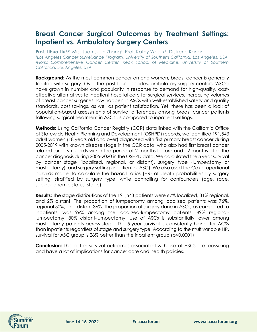### **Breast Cancer Surgical Outcomes by Treatment Settings: Inpatient vs. Ambulatory Surgery Centers**

Prof. Lihua Liu<sup>1,2</sup>, Mrs. Juan Juan Zhang<sup>1</sup>, Prof. Kathy Wojcik<sup>1</sup>, Dr. Irene Kang<sup>2</sup> *<sup>1</sup>Los Angeles Cancer Surveillance Program, University of Southern California, Los Angeles, USA, <sup>2</sup>Norris Comprehensive Cancer Center, Keck School of Medicine, University of Southern California, Los Angeles, USA*

**Background:** As the most common cancer among women, breast cancer is generally treated with surgery. Over the past four decades, ambulatory surgery centers (ASCs) have grown in number and popularity in response to demand for high-quality, costeffective alternatives to inpatient hospital care for surgical services. Increasing volumes of breast cancer surgeries now happen in ASCs with well-established safety and quality standards, cost savings, as well as patient satisfaction. Yet, there has been a lack of population-based assessments of survival differences among breast cancer patients following surgical treatment in ASCs as compared to inpatient settings.

**Methods:** Using California Cancer Registry (CCR) data linked with the California Office of Statewide Health Planning and Development (OSHPD) records, we identified 191,543 adult women (18 years old and over) diagnosed with first primary breast cancer during 2005-2019 with known disease stage in the CCR data, who also had first breast cancer related surgery records within the period of 2 months before and 12 months after the cancer diagnosis during 2005-2020 in the OSHPD data. We calculated the 5 year survival by cancer stage (localized, regional, or distant), surgery type (lumpectomy or mastectomy), and surgery setting (inpatient or ASC). We also used the Cox proportional hazards model to calculate the hazard ratios (HR) of death probabilities by surgery setting, stratified by surgery type, while controlling for confounders (age, race, socioeconomic status, stage).

**Results:** The stage distributions of the 191,543 patients were 67% localized, 31% regional, and 2% distant. The proportion of lumpectomy among localized patients was 76%, regional 50%, and distant 36%. The proportion of surgery done in ASCs, as compared to inpatients, was 96% among the localized-lumpectomy patients, 89% regionallumpectomy, 80% distant-lumpectomy. Use of ASCs is substantially lower among mastectomy patients across stage. The 5-year survival is consistently higher for ACSs than inpatients regardless of stage and surgery type. According to the multivariable HR, survival for ASC group is 28% better than the inpatient group (p<0.0001)

**Conclusion:** The better survival outcomes associated with use of ASCs are reassuring and have a lot of implications for cancer care and health policies.

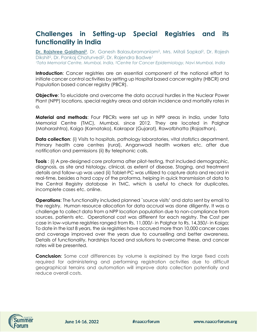# **Challenges in Setting-up Special Registries and its functionality in India**

**Dr. Rajshree Gaidhani**<sup>2</sup>, Dr. Ganesh Balasubramaniam<sup>2</sup>, Mrs. Mitali Sapkal<sup>2</sup>, Dr. Rajesh Dikshit<sup>2</sup>, Dr. Pankaj Chaturvedi<sup>2</sup>, Dr. Rajendra Badwe<sup>1</sup> *<sup>1</sup>Tata Memorial Centre, Mumbai, India, 2Centre for Cancer Epidemiology, Navi Mumbai, India*

**Introduction**: Cancer registries are an essential component of the national effort to initiate cancer control activities by setting up Hospital based cancer registry (HBCR) and Population based cancer registry (PBCR).

**Objective**: To elucidate and overcome the data accrual hurdles in the Nuclear Power Plant (NPP) locations, special registry areas and obtain incidence and mortality rates in a.

**Material and methods**: Four PBCRs were set up in NPP areas in India, under Tata Memorial Centre (TMC), Mumbai, since 2012. They are located in Palghar (Maharashtra), Kaiga (Karnataka), Kakrapar (Gujarat), Rawatbhatta (Rajasthan).

**Data collection:** (i) Visits to hospitals, pathology laboratories, vital statistics department, Primary health care centres (rural), Anganwadi health workers etc. after due notification and permissions (ii) By telephonic calls.

**Tools** : (i) A pre-designed core proforma after pilot-testing, that included demographic, diagnosis, as site and histology, clinical, as extent of disease, Staging, and treatment details and follow-up was used (ii) Tablet-PC was utilized to capture data and record in real-time, besides a hard copy of the proforma, helping in quick transmission of data to the Central Registry database in TMC, which is useful to check for duplicates, incomplete cases etc. online.

**Operations:** The functionality included planned `source visits' and data sent by email to the registry. Human resource allocation for data accrual was done diligently. It was a challenge to collect data from a NPP location population due to non-compliance from sources, patients etc. Operational cost was different for each registry. The Cost per case in low-volume registries ranged from Rs. 11,000/- in Palghar to Rs. 14,350/- in Kaiga; To date in the last 8 years, the six registries have accrued more than 10,000 cancer cases and coverage improved over the years due to counselling and better awareness. Details of functionality, hardships faced and solutions to overcome these, and cancer rates will be presented.

**Conclusion:** Some cost differences by volume is explained by the large fixed costs required for administering and performing registration activities due to difficult geographical terrains and automation will improve data collection potentially and reduce overall costs.

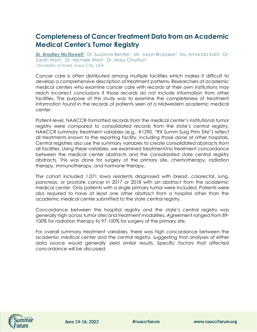# **Completeness of Cancer Treatment Data from an Academic Medical Center's Tumor Registry**

Dr. Bradley McDowell<sup>1</sup>, Dr. Suzanne Bentler<sup>1</sup>, Mr. Jason Brubaker<sup>1</sup>, Ms. Amanda Kahl<sup>1</sup>, Dr. Sarah Nash<sup>1</sup>, Dr. Michele West<sup>1</sup>, Dr. Mary Charlton<sup>1</sup> *<sup>1</sup>University of Iowa, Iowa City, USA*

Cancer care is often distributed among multiple facilities which makes it difficult to develop a comprehensive description of treatment patterns. Researchers at academic medical centers who examine cancer care with records at their own institutions may reach incorrect conclusions if those records do not include information from other facilities. The purpose of this study was to examine the completeness of treatment information found in the records of patients seen at a Midwestern academic medical center.

Patient-level, NAACCR-formatted records from the medical center's institutional tumor registry were compared to consolidated records from the state's central registry. NAACCR summary treatment variables (e.g., #1290, "RX Summ Surg Prim Site") reflect all treatments known to the reporting facility, including those done at other hospitals. Central registries also use the summary variables to create consolidated abstracts from all facilities. Using these variables, we examined treatment/no treatment concordance between the medical center abstracts and the consolidated state central registry abstracts. This was done for surgery of the primary site, chemotherapy, radiation therapy, immunotherapy, and hormone therapy.

The cohort included 1,071 Iowa residents diagnosed with breast, colorectal, lung, pancreas, or prostate cancer in 2017 or 2018 with an abstract from the academic medical center. Only patients with a single primary tumor were included. Patients were also required to have at least one other abstract from a hospital other than the academic medical center submitted to the state central registry.

Concordance between the hospital registry and the state's central registry was generally high across tumor sites and treatment modalities. Agreement ranged from 89- 100% for radiation therapy to 97-100% for surgery of the primary site.

For overall summary treatment variables, there was high concordance between the academic medical center and the central registry, suggesting that analyses of either data source would generally yield similar results. Specific factors that affected concordance will be discussed.

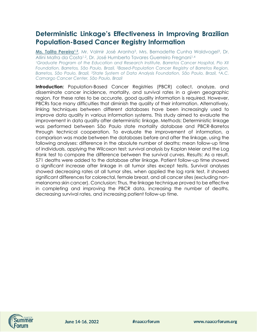### **Deterministic Linkage's Effectiveness in Improving Brazilian Population-Based Cancer Registry Information**

**Ms. Talita Pereira<sup>1,2</sup>, Mr. Valmir José Aranha<sup>3</sup>, Mrs. Bernadette Cunha Waldvogel<sup>3</sup>, Dr.** Allini Mafra da Costa<sup>1,2</sup>, Dr. José Humberto Tavares Guerreiro Fregnani<sup>1,4</sup> *<sup>1</sup>Graduate Program of the Education and Research Institute, Barretos Cancer Hospital, Pio XII Foundation, Barretos, São Paulo, Brazil, 2Based-Population Cancer Registry of Barretos Region, Barretos, São Paulo, Brazil, 3State System of Data Analysis Foundation, São Paulo, Brazil, 4A.C. Camargo Cancer Center, São Paulo, Brazil*

**Introduction:** Population-Based Cancer Registries (PBCR) collect, analyze, and disseminate cancer incidence, mortality, and survival rates in a given geographic region. For these rates to be accurate, good quality information is required. However, PBCRs face many difficulties that diminish the quality of their information. Alternatively, linking techniques between different databases have been increasingly used to improve data quality in various information systems. This study aimed to evaluate the improvement in data quality after deterministic linkage. Methods: Deterministic linkage was performed between São Paulo state mortality database and PBCR-Barretos through technical cooperation. To evaluate the improvement of information, a comparison was made between the databases before and after the linkage, using the following analyses: difference in the absolute number of deaths; mean follow-up time of individuals, applying the Wilcoxon test; survival analysis by Kaplan Meier and the Log Rank test to compare the difference between the survival curves. Results: As a result, 571 deaths were added to the database after linkage. Patient follow-up time showed a significant increase after linkage in all tumor sites except testis. Survival analyses showed decreasing rates at all tumor sites, when applied the log rank test, it showed significant differences for colorectal, female breast, and all cancer sites (excluding nonmelanoma skin cancer). Conclusion: Thus, the linkage technique proved to be effective in completing and improving the PBCR data, increasing the number of deaths, decreasing survival rates, and increasing patient follow-up time.

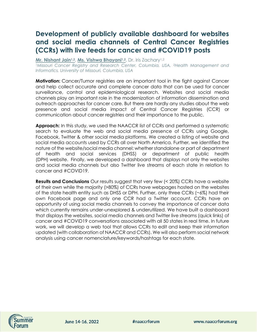# **Development of publicly available dashboard for websites and social media channels of Central Cancer Registries (CCRs) with live feeds for cancer and #COVID19 posts**

**Mr. Nishant Jain1,2** , **Ms. Vishwa Bhayani1,2**, Dr. Iris Zachary1,2

*<sup>1</sup>Missouri Cancer Registry and Research Center, Columbia, USA, 2Health Management and Informatics, University of Missouri, Columbia, USA*

**Motivation:** Cancer/Tumor registries are an important tool in the fight against Cancer and help collect accurate and complete cancer data that can be used for cancer surveillance, control and epidemiological research. Websites and social media channels play an important role in the modernization of information dissemination and outreach approaches for cancer care. But there are hardly any studies about the web presence and social media impact of Central Cancer Registries (CCR) or communication about cancer registries and their importance to the public.

**Approach:** In this study, we used the NAACCR list of CCRs and performed a systematic search to evaluate the web and social media presence of CCRs using Google, Facebook, Twitter & other social media platforms. We created a listing of website and social media accounts used by CCRs all over North America. Further, we identified the nature of the website/social media channel: whether standalone or part of department of health and social services (DHSS) or department of public health (DPH) website. Finally, we developed a dashboard that displays not only the websites and social media channels but also Twitter live streams of each state in relation to cancer and #COVID19.

**Results and Conclusions** Our results suggest that very few (< 20%) CCRs have a website of their own while the majority (>80%) of CCRs have webpages hosted on the websites of the state health entity such as DHSS or DPH. Further, only three CCRs (~6%) had their own Facebook page and only one CCR had a Twitter account. CCRs have an opportunity of using social media channels to convey the importance of cancer data which currently remains under-unexplored & underutilized. We have built a dashboard that displays the websites, social media channels and Twitter live streams (quick links) of cancer and #COVID19 conversations associated with all 50 states in real time. In future work, we will develop a web tool that allows CCRs to edit and keep their information updated (with collaboration of NAACCR and CCRs). We will also perform social network analysis using cancer nomenclature/keywords/hashtags for each state.

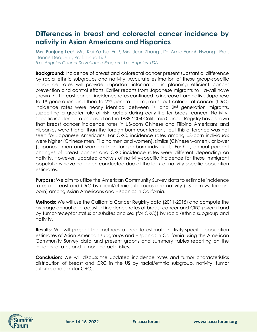#### **Differences in breast and colorectal cancer incidence by nativity in Asian Americans and Hispanics**

**Mrs. Eunjung Lee**1, Mrs. Kai-Ya Tsai Erb1, Mrs. Juan Zhang1, Dr. Amie Eunah Hwang1, Prof. Dennis Deapen<sup>1</sup>, Prof. Lihua Liu<sup>1</sup> *<sup>1</sup>Los Angeles Cancer Surveillance Program, Los Angeles, USA*

**Background:** Incidence of breast and colorectal cancer present substantial difference by racial ethnic subgroups and nativity. Accurate estimation of these group-specific incidence rates will provide important information in planning efficient cancer prevention and control efforts. Earlier reports from Japanese migrants to Hawaii have shown that breast cancer incidence rates continued to increase from native Japanese to 1st generation and then to 2<sup>nd</sup> generation migrants, but colorectal cancer (CRC) incidence rates were nearly identical between 1st and 2nd generation migrants, supporting a greater role of risk factors during early life for breast cancer. Nativityspecific incidence rates based on the 1988-2004 California Cancer Registry have shown that breast cancer incidence rates in US-born Chinese and Filipino Americans and Hispanics were higher than the foreign-born counterparts, but this difference was not seen for Japanese Americans. For CRC, incidence rates among US-born individuals were higher (Chinese men, Filipino men and women), similar (Chinese women), or lower (Japanese men and women) than foreign-born individuals. Further, annual percent changes of breast cancer and CRC incidence rates were different depending on nativity. However, updated analysis of nativity-specific incidence for these immigrant populations have not been conducted due ot the lack of nativity-specific population estimates.

**Purpose:** We aim to utilize the American Community Survey data to estimate incidence rates of breast and CRC by racial/ethnic subgroups and nativity (US-born vs. foreignborn) among Asian Americans and Hispanics in California.

**Methods:** We will use the California Cancer Registry data (2011-2015) and compute the average annual age-adjusted incidence rates of breast cancer and CRC (overall and by tumor-receptor status or subsites and sex (for CRC)) by racial/ethnic subgroup and nativity.

**Results:** We will present the methods utilized to estimate nativity-specific population estimates of Asian American subgroups and Hispanics in California using the American Community Survey data and present graphs and summary tables reporting on the incidence rates and tumor characteristics.

**Conclusion:** We will discuss the updated incidence rates and tumor characteristics distribution of breast and CRC in the US by racial/ethnic subgroup, nativity, tumor subsite, and sex (for CRC).

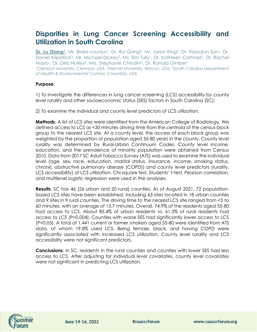# **Disparities in Lung Cancer Screening Accessibility and Utilization in South Carolina**

**Dr. Lu Zhang**<sup>1</sup>, Mr. Blake Launius<sup>1</sup>, Dr. Rui Gong<sup>2</sup>, Mr. Jaron King<sup>3</sup>, Dr. Xiaoqian Sun<sup>1</sup>, Dr. Daniel Kilpatrick<sup>3</sup>, Mr. Michael Dickey<sup>3</sup>, Ms. Erin Tully<sup>1</sup>, Dr. Kathleen Cartmell<sup>1</sup>, Dr. Rachel Mayo<sup>1</sup>, Dr. Deb Hurley<sup>3</sup>, Mrs. Stephanie Chiodini<sup>3</sup>, Dr. Ronald Gimbel<sup>1</sup> *<sup>1</sup>Clemson University, Clemson, USA, 2Mercer University, Macon, USA, 3South Carolina Department of Health & Environmental Control, Columbia, USA*

#### **Purpose**:

1) To investigate the differences in lung cancer screening (LCS) accessibility by county level rurality and other socioeconomic status (SES) factors in South Carolina (SC);

2) To examine the individual and county level predictors of LCS utilization.

**Methods**: A list of LCS sites were identified from the American College of Radiology. We defined access to LCS as <30 minutes driving time from the centroid of the census block group to the nearest LCS site. At a county level, the access of each block group was weighted by the proportion of population aged 55-80 years in the county. County level rurality was determined by Rural-Urban Continuum Codes. County level income, education, and the prevalence of minority population were obtained from Census 2010. Data from 2017 SC Adult Tobacco Survey (ATS) was used to examine the individual level (age, sex, race, education, marital status, insurance, income, smoking status, chronic obstructive pulmonary disease (COPD)) and county level predictors (rurality, LCS accessibility) of LCS utilization. Chi-square test, Students' t-test, Pearson correlation, and multilevel logistic regression were used in the analyses.

**Results**: SC has 46 (26 urban and 20 rural) counties. As of August 2021, 72 populationbased LCS sites have been established, including 63 sites located in 18 urban counties and 9 sites in 9 rural counties. The driving time to the nearest LCS site ranged from <5 to 60 minutes, with an average of 13.7 minutes. Overall, 74.9% of the residents aged 55-80 had access to LCS. About 85.4% of urban residents vs. 61.3% of rural residents had access to LCS (P=0.004). Counties with worse SES had significantly lower access to LCS (P<0.05). A total of 1,441 current or former smokers aged 55-80 were identified from ATS data, of whom 19.8% used LCS. Being female, black, and having COPD were significantly associated with increased LCS utilization. County level rurality and LCS accessibility were not significant predictors.

**Conclusions**: In SC, residents in the rural counties and counties with lower SES had less access to LCS. After adjusting for individual level covariates, county level covariates were not significant in predicting LCS utilization.

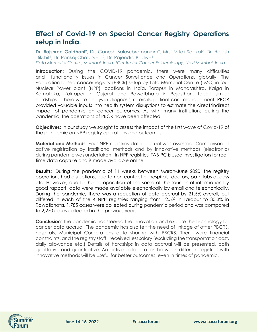#### **Effect of Covid-19 on Special Cancer Registry Operations setup in India.**

**Dr. Rajshree Gaidhani**<sup>2</sup>, Dr. Ganesh Balasubramaniam<sup>2</sup>, Mrs. Mitali Sapkal<sup>2</sup>, Dr. Rajesh Dikshit<sup>2</sup>, Dr. Pankaj Chaturvedi<sup>2</sup>, Dr. Rajendra Badwe<sup>1</sup> *<sup>1</sup>Tata Memorial Centre, Mumbai, India, 2Centre for Cancer Epidemiology, Navi Mumbai, India*

**Introduction:** During the COVID-19 pandemic, there were many difficulties and functionality issues in Cancer Surveillance and Operations. globally. The Population based cancer registry (PBCR) setup by Tata Memorial Centre (TMC) in four Nuclear Power plant (NPP) locations in India, Tarapur in Maharashtra, Kaiga in Karnataka, Kakrapar in Gujarat and Rawatbhata in Rajasthan, faced similar hardships. There were delays in diagnosis, referrals, patient care management. PBCR provided valuable inputs into health system disruptions to estimate the direct/indirect impact of pandemic on cancer outcomes. As with many institutions during the pandemic, the operations of PBCR have been affected.

**Objectives:** In our study we sought to assess the impact of the first wave of Covid-19 of the pandemic on NPP registry operations and outcomes.

**Material and Methods**: Four NPP registries data accrual was assessed. Comparison of active registration by traditional methods and by innovative methods (electronic) during pandemic was undertaken. In NPP registries, TAB-PC is used investigators for realtime data capture and is made available online.

**Results**: During the pandemic of 11 weeks between March-June 2020, the registry operations had disruptions, due to non-contact of hospitals, doctors, path labs access etc. However, due to the co-operation of the some of the sources of information by good rapport, data were made available electronically by email and telephonically. During the pandemic, there was a reduction of data accrual by 21.5% overall, but differed in each of the 4 NPP registries ranging from 12.5% in Tarapur to 30.3% in Rawatbhata. 1,785 cases were collected during pandemic period and was compared to 2,270 cases collected in the previous year.

**Conclusion**: The pandemic has steered the innovation and explore the technology for cancer data accrual. The pandemic has also felt the need of linkage of other PBCRS, hospitals, Municipal Corporations data sharing with PBCRS. There were financial constraints, and the registry staff received less salary (excluding the transportation cost, daily allowance etc.) Details of hardships in data accrual will be presented, both qualitative and quantitative. An active collaboration between different registries with innovative methods will be useful for better outcomes, even in times of pandemic.

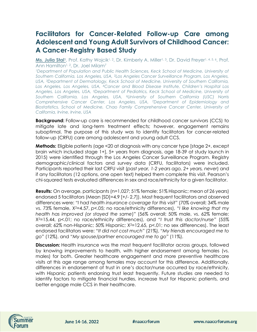# **Facilitators for Cancer-Related Follow-up Care among Adolescent and Young Adult Survivors of Childhood Cancer: A Cancer-Registry Based Study**

Ms. Julia Stal<sup>1</sup>, Prof. Kathy Wojcik<sup>1, 2</sup>, Dr. Kimberly A. Miller<sup>1, 3</sup>, Dr. David Freyer<sup>1, 4, 5, 6</sup>, Prof. Ann Hamilton<sup>1, 2</sup>, Dr. Joel Milam<sup>7</sup>

*1Department of Population and Public Health Sciences, Keck School of Medicine, University of Southern California, Los Angeles, USA, 2Los Angeles Cancer Surveillance Program, Los Angeles, USA, 3Department of Dermatology, Keck School of Medicine, University of Southern California, Los Angeles, Los Angeles, USA, 4Cancer and Blood Disease Institute, Children's Hospital Los Angeles, Los Angeles, USA, 5Department of Pediatrics, Keck School of Medicine, University of Southern California, Los Angeles, USA, 6University of Southern California (USC) Norris Comprehensive Cancer Center, Los Angeles, USA, 7Department of Epidemiology and Biostatistics, School of Medicine, Chao Family Comprehensive Cancer Center, University of California, Irvine, Irvine, USA*

**Background:** Follow-up care is recommended for childhood cancer survivors (CCS) to mitigate late and long-term treatment effects; however, engagement remains suboptimal. The purpose of this study was to identify facilitators for cancer-related follow-up (CRFU) care among adolescent and young adult CCS.

**Methods:** Eligible patients (age <20 at diagnosis with any cancer type [stage 2+, except brain which included stage 1+], 5+ years from diagnosis, age 18-39 at study launch in 2015) were identified through the Los Angeles Cancer Surveillance Program. Registry demographic/clinical factors and survey data (CRFU, facilitators) were included. Participants reported their last CRFU visit (*past year, 1-2 years ago, 2+ years, never*) and if any facilitators (12 options, one open text) helped them complete this visit. Pearson's chi-squared tests evaluated differences in sex and race/ethnicity for a given facilitator.

**Results:** On average, participants (n=1,027; 51% female; 51% Hispanic; mean of 26 years) endorsed 5 facilitators (Mean [SD]=4.9 [+/- 2.7]). Most frequent facilitators and observed differences were: "*I had health insurance coverage for this visit*" (70% overall; 34% male vs. 73% female, X2=4.57, *p*<.05; no race/ethnicity differences), "*I like knowing that my health has improved (or stayed the same*)" (56% overall; 50% male, vs. 62% female; X2=15.44, p<.01; no race/ethnicity differences), and "*I trust this doctor/nurse*" (55% overall; 62% non-Hispanic; 50% Hispanic;  $X^2=12.65$ ,  $p<01$ ; no sex differences). The least endorsed facilitators were: "*It did not cost much*" (21%), "*My friends encouraged me to go*" (12%), and "*My spouse/partner encouraged me to go*" (11%).

**Discussion:** Health insurance was the most frequent facilitator across groups, followed by knowing improvements to health, with higher endorsement among females (vs. males) for both. Greater healthcare engagement and more preventive healthcare visits at this age range among females may account for this difference. Additionally, differences in endorsement of trust in one's doctor/nurse occurred by race/ethnicity, with Hispanic patients endorsing trust least frequently. Future studies are needed to identify factors to mitigate financial hurdles, increase trust for Hispanic patients, and better engage male CCS in their healthcare.

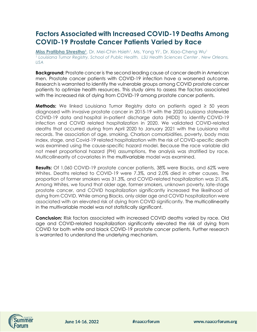#### **Factors Associated with Increased COVID-19 Deaths Among COVID-19 Prostate Cancer Patients Varied by Race**

**Miss Pratibha Shrestha<sup>1</sup>, Dr. Mei-Chin Hsieh<sup>1</sup>, Ms. Yong Yi<sup>1</sup>, Dr. Xiao-Cheng Wu<sup>1</sup>** *<sup>1</sup> Louisiana Tumor Registry, School of Public Health, LSU Health Sciences Center , New Orleans, USA*

**Background:** Prostate cancer is the second leading cause of cancer death in American men. Prostate cancer patients with COVID-19 infection have a worsened outcome. Research is warranted to identify the vulnerable groups among COVID prostate cancer patients to optimize health resources. This study aims to assess the factors associated with the increased risk of dying from COVID-19 among prostate cancer patients.

**Methods:** We linked Louisiana Tumor Registry data on patients aged ≥ 50 years diagnosed with invasive prostate cancer in 2015-19 with the 2020 Louisiana statewide COVID-19 data and hospital in-patient discharge data (HIDD) to identify COVID-19 infection and COVID related hospitalization in 2020. We validated COVID-related deaths that occurred during from April 2020 to January 2021 with the Louisiana vital records. The association of age, smoking, Charlson comorbidities, poverty, body mass index, stage, and Covid-19 related hospitalization with the risk of COVID-specific death was examined using the cause-specific hazard model. Because the race variable did not meet proportional hazard (PH) assumptions, the analysis was stratified by race. Multicollinearity of covariates in the multivariable model was examined.

**Results:** Of 1,060 COVID-19 prostate cancer patients, 38% were Blacks, and 62% were Whites. Deaths related to COVID-19 were 7.3%, and 2.0% died in other causes. The proportion of former smokers was 31.3%, and COVID-related hospitalization was 21.6%. Among Whites, we found that older age, former smokers, unknown poverty, late-stage prostate cancer, and COVID hospitalization significantly increased the likelihood of dying from COVID. While among Blacks, only older age and COVID hospitalization were associated with an elevated risk of dying from COVID significantly. The multicollinearity in the multivariable model was not statistically significant.

**Conclusion:** Risk factors associated with increased COVID deaths varied by race. Old age and COVID-related hospitalization significantly elevated the risk of dying from COVID for both white and black COVID-19 prostate cancer patients. Further research is warranted to understand the underlying mechanism.

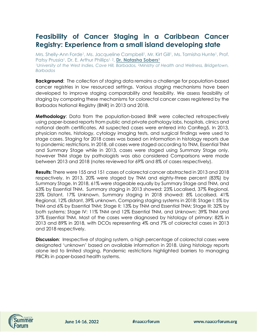# **Feasibility of Cancer Staging in a Caribbean Cancer Registry: Experience from a small island developing state**

Mrs. Shelly-Ann Forde<sup>1</sup>, Ms. Jacqueline Campbell<sup>1</sup>, Mr. Kirt Gill<sup>1</sup>, Ms. Tamisha Hunte<sup>1</sup>, Prof. Patsy Prussia<sup>1</sup>, Dr. E. Arthur Phillips<sup>1, 2</sup>, Dr. Natasha Sobers<sup>1</sup> *<sup>1</sup>University of the West Indies, Cave Hill, Barbados, 2Ministry of Health and Wellness, Bridgetown, Barbados*

**Background:** The collection of staging data remains a challenge for population-based cancer registries in low resourced settings. Various staging mechanisms have been developed to improve staging comparability and feasibility. We assess feasibility of staging by comparing these mechanisms for colorectal cancer cases registered by the Barbados National Registry (BNR) in 2013 and 2018.

**Methodology:** Data from the population-based BNR were collected retrospectively using paper-based reports from public and private pathology labs, hospitals, clinics and national death certificates. All suspected cases were entered into CanReg5. In 2013, physician notes, histology, cytology imaging tests, and surgical findings were used to stage cases. Staging for 2018 cases was based on information in histology reports due to pandemic restrictions. In 2018, all cases were staged according to TNM, Essential TNM and Summary Stage while in 2013, cases were staged using Summary Stage only, however TNM stage by pathologists was also considered Comparisons were made between 2013 and 2018 (notes reviewed for 69% and 8% of cases respectively).

**Results**: There were 155 and 151 cases of colorectal cancer abstracted in 2013 and 2018 respectively. In 2013, 20% were staged by TNM and eighty-three percent (83%) by Summary Stage. In 2018, 61% were stageable equally by Summary Stage and TNM, and 63% by Essential TNM. Summary staging in 2013 showed: 23% Localised, 37% Regional, 23% Distant, 17% Unknown. Summary staging in 2018 showed: 8% Localised, 41% Regional, 12% distant, 39% unknown. Comparing staging systems in 2018: Stage I: 5% by TNM and 6% by Essential TNM; Stage II: 13% by TNM and Essential TNM; Stage III: 32% by both systems; Stage IV: 11% TNM and 12% Essential TNM, and Unknown: 39% TNM and 37% Essential TNM. Most of the cases were diagnosed by histology of primary: 82% in 2013 and 89% in 2018, with DCOs representing 4% and 7% of colorectal cases in 2013 and 2018 respectively.

**Discussion:** Irrespective of staging system, a high percentage of colorectal cases were designated 'unknown' based on available information in 2018. Using histology reports alone led to limited staging. Pandemic restrictions highlighted barriers to managing PBCRs in paper-based health systems.

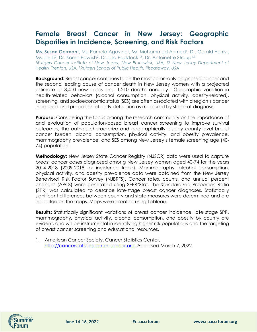### **Female Breast Cancer in New Jersey: Geographic Disparities in Incidence, Screening, and Risk Factors**

Ms. Susan German<sup>1</sup>, Ms. Pamela Agovino<sup>2</sup>, Mr. Muhammad Ahmed<sup>1</sup>, Dr. Gerald Harris<sup>1</sup>, Ms. Jie Li<sup>2</sup>, Dr. Karen Pawlish<sup>2</sup>, Dr. Lisa Paddock<sup>1,3</sup>, Dr. Antoinette Stroup<sup>1,3</sup> *1Rutgers Cancer Institute of New Jersey, New Brunswick, USA, <sup>2</sup>2 New Jersey Department of Health, Trenton, USA, 3Rutgers School of Public Health, Piscataway, USA*

**Background:** Breast cancer continues to be the most commonly diagnosed cancer and the second leading cause of cancer death in New Jersey women with a projected estimate of 8,410 new cases and 1,210 deaths annually.<sup>1</sup> Geographic variation in health-related behaviors (alcohol consumption, physical activity, obesity-related), screening, and socioeconomic status (SES) are often associated with a region's cancer incidence and proportion of early detection as measured by stage at diagnosis.

**Purpose:** Considering the focus among the research community on the importance of and evaluation of population-based breast cancer screening to improve survival outcomes, the authors characterize and geographically display county-level breast cancer burden, alcohol consumption, physical activity, and obesity prevalence, mammography prevalence, and SES among New Jersey's female screening age (40- 74) population.

**Methodology:** New Jersey State Cancer Registry (NJSCR) data were used to capture breast cancer cases diagnosed among New Jersey women aged 40-74 for the years 2014-2018 (2009-2018 for incidence trend). Mammography, alcohol consumption, physical activity, and obesity prevalence data were obtained from the New Jersey Behavioral Risk Factor Survey (NJBRFS). Cancer rates, counts, and annual percent changes (APCs) were generated using SEER\*Stat. The Standardized Proportion Ratio (SPR) was calculated to describe late-stage breast cancer diagnoses. Statistically significant differences between county and state measures were determined and are indicated on the maps. Maps were created using Tableau.

**Results:** Statistically significant variations of breast cancer incidence, late stage SPR, mammography, physical activity, alcohol consumption, and obesity by county are evident, and will be instrumental in identifying higher risk populations and the targeting of breast cancer screening and educational resources.

1. American Cancer Society. Cancer Statistics Center. [http://cancerstatisticscenter.cancer.org.](http://cancerstatisticscenter.cancer.org/) Accessed March 7, 2022.

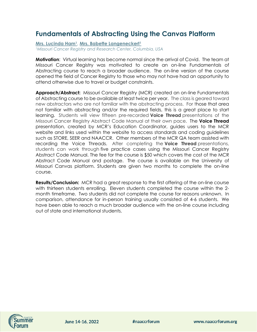# **Fundamentals of Abstracting Using the Canvas Platform**

**Mrs. Lucinda Ham<sup>1</sup>** , **Mrs. Babette Langeneckert<sup>1</sup>** *<sup>1</sup>Missouri Cancer Registry and Research Center, Columbia, USA*

**Motivation**: Virtual learning has become normal since the arrival of Covid. The team at Missouri Cancer Registry was motivated to create an on-line Fundamentals of Abstracting course to reach a broader audience. The on-line version of the course opened the field of Cancer Registry to those who may not have had an opportunity to attend otherwise due to travel or budget constraints.

**Approach/Abstract:** Missouri Cancer Registry (MCR) created an on-line Fundamentals of Abstracting course to be available at least twice per year. The class is geared toward new abstractors who are not familiar with the abstracting process. For those that area not familiar with abstracting and/or the required fields, this is a great place to start learning. Students will view fifteen pre-recorded **Voice Thread** presentations of the Missouri Cancer Registry Abstract Code Manual at their own pace. The **Voice Thread** presentation, created by MCR's Education Coordinator, guides users to the MCR website and links used within the website to access standards and coding guidelines such as STORE, SEER and NAACCR. Other members of the MCR QA team assisted with recording the Voice Threads. After completing the **Voice Thread** presentations, students can work through five practice cases using the Missouri Cancer Registry Abstract Code Manual. The fee for the course is \$50 which covers the cost of the MCR Abstract Code Manual and postage. The course is available on the University of Missouri Canvas platform. Students are given two months to complete the on-line course.

**Results/Conclusion:** MCR had a great response to the first offering of the on-line course with thirteen students enrolling. Eleven students completed the course within the 2 month timeframe. Two students did not complete the course for reasons unknown. In comparison, attendance for in-person training usually consisted of 4-6 students. We have been able to reach a much broader audience with the on-line course including out of state and international students.

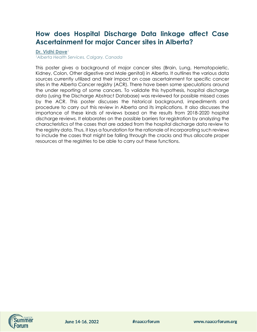# **How does Hospital Discharge Data linkage affect Case Ascertainment for major Cancer sites in Alberta?**

#### **Dr. Vidhi Dave**<sup>1</sup>

*<sup>1</sup>Alberta Health Services, Calgary, Canada*

This poster gives a background of major cancer sites (Brain, Lung, Hematopoietic, Kidney, Colon, Other digestive and Male genital) in Alberta. It outlines the various data sources currently utilized and their impact on case ascertainment for specific cancer sites in the Alberta Cancer registry (ACR). There have been some speculations around the under reporting of some cancers. To validate this hypothesis, hospital discharge data (using the Discharge Abstract Database) was reviewed for possible missed cases by the ACR. This poster discusses the historical background, impediments and procedure to carry out this review in Alberta and its implications. It also discusses the importance of these kinds of reviews based on the results from 2018-2020 hospital discharge reviews. It elaborates on the possible barriers for registration by analyzing the characteristics of the cases that are added from the hospital discharge data review to the registry data. Thus, it lays a foundation for the rationale of incorporating such reviews to include the cases that might be falling through the cracks and thus allocate proper resources at the registries to be able to carry out these functions.

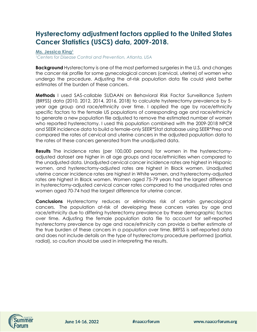# **Hysterectomy adjustment factors applied to the United States Cancer Statistics (USCS) data, 2009-2018.**

#### **Ms. Jessica King<sup>1</sup>**

*<sup>1</sup>Centers for Disease Control and Prevention, Atlanta, USA*

**Background** Hysterectomy is one of the most performed surgeries in the U.S. and changes the cancer risk profile for some gynecological cancers (cervical, uterine) of women who undergo the procedure. Adjusting the at-risk population data file could yield better estimates of the burden of these cancers.

**Methods** I used SAS-callable SUDAAN on Behavioral Risk Factor Surveillance System (BRFSS) data (2010, 2012, 2014, 2016, 2018) to calculate hysterectomy prevalence by 5 year age group and race/ethnicity over time. I applied the age by race/ethnicity specific factors to the female US populations of corresponding age and race/ethnicity to generate a new population file adjusted to remove the estimated number of women who reported hysterectomy. I used this population combined with the 2009-2018 NPCR and SEER incidence data to build a female-only SEER\*Stat database using SEER\*Prep and compared the rates of cervical and uterine cancers in the adjusted population data to the rates of these cancers generated from the unadjusted data.

**Results** The incidence rates (per 100,000 persons) for women in the hysterectomyadjusted dataset are higher in all age groups and race/ethnicities when compared to the unadjusted data. Unadjusted cervical cancer incidence rates are highest in Hispanic women, and hysterectomy-adjusted rates are highest in Black women. Unadjusted uterine cancer incidence rates are highest in White women, and hysterectomy-adjusted rates are highest in Black women. Women aged 75-79 years had the largest difference in hysterectomy-adjusted cervical cancer rates compared to the unadjusted rates and women aged 70-74 had the largest difference for uterine cancer.

**Conclusions** Hysterectomy reduces or eliminates risk of certain gynecological cancers. The population at-risk of developing these cancers varies by age and race/ethnicity due to differing hysterectomy prevalence by these demographic factors over time. Adjusting the female population data file to account for self-reported hysterectomy prevalence by age and race/ethnicity can provide a better estimate of the true burden of these cancers in a population over time. BRFSS is self-reported data and does not include details on the type of hysterectomy procedure performed (partial, radial), so caution should be used in interpreting the results.

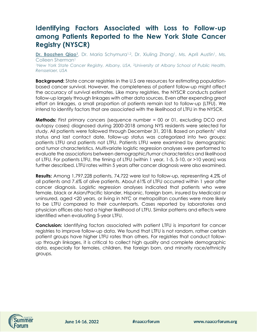# **Identifying Factors Associated with Loss to Follow-up among Patients Reported to the New York State Cancer Registry (NYSCR)**

**Dr. Baozhen Qiao<sup>1</sup>**, Dr. Maria Schymura<sup>1,2</sup>, Dr. Xiuling Zhang<sup>1</sup>, Ms. April Austin<sup>1</sup>, Ms. Colleen Sherman<sup>1</sup> *<sup>1</sup>New York State Cancer Registry, Albany, USA, 2University at Albany School of Public Health, Rensselaer, USA*

**Background:** State cancer registries in the U.S are resources for estimating populationbased cancer survival. However, the completeness of patient follow-up might affect the accuracy of survival estimates. Like many registries, the NYSCR conducts patient follow-up largely through linkages with other data sources. Even after expending great effort on linkages, a small proportion of patients remain lost to follow-up (LTFU). We intend to identify factors that are associated with the likelihood of LTFU in the NYSCR.

**Methods:** First primary cancers (sequence number = 00 or 01, excluding DCO and autopsy cases) diagnosed during 2000-2018 among NYS residents were selected for study. All patients were followed through December 31, 2018. Based on patients' vital status and last contact date, follow-up status was categorized into two groups: patients LTFU and patients not LTFU. Patients LTFU were examined by demographic and tumor characteristics. Multivariate logistic regression analyses were performed to evaluate the associations between demographic/tumor characteristics and likelihood of LTFU. For patients LTFU, the timing of LTFU (within 1 year, 1-5, 5-10, or >10 years) was further described. LTFU rates within 5 years after cancer diagnosis were also examined.

**Results:** Among 1,797,228 patients, 74,722 were lost to follow-up, representing 4.2% of all patients and 7.6% of alive patients. About 61% of LTFU occurred within 1 year after cancer diagnosis. Logistic regression analyses indicated that patients who were female, black or Asian/Pacific Islander, Hispanic, foreign born, insured by Medicaid or uninsured, aged <20 years, or living in NYC or metropolitan counties were more likely to be LTFU compared to their counterparts. Cases reported by laboratories and physician offices also had a higher likelihood of LTFU. Similar patterns and effects were identified when evaluating 5-year LTFU.

**Conclusion:** Identifying factors associated with patient LTFU is important for cancer registries to improve follow-up data. We found that LTFU is not random, rather certain patient groups have higher LTFU rates than others. For registries that conduct followup through linkages, it is critical to collect high quality and complete demographic data, especially for females, children, the foreign born, and minority race/ethnicity groups.

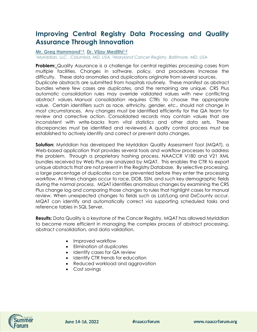# **Improving Central Registry Data Processing and Quality Assurance Through Innovation**

#### **Mr. Greg Hammond1,2** , **Dr. Vijay Medithi1,2**

*<sup>1</sup>Myriddian, LLC , Columbia, MD, USA, 2Maryland Cancer Registry, Baltimore, MD, USA*

**Problem:** Quality Assurance is a challenge for central registries processing cases from multiple facilities. Changes in software, policy, and procedures increase the difficulty. These data anomalies and duplications originate from several sources.

Duplicate abstracts are submitted from hospitals routinely. These manifest as abstract bundles where few cases are duplicates, and the remaining are unique. CRS Plus automatic consolidation rules may override validated values with new conflicting abstract values. Manual consolidation requires CTRs to choose the appropriate value. Certain identifiers such as race, ethnicity, gender, etc., should not change in most circumstances. Any changes must be identified efficiently for the QA team for review and corrective action. Consolidated records may contain values that are inconsistent with write-backs from vital statistics and other data sets. These discrepancies must be identified and reviewed. A quality control process must be established to actively identify and correct or prevent data changes.

**Solution:** Myriddian has developed the Myriddian Quality Assessment Tool (MQAT), a Web-based application that provides several tools and workflow processes to address the problem. Through a proprietary hashing process, NAACCR V180 and V21 XML bundles received by Web Plus are analyzed by MQAT. This enables the CTR to export unique abstracts that are not present in the Registry Database. By selective processing, a large percentage of duplicates can be prevented before they enter the processing workflow. At times changes occur to race, DOB, SSN, and such key demographic fields during the normal process. MQAT identifies anomalous changes by examining the CRS Plus change log and comparing those changes to rules that highlight cases for manual review. When unexpected changes to fields such as Lat/Long and DxCounty occur, MQAT can identify and automatically correct via supporting scheduled tasks and reference tables in SQL Server.

**Results:** Data Quality is a keystone of the Cancer Registry. MQAT has allowed Myriddian to become more efficient in managing the complex process of abstract processing, abstract consolidation, and data validation.

- Improved workflow
- Elimination of duplicates
- Identify cases for QA review
- Identify CTR trends for education
- Reduced workload and aggravation
- Cost savings

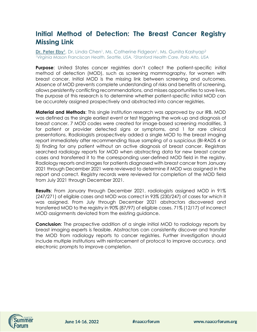# **Initial Method of Detection: The Breast Cancer Registry Missing Link**

**Dr. Peter Eby<sup>1</sup>**, Dr. Linda Chen<sup>1</sup>, Ms. Catherine Fidgeon<sup>1</sup>, Ms. Gunita Kashyap<sup>2</sup> *<sup>1</sup>Virginia Mason Franciscan Health, Seattle, USA, 2Stanford Health Care, Palo Alto, USA*

**Purpose**: United States cancer registries don't collect the patient-specific initial method of detection (MOD), such as screening mammography, for women with breast cancer. Initial MOD is the missing link between screening and outcomes. Absence of MOD prevents complete understanding of risks and benefits of screening, allows persistently conflicting recommendations, and misses opportunities to save lives. The purpose of this research is to determine whether patient-specific initial MOD can be accurately assigned prospectively and abstracted into cancer registries.

**Material and Methods**: This single institution research was approved by our IRB. MOD was defined as the single earliest event or test triggering the work-up and diagnosis of breast cancer. 7 MOD codes were created for image-based screening modalities, 3 for patient or provider detected signs or symptoms, and 1 for rare clinical presentations. Radiologists prospectively added a single MOD to the breast imaging report immediately after recommending tissue sampling of a suspicious (BI-RADS 4 or 5) finding for any patient without an active diagnosis of breast cancer. Registrars searched radiology reports for MOD when abstracting data for new breast cancer cases and transferred it to the corresponding user-defined MOD field in the registry. Radiology reports and images for patients diagnosed with breast cancer from January 2021 through December 2021 were reviewed to determine if MOD was assigned in the report and correct. Registry records were reviewed for completion of the MOD field from July 2021 through December 2021.

**Results**: From January through December 2021, radiologists assigned MOD in 91% (247/271) of eligible cases and MOD was correct in 93% (230/247) of cases for which it was assigned. From July through December 2021 abstractors discovered and transferred MOD to the registry in 90% (87/97) of eligible cases. 71% (12/17) of incorrect MOD assignments deviated from the existing guidance.

**Conclusion**: The prospective addition of a single initial MOD to radiology reports by breast imaging experts is feasible. Abstractors can consistently discover and transfer the MOD from radiology reports to cancer registries. Further investigation should include multiple institutions with reinforcement of protocol to improve accuracy, and electronic prompts to improve completion.

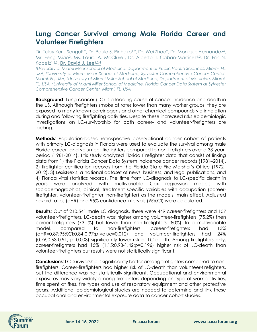#### **Lung Cancer Survival among Male Florida Career and Volunteer Firefighters**

Dr. Tulay Koru-Sengul<sup>1,2</sup>, Dr. Paulo S. Pinheiro<sup>1,2</sup>, Dr. Wei Zhao<sup>2</sup>, Dr. Monique Hernandez<sup>4</sup>, Mr. Feng Miao<sup>2</sup>, Ms. Laura A. McClure<sup>1</sup>, Dr. Alberto J. Caban-Martinez<sup>1,2</sup>, Dr. Erin N. Kobetz1,2,3 , **Dr. David J. Lee1,2,4**

*<sup>1</sup>University of Miami Miller School of Medicine, Department of Public Health Sciences, Miami, FL, USA, 2University of Miami Miller School of Medicine, Sylvester Comprehensive Cancer Center, Miami, FL, USA, 3University of Miami Miller School of Medicine, Department of Medicine, Miami, FL, USA, 4University of Miami Miller School of Medicine, Florida Cancer Data System at Sylvester Comprehensive Cancer Center, Miami, FL, USA*

**Background**: Lung cancer (LC) is a leading cause of cancer incidence and death in the US. Although firefighters smoke at rates lower than many worker groups, they are exposed to many known carcinogens and other chemical compounds via inhalation during and following firefighting activities. Despite these increased risks epidemiologic investigations on LC-survivorship for both career- and volunteer-firefighters are lacking.

**Methods**: Population-based retrospective observational cancer cohort of patients with primary LC-diagnosis in Florida were used to evaluate the survival among male Florida career- and volunteer-firefighters compared to non-firefighters over a 33-yearperiod (1981-2014). This study analyzed Florida Firefighter data that consist of linking data from 1) the Florida Cancer Data System incidence cancer records (1981–2014), 2) firefighter certification records from the Florida State Fire Marshal's Office (1972– 2012), 3) LexisNexis, a national dataset of news, business, and legal publications, and 4) Florida vital statistics records. The time from LC-diagnosis to LC-specific death in years were analyzed with multivariable Cox regression models with sociodemographics, clinical, treatment specific variables with occupation (careerfirefighter, volunteer-firefighter, non-firefighter) as the models' main effect. Adjusted hazard ratios (aHR) and 95% confidence intervals (95%CI) were calculated.

**Results**: Out of 210,541 male LC diagnosis, there were 449 career-firefighters and 157 volunteer-firefighters. LC-death was higher among volunteer-firefighters (75.2%) then career-firefighters (73.1%) but lower than non-firefighters (80%). In a multivariable model, compared to non-firefighters, career-firefighters had 13% (aHR=0.87;95%CI:0.84-0.97;p-value=0.012) and volunteer-firefighters had 24% (0.76;0.63-0.91; p=0.003) significantly lower risk of LC-death. Among firefighters only, career-firefighters had 15% (1.15;0.93-1.42;p=0.196) higher risk of LC-death than volunteer-firefighters but results were not statistically significant.

**Conclusions**: LC-survivorship is significantly better among firefighters compared to nonfirefighters. Career-firefighters had higher risk of LC-death than volunteer-firefighters, but the difference was not statistically significant. Occupational and environmental exposures may vary widely among firefighters depending on type of work activities, time spent at fires, fire types and use of respiratory equipment and other protective gears. Additional epidemiological studies are needed to determine and link these occupational and environmental exposure data to cancer cohort studies.

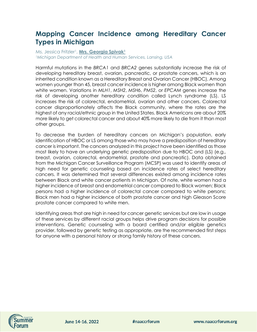# **Mapping Cancer Incidence among Hereditary Cancer Types in Michigan**

#### Ms. Jessica Fritzler<sup>1</sup> , **Mrs. Georgia Spivak<sup>1</sup>** *<sup>1</sup>Michigan Department of Health and Human Services, Lansing, USA*

Harmful mutations in the *BRCA1* and *BRCA2* genes substantially increase the risk of developing hereditary breast, ovarian, pancreatic, or prostate cancers, which is an inherited condition known as a Hereditary Breast and Ovarian Cancer (HBOC). Among women younger than 45, breast cancer incidence is higher among Black women than white women. Variations in *MLH1*, *MSH2*, *MSH6*, *PMS2*, or *EPCAM* genes increase the risk of developing another hereditary condition called Lynch syndrome (LS). LS increases the risk of colorectal, endometrial, ovarian and other cancers. Colorectal cancer disproportionately affects the Black community, where the rates are the highest of any racial/ethnic group in the United States. Black Americans are about 20% more likely to get colorectal cancer and about 40% more likely to die from it than most other groups.

To decrease the burden of hereditary cancers on Michigan's population, early identification of HBOC or LS among those who may have a predisposition of hereditary cancer is important. The cancers analyzed in this project have been identified as those most likely to have an underlying genetic predisposition due to HBOC and (LS) (e.g., breast, ovarian, colorectal, endometrial, prostate and pancreatic). Data obtained from the Michigan Cancer Surveillance Program (MCSP) was used to identify areas of high need for genetic counseling based on incidence rates of select hereditary cancers. It was determined that several differences existed among incidence rates between Black and white cancer patients in Michigan. Of note, white women had a higher incidence of breast and endometrial cancer compared to Black women; Black persons had a higher incidence of colorectal cancer compared to white persons; Black men had a higher incidence of both prostate cancer and high Gleason Score prostate cancer compared to white men.

Identifying areas that are high in need for cancer genetic services but are low in usage of these services by different racial groups helps drive program decisions for possible interventions. Genetic counseling with a board certified and/or eligible genetics provider, followed by genetic testing as appropriate, are the recommended first steps for anyone with a personal history or strong family history of these cancers.

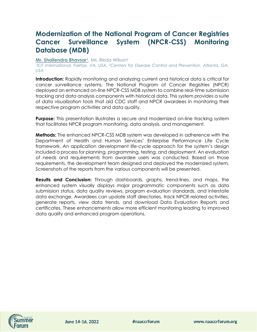# **Modernization of the National Program of Cancer Registries Cancer Surveillance System (NPCR-CSS) Monitoring Database (MDB)**

#### **Mr. Shailendra Bhavsar<sup>1</sup>** , Ms. Reda Wilson<sup>2</sup>

*<sup>1</sup>ICF International, Fairfax, VA, USA, 2Centers for Disease Control and Prevention, Atlanta, GA, USA*

**Introduction:** Rapidly monitoring and analyzing current and historical data is critical for cancer surveillance systems. The National Program of Cancer Registries (NPCR) deployed an enhanced on-line NPCR-CSS MDB system to combine real-time submission tracking and data analysis components with historical data. This system provides a suite of data visualization tools that aid CDC staff and NPCR awardees in monitoring their respective program activities and data quality.

**Purpose:** This presentation illustrates a secure and modernized on-line tracking system that facilitates NPCR program monitoring, data analysis, and management.

**Methods:** The enhanced NPCR-CSS MDB system was developed in adherence with the Department of Health and Human Services' Enterprise Performance Life Cycle framework. An application development life-cycle approach for the system's design included a process for planning, programming, testing, and deployment. An evaluation of needs and requirements from awardee users was conducted. Based on those requirements, the development team designed and deployed the modernized system. Screenshots of the reports from the various components will be presented.

**Results and Conclusion:** Through dashboards, graphs, trend-lines, and maps, the enhanced system visually displays major programmatic components such as data submission status, data quality reviews, program evaluation standards, and interstate data exchange. Awardees can update staff directories, track NPCR-related activities, generate reports, view data trends, and download Data Evaluation Reports and certificates. These enhancements allow more efficient monitoring leading to improved data quality and enhanced program operations.

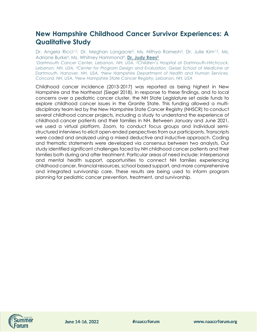# **New Hampshire Childhood Cancer Survivor Experiences: A Qualitative Study**

Dr. Angela Ricci<sup>1,2</sup>, Dr. Meghan Longacre<sup>3</sup>, Ms. Nithya Ramesh<sup>3</sup>, Dr. Julie Kim<sup>1,2</sup>, Ms. Adriane Burke<sup>4</sup> , Ms. Whitney Hammond<sup>4</sup> , **Dr. Judy Rees<sup>5</sup>**

*<sup>1</sup>Dartmouth Cancer Center, Lebanon, NH, USA, 2Children's Hospital at Dartmouth-Hitchcock, Lebanon, NH, USA, 3Center for Program Design and Evaluation, Geisel School of Medicine at Dartmouth, Hanover, NH, USA, 4New Hampshire Department of Health and Human Services, Concord, NH, USA, 5New Hampshire State Cancer Registry, Lebanon, NH, USA*

Childhood cancer incidence (2013-2017) was reported as being highest in New Hampshire and the Northeast (Siegel 2018). In response to these findings, and to local concerns over a pediatric cancer cluster, the NH State Legislature set aside funds to explore childhood cancer issues in the Granite State. This funding allowed a multidisciplinary team led by the New Hampshire State Cancer Registry (NHSCR) to conduct several childhood cancer projects, including a study to understand the experience of childhood cancer patients and their families in NH. Between January and June 2021, we used a virtual platform, Zoom, to conduct focus groups and individual semistructured interviews to elicit open-ended perspectives from our participants. Transcripts were coded and analyzed using a mixed deductive and inductive approach. Coding and thematic statements were developed via consensus between two analysts. Our study identified significant challenges faced by NH childhood cancer patients and their families both during and after treatment. Particular areas of need include: Interpersonal and mental health support, opportunities to connect NH families experiencing childhood cancer, financial resources, school based support, and more comprehensive and integrated survivorship care. These results are being used to inform program planning for pediatric cancer prevention, treatment, and survivorship.

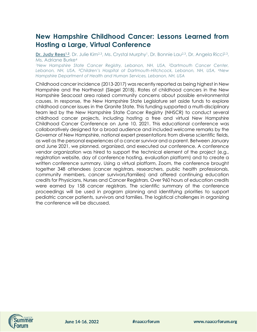#### **New Hampshire Childhood Cancer: Lessons Learned from Hosting a Large, Virtual Conference**

**Dr. Judy Rees<sup>1,2</sup>, Dr. Julie Kim<sup>2,3</sup>, Ms. Crystal Murphy<sup>1</sup>, Dr. Bonnie Lau<sup>2,3</sup>, Dr. Angela Ricci<sup>2,3</sup>,** Ms. Adriane Burke<sup>4</sup>

*<sup>1</sup>New Hampshire State Cancer Registry, Lebanon, NH, USA, 2Dartmouth Cancer Center, Lebanon, NH, USA, 3Children's Hospital at Dartmouth-Hitchcock, Lebanon, NH, USA, 4New Hampshire Department of Health and Human Services, Lebanon, NH, USA*

Childhood cancer incidence (2013-2017) was recently reported as being highest in New Hampshire and the Northeast (Siegel 2018). Rates of childhood cancers in the New Hampshire Seacoast area raised community concerns about possible environmental causes. In response, the New Hampshire State Legislature set aside funds to explore childhood cancer issues in the Granite State. This funding supported a multi-disciplinary team led by the New Hampshire State Cancer Registry (NHSCR) to conduct several childhood cancer projects, including hosting a free and virtual New Hampshire Childhood Cancer Conference on June 10, 2021. This educational conference was collaboratively designed for a broad audience and included welcome remarks by the Governor of New Hampshire, national expert presentations from diverse scientific fields, as well as the personal experiences of a cancer survivor and a parent. Between January and June 2021, we planned, organized, and executed our conference. A conference vendor organization was hired to support the technical element of the project (e.g., registration website, day of conference hosting, evaluation platform) and to create a written conference summary. Using a virtual platform, Zoom, the conference brought together 348 attendees (cancer registrars, researchers, public health professionals, community members, cancer survivors/families) and offered continuing education credits for Physicians, Nurses and Cancer Registrars. Over 960 hours of education credits were earned by 158 cancer registrars. The scientific summary of the conference proceedings will be used in program planning and identifying priorities to support pediatric cancer patients, survivors and families. The logistical challenges in organizing the conference will be discussed.

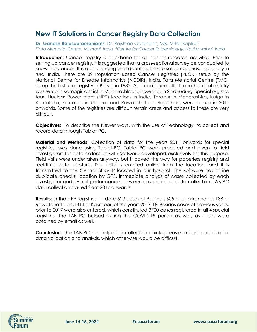#### **New IT Solutions in Cancer Registry Data Collection**

**Dr. Ganesh Balasubramaniam**<sup>2</sup>, Dr. Rajshree Gaidhani<sup>2</sup>, Mrs. Mitali Sapkal<sup>2</sup> *<sup>1</sup>Tata Memorial Centre, Mumbai, India, 2Centre for Cancer Epidemiology, Navi Mumbai, India*

**Introduction:** Cancer registry is backbone for all cancer research activities. Prior to setting up cancer registry, it is suggested that a cross-sectional survey be conducted to know the cancer. It is a challenging and daunting task to setup registries, especially in rural India. There are 39 Population Based Cancer Registries (PBCR) setup by the National Centre for Disease Informatics (NCDIR), India. Tata Memorial Centre (TMC) setup the first rural registry in Barshi, in 1982. As a continued effort, another rural registry was setup in Ratnagiri district in Maharashtra, followed up in Sindhudurg. Special registry, four, Nuclear Power plant (NPP) locations in India, Tarapur in Maharashtra, Kaiga in Karnataka, Kakrapar in Gujarat and Rawatbhata in Rajasthan, were set up in 2011 onwards. Some of the registries are difficult terrain areas and access to these are very difficult.

**Objectives**: To describe the Newer ways, with the use of Technology, to collect and record data through Tablet-PC.

**Material and Methods:** Collection of data for the years 2011 onwards for special registries, was done using Tablet-PC. Tablet-PC were procured and given to field investigators for data collection with Software developed exclusively for this purpose. Field visits were undertaken anyway, but it paved the way for paperless registry and real-time data capture. The data is entered online from the location, and it is transmitted to the Central SERVER located in our hospital. The software has online duplicate checks, location by GPS, immediate analysis of cases collected by each investigator and overall performance between any period of data collection. TAB-PC data collection started from 2017 onwards.

**Results:** In the NPP registries, till date 523 cases of Palghar, 605 of Uttarkannada, 138 of Rawatbhatta and 411 of Kakrapar, of the years 2017-18. Besides cases of previous years, prior to 2017 were also entered, which constituted 3700 cases registered in all 4 special registries. The TAB\_PC helped during the COVID-19 period as well, as cases were obtained by email as well.

**Conclusion:** The TAB-PC has helped in collection quicker, easier means and also for data validation and analysis, which otherwise would be difficult.

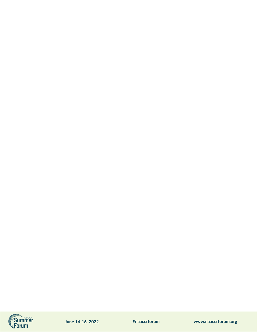

#naaccrforum

www.naaccrforum.org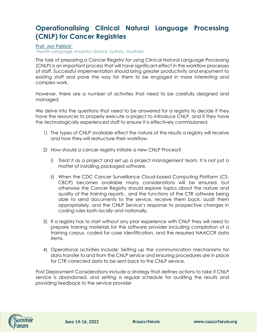# **Operationalising Clinical Natural Language Processing (CNLP) for Cancer Registries**

**Prof. Jon Patrick<sup>1</sup>**

*<sup>1</sup>Health Language Analytics Global, Sydney, Australia*

The task of preparing a Cancer Registry for using Clinical Natural Language Processing (CNLP) is an important process that will have significant effect in the workflow processes of staff. Successful implementation should bring greater productivity and enjoyment to existing staff and pave the way for them to be engaged in more interesting and complex work.

However, there are a number of activities that need to be carefully designed and managed.

We delve into the questions that need to be answered for a registry to decide if they have the resources to properly execute a project to introduce CNLP, and if they have the technologically experienced staff to ensure it is effectively commissioned.

- 1) The types of CNLP available effect the nature of the results a registry will receive and how they will restructure their workflow.
- 2) How should a cancer registry initiate a new CNLP Process?
	- i) Treat it as a project and set up a project management team. It is not just a matter of installing packaged software.
	- ii) When the CDC Cancer Surveillance Cloud-based Computing Platform (CS-CBCP) becomes available many considerations will be ensured, but otherwise the Cancer Registry should explore topics about the nature and quality of the training reports , and the functions of the CTR software being able to send documents to the service, receive them back, audit them appropriately, and the CNLP Service's response to prospective changes in coding rules both locally and nationally.
- 3) If a registry has to start without any prior experience with CNLP they will need to prepare training materials for the software provider including compilation of a training corpus, coded for case identification, and the required NAACCR data items.
- 4) Operational activities include: Setting up the communication mechanisms for data transfer to and from the CNLP service and ensuring procedures are in place for CTR corrected data to be sent back to the CNLP service.

Post Deployment Considerations include a strategy that defines actions to take if CNLP service is abandoned, and setting a regular schedule for auditing the results and providing feedback to the service provider

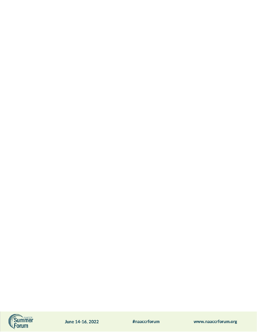

#naaccrforum

www.naaccrforum.org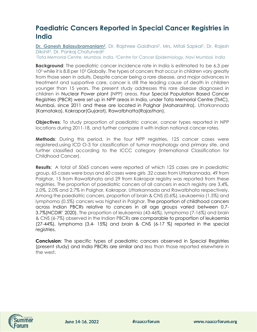# **Paediatric Cancers Reported in Special Cancer Registries in India**

Dr. Ganesh Balasubramaniam<sup>2</sup>, Dr. Rajshree Gaidhani<sup>2</sup>, Mrs. Mitali Sapkal<sup>2</sup>, Dr. Rajesh Dikshit<sup>2</sup>, Dr. Pankaj Chaturvedi<sup>2</sup>

*<sup>1</sup>Tata Memorial Centre, Mumbai, India, 2Centre for Cancer Epidemiology, Navi Mumbai, India*

**Background:** The paediatric cancer incidence rate in India is estimated to be 6.3 per 10<sup>5</sup> while it is 8.8 per 10<sup>5</sup> Globally. The types of cancers that occur in children vary greatly from those seen in adults. Despite cancer being a rare disease, and major advances in treatment and supportive care, cancer is still the leading cause of death in children younger than 15 years. The present study addresses this rare disease diagnosed in children in Nuclear Power plant (NPP) areas. Four Special Population Based Cancer Registries (PBCR) were set up in NPP areas in India, under Tata Memorial Centre (TMC), Mumbai, since 2011 and these are located in Palghar (Maharashtra), Uttarkannada (Karnataka), Kakrapar(Gujarat), Rawatbhatta(Rajasthan).

**Objectives**: To study proportion of paediatric cancer, cancer types reported in NPP locations during 2011-18, and further compare it with Indian national cancer rates.

**Methods**: During this period, in the four NPP registries, 125 cancer cases were registered.using ICD O-3 for classification of tumor morphology and primary site, and further classified according to the ICCC category (International Classification for Childhood Cancer).

**Results**: A total of 5065 cancers were reported of which 125 cases are in paediatric group, 65 cases were boys and 60 cases were girls .32 cases from Uttarkannada, 49 from Palghar, 15 from Rawatbhata and 29 from Kakrapar registry was reported from these registries. The proportion of paediatric cancers of all cancers in each registry are 3.4%, 2.0%, 2.0% and 2.7% in Palghar, Kakrapar, Uttarkannada and Rawatbhata respectively. Among the paediatric cancers, proportion of brain & CNS (0.6%), Leukaemia (1.5%) and lymphoma (0.5%) cancers was highest in Palghar. The proportion of childhood cancers across Indian PBCRs relative to cancers in all age groups varied between 0.7- 3.7%(NCDIR' 2020). The proportion of leukaemia (43-46%), lymphoma (7-16%) and brain & CNS (6-7%) observed in the Indian PBCRs are comparable to proportion of leukaemia (27-44%), lymphoma (3.4- 15%) and brain & CNS (6-17 %) reported in the special registries.

**Conclusion**: The specific types of paediatric cancers observed in Special Registries (present study) and India PBCRs are similar and less than those reported elsewhere in the west.

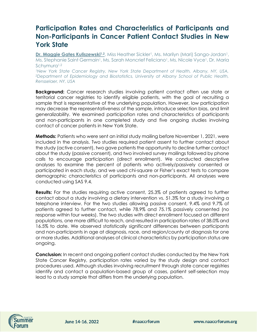# **Participation Rates and Characteristics of Participants and Non-Participants in Cancer Patient Contact Studies in New York State**

**Dr. Maggie Gates Kuliszewski<sup>1,2</sup>, Miss Heather Sickler<sup>1</sup>, Ms. Marilyn (Mari) Sango-Jordan<sup>1</sup>,** Ms. Stephanie Saint Germain<sup>1</sup>, Ms. Sarah Moncrief Feliciano<sup>1</sup>, Ms. Nicole Vyce<sup>1</sup>, Dr. Maria Schymura<sup>1,2</sup>

*<sup>1</sup>New York State Cancer Registry, New York State Department of Health, Albany, NY, USA, <sup>2</sup>Department of Epidemiology and Biostatistics, University at Albany School of Public Health, Rensselaer, NY, USA*

**Background:** Cancer research studies involving patient contact often use state or territorial cancer registries to identify eligible patients, with the goal of recruiting a sample that is representative of the underlying population. However, low participation may decrease the representativeness of the sample, introduce selection bias, and limit generalizability. We examined participation rates and characteristics of participants and non-participants in one completed study and five ongoing studies involving contact of cancer patients in New York State.

**Methods:** Patients who were sent an initial study mailing before November 1, 2021, were included in the analysis. Two studies required patient assent to further contact about the study (active consent), two gave patients the opportunity to decline further contact about the study (passive consent), and two involved survey mailings followed by phone calls to encourage participation (direct enrollment). We conducted descriptive analyses to examine the percent of patients who actively/passively consented or participated in each study, and we used chi-square or Fisher's exact tests to compare demographic characteristics of participants and non-participants. All analyses were conducted using SAS 9.4.

**Results:** For the studies requiring active consent, 25.3% of patients agreed to further contact about a study involving a dietary intervention vs. 51.3% for a study involving a telephone interview. For the two studies allowing passive consent, 9.4% and 9.7% of patients agreed to further contact, while 78.9% and 75.1% passively consented (no response within four weeks). The two studies with direct enrollment focused on different populations, one more difficult to reach, and resulted in participation rates of 38.0% and 16.5% to date. We observed statistically significant differences between participants and non-participants in age at diagnosis, race, and region/county at diagnosis for one or more studies. Additional analyses of clinical characteristics by participation status are ongoing.

**Conclusion:** In recent and ongoing patient contact studies conducted by the New York State Cancer Registry, participation rates varied by the study design and contact procedures used. Although studies involving recruitment through state cancer registries identify and contact a population-based group of cases, patient self-selection may lead to a study sample that differs from the underlying population.

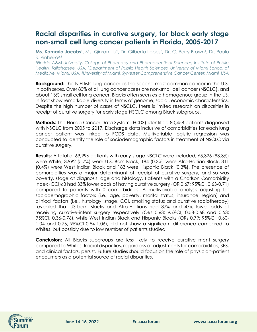# **Racial disparities in curative surgery, for black early stage non-small cell lung cancer patients in Florida, 2005-2017**

**Ms. Kamaria Jacobs<sup>1</sup>,** Ms. Qinran Liu<sup>2</sup>, Dr. Gilberto Lopes<sup>3</sup>, Dr. C. Perry Brown<sup>1</sup>, Dr. Paulo S. Pinheiro<sup>2,3</sup>

*<sup>1</sup>Florida A&M University, College of Pharmacy and Pharmaceutical Sciences, Institute of Public Health, Tallahassee, USA, 2Department of Public Health Sciences, University of Miami School of Medicine, Miami, USA, 3University of Miami, Sylvester Comprehensive Cancer Center, Miami, USA*

**Background:** The NIH lists lung cancer as the second most common cancer in the U.S. in both sexes. Over 80% of all lung cancer cases are non-small cell cancer (NSCLC), and about 13% small cell lung cancer. Blacks often seen as a homogenous group in the US, in fact show remarkable diversity in terms of genome, social, economic characteristics. Despite the high number of cases of NSCLC, there is limited research on disparities in receipt of curative surgery for early stage NSCLC among Black subgroups.

**Methods:** The Florida Cancer Data System (FCDS) identified 80,458 patients diagnosed with NSCLC from 2005 to 2017**.** Discharge data inclusive of comorbidities for each lung cancer patient was linked to FCDS data. Multivariable logistic regression was conducted to identify the role of sociodemographic factors in treatment of NSCLC via curative surgery.

**Results:** A total of 69,996 patients with early-stage NSCLC were included, 65,326 (93.3%) were White, 3,992 (5.7%) were U.S. Born Black, 184 (0.3%) were Afro-Haitian Black, 311 (0.4%) were West Indian Black and 183 were Hispanic Black (0.3%). The presence of comorbidities was a major determinant of receipt of curative surgery, and so was poverty, stage at diagnosis, age and histology. Patients with a Charlson Comorbidity Index (CCI)≥3 had 33% lower odds of having curative surgery (OR 0.67; 95%CI, 0.63-0.71) compared to patients with 0 comorbidities. A multivariable analysis adjusting for sociodemographic factors (i.e., age, poverty, marital status, insurance, region) and clinical factors (i.e., histology, stage, CCI, smoking status and curative radiotherapy) revealed that US-born Blacks and Afro-Haitians had 37% and 47% lower odds of receiving curative-intent surgery respectively (ORs 0.63; 95%CI, 0.58-0.68 and 0.53; 95%CI, 0.36-0.76), while West Indian Black and Hispanic Blacks (ORs 0.79; 95%CI, 0.60- 1.04 and 0.76; 95%CI 0.54-1.06), did not show a significant difference compared to Whites, but possibly due to low number of patients studied.

**Conclusion:** All Blacks subgroups are less likely to receive curative-intent surgery compared to Whites. Racial disparities, regardless of adjustments for comorbidities, SES, and clinical factors, persist. Future studies should focus on the role of physician-patient encounters as a potential source of racial disparities.

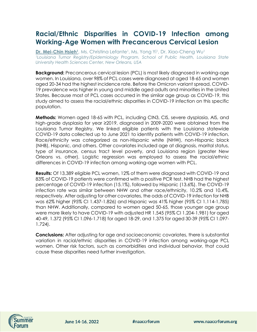# **Racial/Ethnic Disparities in COVID-19 Infection among Working-Age Women with Precancerous Cervical Lesion**

**Dr. Mei-Chin Hsieh<sup>1</sup>**, Ms. Christina Lefante<sup>1</sup>, Ms. Yong Yi<sup>1</sup>, Dr. Xiao-Cheng Wu<sup>1</sup> *<sup>1</sup>Louisiana Tumor Registry/Epidemiology Program, School of Public Health, Louisiana State University Health Sciences Center, New Orleans, USA*

**Background:** Precancerous cervical lesion (PCL) is most likely diagnosed in working-age women. In Louisiana, over 98% of PCL cases were diagnosed at aged 18-65 and women aged 20-34 had the highest incidence rate. Before the Omicron variant spread, COVID-19 prevalence was higher in young and middle aged adults and minorities in the United States. Because most of PCL cases occurred in the similar age group as COVID-19, this study aimed to assess the racial/ethnic disparities in COVID-19 infection on this specific population.

**Methods:** Women aged 18-65 with PCL, including CIN3, CIS, severe dysplasia, AIS, and high-grade dysplasia for year ≥2019, diagnosed in 2009-2020 were obtained from the Louisiana Tumor Registry. We linked eligible patients with the Louisiana statewide COVID-19 data collected up to June 2021 to identify patients with COVID-19 infection. Race/ethnicity was categorized as non-Hispanic white (NHW), non-Hispanic black (NHB), Hispanic, and others. Other covariates included age at diagnosis, marital status, type of insurance, census tract level poverty, and Louisiana region (greater New Orleans vs. other). Logistic regression was employed to assess the racial/ethnic differences in COVID-19 infection among working-age women with PCL.

**Results:** Of 13,389 eligible PCL women, 12% of them were diagnosed with COVID-19 and 83% of COVID-19 patients were confirmed with a positive PCR test. NHB had the highest percentage of COVID-19 infection (15.1%), followed by Hispanic (13.6%). The COVID-19 infection rate was similar between NHW and other race/ethnicity, 10.2% and 10.4%, respectively. After adjusting for other covariates, the odds of COVID-19 infection for NHB was 62% higher (95% CI 1.437-1.826) and Hispanic was 41% higher (95% CI 1.114-1.785) than NHW. Additionally, compared to women aged 50-65, those younger age group were more likely to have COVID-19 with adjusted HR 1.545 (95% CI 1.204-1.981) for aged 40-49, 1.372 (95% CI 1.096-1.718) for aged 18-29, and 1.375 for aged 30-39 (95% CI 1.097- 1.724).

**Conclusions:** After adjusting for age and socioeconomic covariates, there is substantial variation in racial/ethnic disparities in COVID-19 infection among working-age PCL women. Other risk factors, such as comorbidities and individual behavior, that could cause these disparities need further investigation.

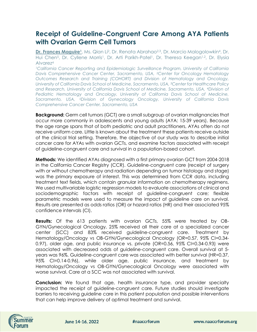#### **Receipt of Guideline-Congruent Care Among AYA Patients with Ovarian Germ Cell Tumors**

**Dr. Frances Maguire<sup>1</sup>**, Ms. Qian Li<sup>2</sup>, Dr. Renata Abrahao<sup>2,3</sup>, Dr. Marcio Malogolowkin<sup>4</sup>, Dr. Hui Chen<sup>5</sup>, Dr. Cyllene Morris<sup>1</sup>, Dr. Arti Parikh-Patel<sup>1</sup>, Dr. Theresa Keegan<sup>1,2</sup>, Dr. Elysia Alvarez<sup>4</sup>

*<sup>1</sup>California Cancer Reporting and Epidemiologic Surveillance Program, University of California Davis Comprehensive Cancer Center, Sacramento, USA, 2Center for Oncology Hematology Outcomes Research and Training (COHORT) and Division of Hematology and Oncology, University of California Davis School of Medicine, Sacramento, USA, 3Center for Healthcare Policy and Research, University of California Davis School of Medicine, Sacramento, USA, 4Division of Pediatric Hematology and Oncology, University of California Davis School of Medicine, Sacramento, USA, 5Division of Gynecology Oncology, University of California Davis Comprehensive Cancer Center, Sacramento, USA*

**Background:** Germ cell tumors (GCT) are a small subgroup of ovarian malignancies that occur more commonly in adolescents and young adults (AYA: 15-39 years). Because the age range spans that of both pediatric and adult practitioners, AYAs often do not receive uniform care. Little is known about the treatment these patients receive outside of the clinical trial setting. Therefore, the objective of our study was to describe initial cancer care for AYAs with ovarian GCTs, and examine factors associated with receipt of guideline-congruent care and survival in a population-based cohort.

**Methods:** We identified AYAs diagnosed with a first primary ovarian GCT from 2004-2018 in the California Cancer Registry (CCR). Guideline-congruent care (receipt of surgery with or without chemotherapy and radiation depending on tumor histology and stage) was the primary exposure of interest. This was determined from CCR data, including treatment text fields, which contain granular information on chemotherapy regimens. We used multivariable logistic regression models to evaluate associations of clinical and sociodemographic factors with receipt of guideline-congruent care; flexible parametric models were used to measure the impact of guideline care on survival. Results are presented as odds ratios (OR) or hazard ratios (HR) and their associated 95% confidence intervals (CI).

**Results:** Of the 613 patients with ovarian GCTs, 55% were treated by OB-GYN/Gynecological Oncology, 25% received all their care at a specialized cancer center (SCC) and 83% received guideline-congruent care. Treatment by Hematology/Oncology vs OB-GYN/Gynecological Oncology (OR=0.57, 95% CI=0.34- 0.97), older age, and public insurance vs. private (OR=0.56, 95% CI=0.34-0.93) were associated with decreased odds of guideline-congruent care. Overall survival at 5 years was 96%. Guideline-congruent care was associated with better survival (HR=0.37, 95% CI=0.14-0.96), while older age, public insurance, and treatment by Hematology/Oncology vs OB-GYN/Gynecological Oncology were associated with worse survival. Care at a SCC was not associated with survival.

**Conclusion:** We found that age, health insurance type, and provider specialty impacted the receipt of guideline-congruent care. Future studies should investigate barriers to receiving guideline care in this patient population and possible interventions that can help improve delivery of optimal treatment and survival.

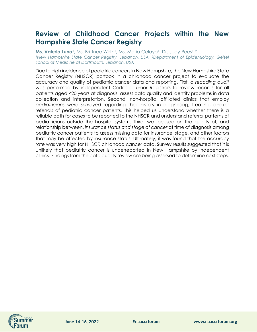### **Review of Childhood Cancer Projects within the New Hampshire State Cancer Registry**

**Ms. Valeria Luna<sup>1</sup>,** Ms. Brittnee Wirth<sup>1</sup>, Ms. Maria Celaya<sup>1</sup>, Dr. Judy Rees<sup>1, 2</sup> *<sup>1</sup>New Hampshire State Cancer Registry, Lebanon, USA, 2Department of Epidemiology, Geisel School of Medicine at Dartmouth, Lebanon, USA*

Due to high incidence of pediatric cancers in New Hampshire, the New Hampshire State Cancer Registry (NHSCR) partook in a childhood cancer project to evaluate the accuracy and quality of pediatric cancer data and reporting. First, a *recoding audit* was performed by independent Certified Tumor Registrars to review records for all patients aged <20 years at diagnosis, assess data quality and identify problems in data collection and interpretation. Second, non-hospital affiliated clinics that employ *pediatricians were surveyed* regarding their history in diagnosing, treating, and/or referrals of pediatric cancer patients. This helped us understand whether there is a reliable path for cases to be reported to the NHSCR and understand referral patterns of pediatricians outside the hospital system. Third, we focused on the quality of, and relationship between, *insurance status and stage of cancer* at time of diagnosis among pediatric cancer patients to assess missing data for insurance, stage, and other factors that may be affected by insurance status. Ultimately, it was found that the accuracy rate was very high for NHSCR childhood cancer data. Survey results suggested that it is unlikely that pediatric cancer is underreported in New Hampshire by independent clinics. Findings from the data quality review are being assessed to determine next steps.

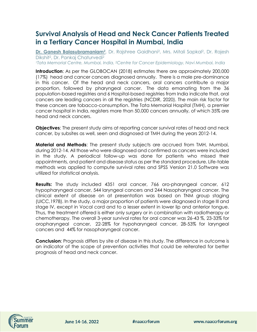# **Survival Analysis of Head and Neck Cancer Patients Treated in a Tertiary Cancer Hospital in Mumbai, India**

Dr. Ganesh Balasubramaniam<sup>2</sup>, Dr. Rajshree Gaidhani<sup>2</sup>, Mrs. Mitali Sapkal<sup>2</sup>, Dr. Rajesh Dikshit<sup>2</sup>, Dr. Pankaj Chaturvedi<sup>2</sup> *<sup>1</sup>Tata Memorial Centre, Mumbai, India, 2Centre for Cancer Epidemiology, Navi Mumbai, India*

**Introduction:** As per the GLOBOCAN (2018) estimates there are approximately 200,000 (17%) head and cancer cancers diagnosed annually. There is a male pre-dominance in this cancer. Of the head and neck cancers, oral cancers contribute a major proportion, followed by pharyngeal cancer. The data emanating from the 36 population-based registries and 6 Hospital-based registries from India indicate that, oral cancers are leading cancers in all the registries (NCDIR, 2020). The main risk factor for these cancers are tobacco-consumption. The Tata Memorial Hospital (TMH), a premier cancer hospital in India, registers more than 50,000 cancers annually, of which 35% are head and neck cancers.

**Objectives**: The present study aims at reporting cancer survival rates of head and neck cancer, by subsites as well, seen and diagnosed at TMH during the years 2012-14.

**Material and Methods**: The present study subjects are accrued from TMH, Mumbai, during 2012-14. All those who were diagnosed and confirmed as cancers were included in the study. A periodical follow-up was done for patients who missed their appointments, and patient and disease status as per the standard procedure. Life-table methods was applied to compute survival rates and SPSS Version 21.0 Software was utilized for statistical analysis.

**Results:** The study included 4351 oral cancer, 766 oro-pharyngeal cancer, 612 hypopharyngeal cancer, 544 laryngeal cancers and 244 Nasopharyngeal cancer. The clinical extent of disease on at presentation was based on TNM group staging (UICC,1978). In the study, a major proportion of patients were diagnosed in stage III and stage IV, except in Vocal cord and to a lesser extent in lower lip and anterior tongue. Thus, the treatment offered is either only surgery or in combination with radiotherapy or chemotherapy. The overall 3-year survival rates for oral cancer was 26-43 %, 23-33% for oropharyngeal cancer, 22-28% for hypoharyngeal cancer, 28-53% for laryngeal cancers and 44% for nasopharyngeal cancer.

**Conclusion**: Prognosis differs by site of disease in this study. The difference in outcome is an indicator of the scope of prevention activities that could be reiterated for better prognosis of head and neck cancer.

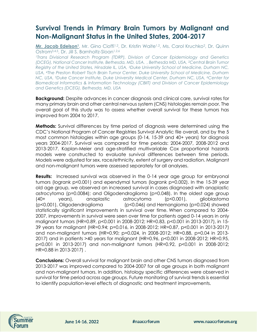# **Survival Trends in Primary Brain Tumors by Malignant and Non-Malignant Status in the United States, 2004-2017**

**Mr. Jacob Edelson<sup>1</sup>, Mr. Gino Cioffi<sup>1,2</sup>, Dr. Kristin Waite<sup>1,2</sup>, Ms. Carol Kruchko<sup>2</sup>, Dr. Quinn** Ostrom<sup>3,4,5</sup>, Dr. Jill S. Barnholtz-Sloan<sup>1,2,6</sup>

*<sup>1</sup>Trans Divisional Research Program (TDRP), Division of Cancer Epidemiology and Genetics (DCEG), National Cancer Institute, Bethesda, MD, USA. , Bethesda MD, USA, 2Central Brain Tumor Registry of the United States, Hinsdale IL, USA, 3Duke University School of Medicine, Durham NC, USA, 4The Preston Robert Tisch Brain Tumor Center, Duke University School of Medicine, Durham NC, USA, 5Duke Cancer Institute, Duke University Medical Center, Durham NC, USA, 6Center for Biomedical Informatics & Information Technology (CBIIT) and Division of Cancer Epidemiology and Genetics (DCEG), Bethesda, MD, USA*

**Background:** Despite advances in cancer diagnosis and clinical care, survival rates for many primary brain and other central nervous system (CNS) histologies remain poor. The overall goal of this study was to assess whether overall survival for these tumors has improved from 2004 to 2017.

**Methods:** Survival differences by time period of diagnosis were determined using the CDC's National Program of Cancer Registries Survival Analytic file overall, and by the 5 most common histologies within age groups (0-14, 15-39 and 40+ years) for diagnosis years 2004-2017. Survival was compared for time periods: 2004-2007, 2008-2012 and 2013-2017. Kaplan-Meier and age-stratified multivariable Cox proportional hazards models were constructed to evaluate survival differences between time periods. Models were adjusted for sex, race/ethnicity, extent of surgery and radiation. Malignant and non-malignant tumors were assessed separately for all analyses.

**Results:** Increased survival was observed in the 0-14 year age group for embryonal tumors (logrank p<0.001) and ependymal tumors (logrank p=0.002). In the 15-39 year old age group, we observed an increased survival in cases diagnosed with anaplastic astrocytoma (p=0.0084); and Oligodendroglioma (p=0.048). In the oldest age group (40+ years), anaplastic astrocytoma (p<0.001), glioblastoma (p<0.001), Oligodendroglioma (p<0.046) and Hemangioma (p=0.024) showed statistically significant improvements in survival over time. When compared to 2004- 2007, improvements in survival were seen over time for patients aged 0-14 years in only malignant tumors (HR=0.89, p<0.001 in 2008-2012; HR=0.83, p<0.001 in 2013-2017), in 15- 39 years for malignant (HR=0.94; p=0.016, in 2008-2012; HR=0.87, p<0.001 in 2013-2017) and non-malignant tumors (HR=0.90; p=0.024, in 2008-2012; HR=0.88, p=0.04 in 2013- 2017) and in patients >40 years for malignant (HR=0.96, p<0.001 in 2008-2012; HR=0.95, p<0.001 in 2013-2017) and non-malignant tumors (HR=0.92, p<0.001 in 2008-2012; HR=0.88 in 2013-2017) .

**Conclusions:** Overall survival for malignant brain and other CNS tumors diagnosed from 2013-2017 was improved compared to 2004-2007 for all age groups in both malignant and non-malignant tumors. In addition, histology specific differences were observed in survival for time period across age groups. Future monitoring of survival trends is essential to identify population-level effects of diagnostic and treatment improvements.

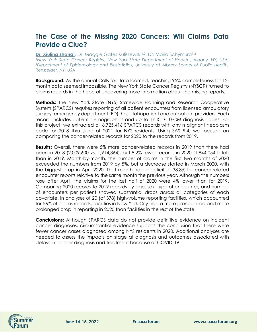## **The Case of the Missing 2020 Cancers: Will Claims Data Provide a Clue?**

**Dr. Xiuling Zhang<sup>1</sup>**, Dr. Maggie Gates Kuliszewski<sup>1,2</sup>, Dr. Maria Schymura<sup>1,2</sup> *<sup>1</sup>New York State Cancer Registry, New York State Department of Health , Albany, NY, USA, <sup>2</sup>Department of Epidemiology and Biostatistics, University at Albany School of Public Health, Rensselaer, NY, USA*

**Background:** As the annual Calls for Data loomed, reaching 95% completeness for 12 month data seemed impossible. The New York State Cancer Registry (NYSCR) turned to claims records in the hope of uncovering more information about the missing reports.

**Methods:** The New York State (NYS) Statewide Planning and Research Cooperative System (SPARCS) requires reporting of all patient encounters from licensed ambulatory surgery, emergency department (ED), hospital inpatient and outpatient providers. Each record includes patient demographics and up to 17 ICD-10-CM diagnosis codes. For this project, we extracted all 6,725,416 SPARCS records with any malignant neoplasm code for 2018 thru June of 2021 for NYS residents. Using SAS 9.4, we focused on comparing the cancer-related records for 2020 to the records from 2019.

**Results:** Overall, there were 5% more cancer-related records in 2019 than there had been in 2018 (2,009,600 vs. 1,914,364), but 8.2% fewer records in 2020 (1,844,054 total) than in 2019. Month-by-month, the number of claims in the first two months of 2020 exceeded the numbers from 2019 by 5%, but a decrease started in March 2020, with the biggest drop in April 2020. That month had a deficit of 38.8% for cancer-related encounter reports relative to the same month the previous year. Although the numbers rose after April, the claims for the last half of 2020 were 4% lower than for 2019. Comparing 2020 records to 2019 records by age, sex, type of encounter, and number of encounters per patient showed substantial drops across all categories of each covariate. In analyses of 20 (of 378) high-volume reporting facilities, which accounted for 56% of claims records, facilities in New York City had a more pronounced and more prolonged drop in reporting in 2020 than facilities in the rest of the state.

**Conclusions:** Although SPARCS data do not provide definitive evidence on incident cancer diagnoses, circumstantial evidence supports the conclusion that there were fewer cancer cases diagnosed among NYS residents in 2020. Additional analyses are needed to assess the impacts on stage at diagnosis and outcomes associated with delays in cancer diagnosis and treatment because of COVID-19.

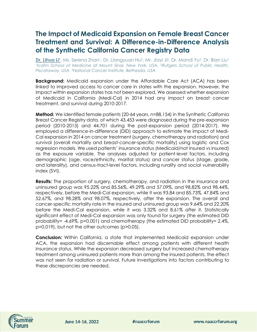## **The Impact of Medicaid Expansion on Female Breast Cancer Treatment and Survival: A Difference-in-Difference Analysis of the Synthetic California Cancer Registry Data**

**Dr. Lihua Li**<sup>1</sup>, Ms. Serena Zhan<sup>1</sup>, Dr. Liangyuan Hu<sup>2</sup>, Mr. Jiayi Ji<sup>2</sup>, Dr. Mandi Yu<sup>3</sup>, Dr. Bian Liu<sup>1</sup> *<sup>1</sup>Icahn School of Medicine at Mount Sinai, New York, USA, 2Rutgers School of Public Health, Piscataway, USA, 3National Cancer Institute, Bethesda, USA*

**Background:** Medicaid expansion under the Affordable Care Act (ACA) has been linked to improved access to cancer care in states with the expansion. However, the impact within expansion states has not been explored. We assessed whether expansion of Medicaid in California (Medi-Cal) in 2014 had any impact on breast cancer treatment, and survival during 2010-2017.

**Method:** We identified female patients (20-64 years, n=88,154) in the Synthetic California Breast Cancer Registry data, of which 43,453 were diagnosed during the pre-expansion period (2010-2013) and 44,701 during the post-expansion period (2014-2017). We employed a difference-in-difference (DID) approach to estimate the impact of Medi-Cal expansion in 2014 on cancer treatment (surgery, chemotherapy and radiation) and survival (overall mortality and breast-cancer-specific mortality) using logistic and Cox regression models. We used patients' insurance status (Medicaid/not insured vs insured) as the exposure variable. The analyses adjusted for patient-level factors, including demographic (age, race/ethnicity, marital status) and cancer status (stage, grade, and laterality), and census-tract-level factors, including rurality and social vulnerability index (SVI).

**Results:** The proportion of surgery, chemotherapy, and radiation in the insurance and uninsured group was 95.22% and 85.56%, 49.29% and 57.09%, and 98.82% and 98.44%, respectively, before the Medi-Cal expansion, while it was 93.84 and 85.73%, 47.84% and 52.67%, and 98.28% and 98.07%, respectively, after the expansion. The overall and cancer-specific mortality rate in the insured and uninsured group was 9.64% and 22.20% before the Medi-Cal expansion, while it was 3.32% and 8.61% after it. Statistically significant effect of Medi-Cal expansion was only found for surgery (the estimated DID probability= -4.69%, p=0.001) and chemotherapy (the estimated DID probability= 2.4%, p=0.019), but not the other outcomes (p>0.05).

**Conclusion:** Within California, a state that implemented Medicaid expansion under ACA, the expansion had discernable effect among patients with different health insurance status. While the expansion decreased surgery but increased chemotherapy treatment among uninsured patients more than among the insured patients, the effect was not seen for radiation or survival. Future investigations into factors contributing to these discrepancies are needed.

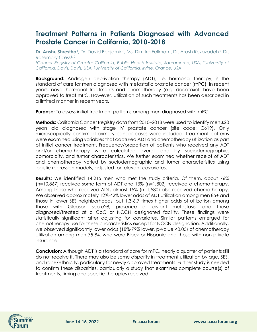#### **Treatment Patterns in Patients Diagnosed with Advanced Prostate Cancer in California, 2010-2018**

**Dr. Anshu Shrestha<sup>1</sup>,** Dr. David Benjamin<sup>3</sup>, Ms. Dimitra Fellman<sup>1</sup>, Dr. Arash Rezazadeh<sup>3</sup>, Dr. Rosemary Cress<sup>1, 2</sup> *<sup>1</sup>Cancer Registry of Greater California, Public Health Institute, Sacramento, USA, 2University of California, Davis, Davis, USA, 3University of California, Irvine, Orange, USA*

**Background:** Androgen deprivation therapy (ADT), i.e. hormonal therapy, is the standard of care for men diagnosed with metastatic prostate cancer (mPC). In recent years, novel hormonal treatments and chemotherapy (e.g. docetaxel) have been approved to treat mPC. However, utilization of such treatments has been described in a limited manner in recent years.

**Purpose:** To assess initial treatment patterns among men diagnosed with mPC.

**Methods:** California Cancer Registry data from 2010–2018 were used to identify men ≥20 years old diagnosed with stage IV prostate cancer (site code: C619). Only microscopically confirmed primary cancer cases were included. Treatment patterns were examined using variables that captured ADT and chemotherapy utilization as part of initial cancer treatment. Frequency/proportion of patients who received any ADT and/or chemotherapy were calculated overall and by sociodemographic, comorbidity, and tumor characteristics. We further examined whether receipt of ADT and chemotherapy varied by sociodemographic and tumor characteristics using logistic regression models, adjusted for relevant covariates.

**Results:** We identified 14,215 men who met the study criteria. Of them, about 76% (n=10,867) received some form of ADT and 13% (n=1,802) received a chemotherapy. Among those who received ADT, almost 15% (n=1,580) also received chemotherapy. We observed approximately 12%-42% lower odds of ADT utilization among men 85+ and those in lower SES neighborhoods, but 1.3-6.7 times higher odds of utilization among those with Gleason score≥8, presence of distant metastasis, and those diagnosed/treated at a CoC or NCCN designated facility. These findings were statistically significant after adjusting for covariates. Similar patterns emerged for chemotherapy use for these characteristics except for NCCN designation. Additionally, we observed significantly lower odds (18%-79% lower, p-value <0.05) of chemotherapy utilization among men 75-84, who were Black or Hispanic and those with non-private insurance.

**Conclusion:** Although ADT is a standard of care for mPC, nearly a quarter of patients still do not receive it. There may also be some disparity in treatment utilization by age, SES, and race/ethnicity, particularly for newly approved treatments. Further study is needed to confirm these disparities, particularly a study that examines complete course(s) of treatments, timing and specific therapies received.

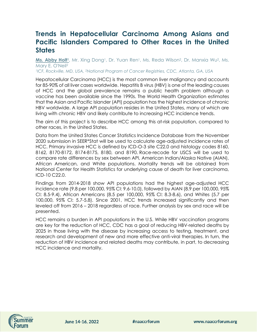### **Trends in Hepatocellular Carcinoma Among Asians and Pacific Islanders Compared to Other Races in the United States**

Ms. Abby Holt<sup>1</sup>, Mr. Xing Dong<sup>1</sup>, Dr. Yuan Ren<sup>1</sup>, Ms. Reda Wilson<sup>2</sup>, Dr. Manxia Wu<sup>2</sup>, Ms. Mary E. O'Neil<sup>2</sup>

*<sup>1</sup>ICF, Rockville, MD, USA, 2National Program of Cancer Registries, CDC, Atlanta, GA, USA*

Hepatocellular Carcinoma (HCC) is the most common liver malignancy and accounts for 85-90% of all liver cases worldwide. Hepatitis B virus (HBV) is one of the leading causes of HCC and the global prevalence remains a public health problem although a vaccine has been available since the 1990s. The World Health Organization estimates that the Asian and Pacific Islander (API) population has the highest incidence of chronic HBV worldwide. A large API population resides in the United States, many of which are living with chronic HBV and likely contribute to increasing HCC incidence trends.

The aim of this project is to describe HCC among this at-risk population, compared to other races, in the United States.

Data from the United States Cancer Statistics Incidence Database from the November 2020 submission in SEER\*Stat will be used to calculate age-adjusted incidence rates of HCC. Primary invasive HCC is defined by ICD-O-3 site C22.0 and histology codes 8160, 8162, 8170-8172, 8174-8175, 8180, and 8190. Race-recode for USCS will be used to compare rate differences by sex between API, American Indian/Alaska Native (AIAN), African American, and White populations. Mortality trends will be obtained from National Center for Health Statistics for underlying cause of death for liver carcinoma, ICD-10 C22.0.

Findings from 2014-2018 show API populations had the highest age-adjusted HCC incidence rate (9.8 per 100,000, 95% CI: 9.6-10.0), followed by AIAN (8.9 per 100,000, 95% CI: 8.5-9.4), African Americans (8.5 per 100,000, 95% CI: 8.3-8.6), and Whites (5.7 per 100,000, 95% CI: 5.7-5.8). Since 2001, HCC trends increased significantly and then leveled off from 2016 – 2018 regardless of race. Further analysis by sex and race will be presented.

HCC remains a burden in API populations in the U.S. While HBV vaccination programs are key for the reduction of HCC, CDC has a goal of reducing HBV-related deaths by 2025 in those living with the disease by increasing access to testing, treatment, and research and development of new and more effective anti-viral therapies. In turn, the reduction of HBV incidence and related deaths may contribute, in part, to decreasing HCC incidence and mortality.